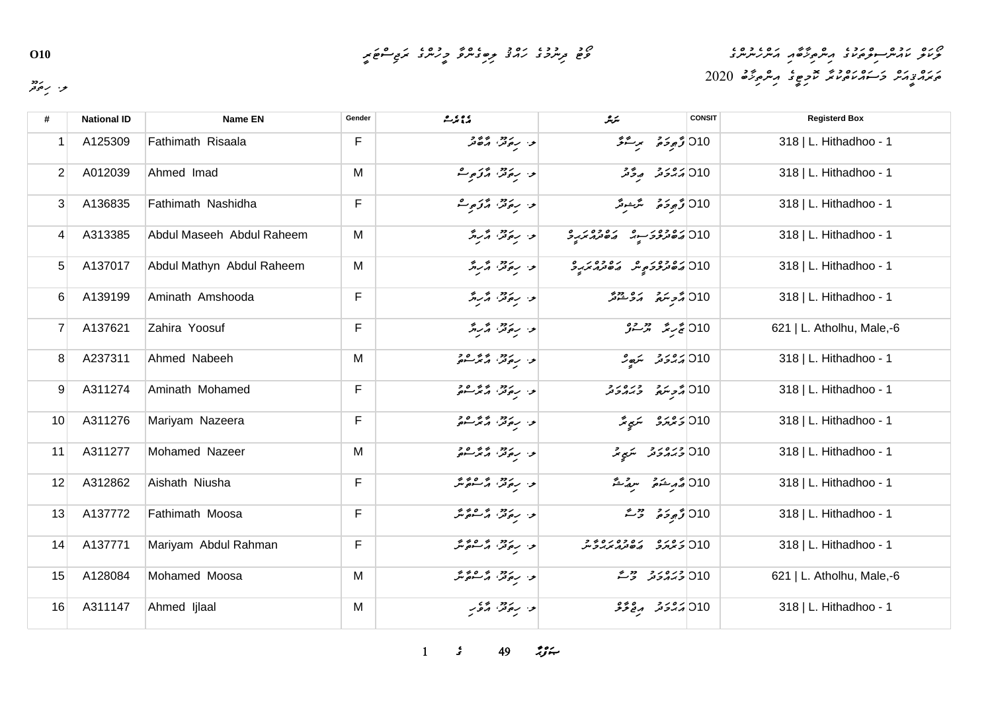*sCw7q7s5w7m< o<n9nOoAw7o< sCq;mAwBoEw7q<m; wBm;vB* م من المرة المرة المرة المرة المرة المرة العربية 2020<br>مجم*د المريض المريض المربع المربع المربع المراجع المراجع ال* 

| #              | <b>National ID</b> | <b>Name EN</b>            | Gender      | ړ؛ پرُ _                     | سرپر                                      | <b>CONSIT</b> | <b>Registerd Box</b>      |
|----------------|--------------------|---------------------------|-------------|------------------------------|-------------------------------------------|---------------|---------------------------|
|                | A125309            | Fathimath Risaala         | $\mathsf F$ | والمرجوش أركام               | 010 <i>ؤُوِدَهُ</i> مِنْ مُرْ             |               | 318   L. Hithadhoo - 1    |
| $\overline{2}$ | A012039            | Ahmed Imad                | M           | وسرحوقراء مركز حرف           | 010 <i>كەندى قى</i> ر قىر                 |               | 318   L. Hithadhoo - 1    |
| 3              | A136835            | Fathimath Nashidha        | $\mathsf F$ | در سره در مرکزه مش           | 010 گەچەقە ئىگەشىقە                       |               | 318   L. Hithadhoo - 1    |
| $\overline{4}$ | A313385            | Abdul Maseeh Abdul Raheem | M           | وسيخوش ومرو                  | 010 كەھەر <i>بەر بەر ئەھەر كەبىرى</i> كە  |               | 318   L. Hithadhoo - 1    |
| 5              | A137017            | Abdul Mathyn Abdul Raheem | M           | أحزا الروح المجرام           | 010 كەھەر <i>خۇچ مەسىر ئەھەر كەيدى</i> كە |               | 318   L. Hithadhoo - 1    |
| 6              | A139199            | Aminath Amshooda          | $\mathsf F$ | وسرحاقة الأرامة              | 010م <i>م توسَعة م</i> ترشقتر             |               | 318   L. Hithadhoo - 1    |
| 7              | A137621            | Zahira Yoosuf             | $\mathsf F$ | و رەتر، ئرىد                 | 010 ئىم بىر بىر تەرىپى<br>ن               |               | 621   L. Atholhu, Male,-6 |
| 8              | A237311            | Ahmed Nabeeh              | M           | و. رود. و و د و و            | 010 كەندى كىم ئىستى بىر                   |               | 318   L. Hithadhoo - 1    |
| 9              | A311274            | Aminath Mohamed           | $\mathsf F$ | أوس برود الممره و و د        | 010 مَّ <i>جِسَمَ حَدَ مُ</i> حَمَّد      |               | 318   L. Hithadhoo - 1    |
| 10             | A311276            | Mariyam Nazeera           | $\mathsf F$ | و. رود. د بر د و د           | 010 <i>كەنگەنىڭ</i> سىرىگە                |               | 318   L. Hithadhoo - 1    |
| 11             | A311277            | Mohamed Nazeer            | M           | و. رەۋر، ئەنگەرە د           | 010 <i>ۋىزۇدۇ ئىي ئى</i>                  |               | 318   L. Hithadhoo - 1    |
| 12             | A312862            | Aishath Niusha            | F           | أوسره وتراهم مشاهوش          | 010 م <i>ۇم شەق سىمى</i> ش                |               | 318   L. Hithadhoo - 1    |
| 13             | A137772            | Fathimath Moosa           | $\mathsf F$ | أوسره وتراه والمستفريش       | 010 گەچەتە قەمىگە                         |               | 318   L. Hithadhoo - 1    |
| 14             | A137771            | Mariyam Abdul Rahman      | $\mathsf F$ | أوسر موتر، ومسموس            | 010 <i>كەنگەر مەھەمەمەر كە</i>            |               | 318   L. Hithadhoo - 1    |
| 15             | A128084            | Mohamed Moosa             | M           | و. رەقر، ئەھەمگە             | 010 دېم دېمر وي.                          |               | 621   L. Atholhu, Male,-6 |
| 16             | A311147            | Ahmed Ijlaal              | M           | الحزا البرة فرادهم وكالمحالب | 010 <i>ټرېنځن</i> مقځې                    |               | 318   L. Hithadhoo - 1    |

*1 s* 49  $23$  *i*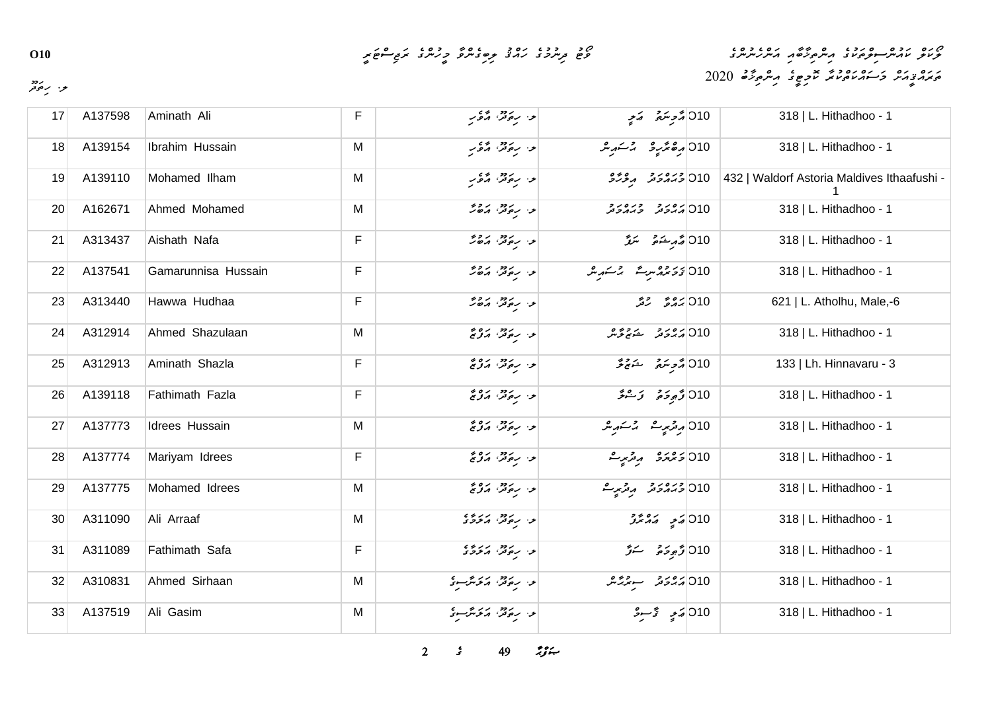*sCw7q7s5w7m< o<n9nOoAw7o< sCq;mAwBoEw7q<m; wBm;vB* م من المرة المرة المرة المرجع المرجع في المركبة 2020<br>مجم*د المريض المربوط المربع المرجع في المراجع المركبة* 

| 17 | A137598 | Aminath Ali         | $\mathsf F$ | و رەۋش مەھرىر        | 010 مٌ مِنهُمْ - مَ مِ             | 318   L. Hithadhoo - 1                      |
|----|---------|---------------------|-------------|----------------------|------------------------------------|---------------------------------------------|
| 18 | A139154 | Ibrahim Hussain     | M           | و روده وی            | 010 مەھ ئىرىدى ئەسكەب ئىر          | 318   L. Hithadhoo - 1                      |
| 19 | A139110 | Mohamed Ilham       | M           | وسيحقز أتحفيه        | 010 <i>\$نەممىقى مىڭگ</i>          | 432   Waldorf Astoria Maldives Ithaafushi - |
| 20 | A162671 | Ahmed Mohamed       | M           | وا رەۋى كەن          | 010 كەبرى قەرەر بورىتر             | 318   L. Hithadhoo - 1                      |
| 21 | A313437 | Aishath Nafa        | $\mathsf F$ | $201 \frac{22}{204}$ | 010 مَّەمِسْمَعْ مَتَدَّ           | 318   L. Hithadhoo - 1                      |
| 22 | A137541 | Gamarunnisa Hussain | $\mathsf F$ | والمتحقرة المتحار    | 010 تۈكەتروسىگە بەسكىرىك           | 318   L. Hithadhoo - 1                      |
| 23 | A313440 | Hawwa Hudhaa        | F           | وسركوفرا أروح        | 010 يَرْدُوَّ رَنْزَ               | 621   L. Atholhu, Male,-6                   |
| 24 | A312914 | Ahmed Shazulaan     | M           | وسيخض مؤمج           | 010 ك <i>روز ئىلى ئىلى</i> گىش     | 318   L. Hithadhoo - 1                      |
| 25 | A312913 | Aminath Shazla      | $\mathsf F$ | والمرود كره و        | 010 مَّ <i>جِسَمَ</i> شَمَّعَ مَ   | 133   Lh. Hinnavaru - 3                     |
| 26 | A139118 | Fathimath Fazla     | F           | و رود روم            | 010 <i>وُّجِ حَمَّى وَسُ</i> مَرَّ | 318   L. Hithadhoo - 1                      |
| 27 | A137773 | Idrees Hussain      | M           | وسيخض مؤمج           | 010 موقدمرے کے محسن میں میں ا      | 318   L. Hithadhoo - 1                      |
| 28 | A137774 | Mariyam Idrees      | F           | وسيخوش أرومي         | 010 كەندىرى ھەقەبېرىشە             | 318   L. Hithadhoo - 1                      |
| 29 | A137775 | Mohamed Idrees      | M           | وسيختر بروه          | 010 <i>ۇنزۇقۇ بوقرىر</i> ىئە       | 318   L. Hithadhoo - 1                      |
| 30 | A311090 | Ali Arraaf          | M           | و رکوش کرده و        | 010 <i>ھَ جِي صَمَّ</i> عَتَّقَ    | 318   L. Hithadhoo - 1                      |
| 31 | A311089 | Fathimath Safa      | F           | و رکوش کرده و        | 010 <i>ؤج</i> و <i>مقرشت</i> ر     | 318   L. Hithadhoo - 1                      |
| 32 | A310831 | Ahmed Sirhaan       | M           | و رود روشه           | 010   ئەرىجەتىر سىمىگە ئىر         | 318   L. Hithadhoo - 1                      |
| 33 | A137519 | Ali Gasim           | M           | و رەپى كەنگىر        | 010 کم په تخ سوځ                   | 318   L. Hithadhoo - 1                      |

*2 sC 49 nNw?mS*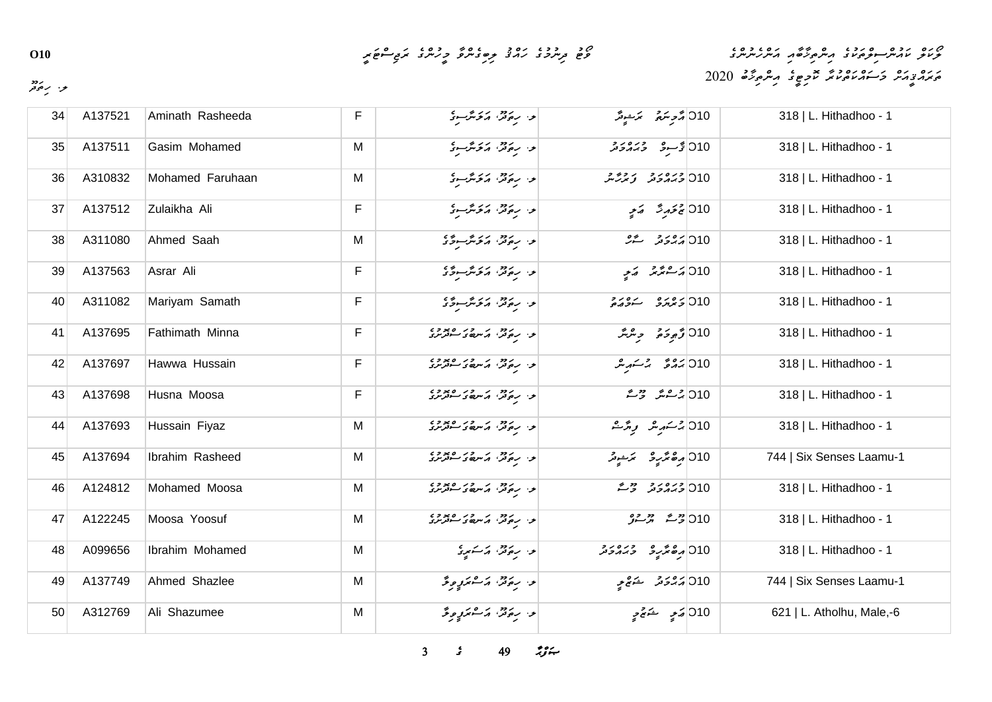*sCw7q7s5w7m< o<n9nOoAw7o< sCq;mAwBoEw7q<m; wBm;vB* م من المرة المرة المرة المرجع المرجع في المركبة 2020<br>مجم*د المريض المربوط المربع المرجع في المراجع المركبة* 

| 34 | A137521 | Aminath Rasheeda | $\mathsf F$ | و رەپى كەنگەر                                   | 010 م <i>ۇج ئىرى ئىجىدى</i> گە             | 318   L. Hithadhoo - 1    |
|----|---------|------------------|-------------|-------------------------------------------------|--------------------------------------------|---------------------------|
| 35 | A137511 | Gasim Mohamed    | M           | و. رەۋر، مەئەشرىدى                              | 010 <i>وَّ-دِيْ دْبَهْدْدَةْ</i> رْ        | 318   L. Hithadhoo - 1    |
| 36 | A310832 | Mohamed Faruhaan | M           | و رەپى مەترىشىز                                 | 010 <i>ۋىزۇدۇ زىرگى</i> ر                  | 318   L. Hithadhoo - 1    |
| 37 | A137512 | Zulaikha Ali     | $\mathsf F$ | أور بروده المكرم المحسن                         | 010  چڅورنځ کامي                           | 318   L. Hithadhoo - 1    |
| 38 | A311080 | Ahmed Saah       | M           | و رەپى مۇشرىدۇ،                                 | 010 پَرُوُتِرْ سُرُرُ                      | 318   L. Hithadhoo - 1    |
| 39 | A137563 | Asrar Ali        | $\mathsf F$ | و رەپى كەنگەسىدە                                | 010 كەشىر ئەمە                             | 318   L. Hithadhoo - 1    |
| 40 | A311082 | Mariyam Samath   | F           | و رەپى مۇشرىدۇ،                                 | 010 <i>ئى تەرەپى</i> ر بەردە بولدىن        | 318   L. Hithadhoo - 1    |
| 41 | A137695 | Fathimath Minna  | $\mathsf F$ | و ردود در دور ۲۶ ورود<br>د رونو ارسهای سترس     | 010 <i>ؤ<sub>جو</sub>حَمْ دِ</i> عْرَ مَّر | 318   L. Hithadhoo - 1    |
| 42 | A137697 | Hawwa Hussain    | F           | والمردوم كالمستحدث معدوى                        | 010 يَرْدُوَّ كَرْسَهِ بْدْ                | 318   L. Hithadhoo - 1    |
| 43 | A137698 | Husna Moosa      | F           | د دود. تر سره در ۲۶ ور<br>د روتر، تر سره د سترس | 010 پزشتر تۆت                              | 318   L. Hithadhoo - 1    |
| 44 | A137693 | Hussain Fiyaz    | M           | والمرود كالمستحدث معدوى                         | 010 پرستمبر ویژینه                         | 318   L. Hithadhoo - 1    |
| 45 | A137694 | Ibrahim Rasheed  | M           | و ریږو که سرور دورو د                           | 010 مەھ ئۇر بىسى ئىسىمىتى كەنتىدى ئىس      | 744   Six Senses Laamu-1  |
| 46 | A124812 | Mohamed Moosa    | M           | والمرود المرس وراقع دا                          | 010 دېم ديگه ته تخپ                        | 318   L. Hithadhoo - 1    |
| 47 | A122245 | Moosa Yoosuf     | M           | و ردود در دور ۶۵ ورود<br>د رونو د سهاد ساندرو   | 010 قزیشہ میں ترکیو                        | 318   L. Hithadhoo - 1    |
| 48 | A099656 | Ibrahim Mohamed  | M           | و. رەپى كەسكەپى                                 | 010 مەھەرىپى ئەمەدىر                       | 318   L. Hithadhoo - 1    |
| 49 | A137749 | Ahmed Shazlee    | M           | و رەپى كەشىرورگ                                 | 010 <i>كەندى تىم ئى</i> قىم ئى             | 744   Six Senses Laamu-1  |
| 50 | A312769 | Ali Shazumee     | M           | و رەپى كەشىرورگ                                 | 010 کيمي ڪي تي په ح                        | 621   L. Atholhu, Male,-6 |

**3** *3* **<b>***s* **49** *z <i>z*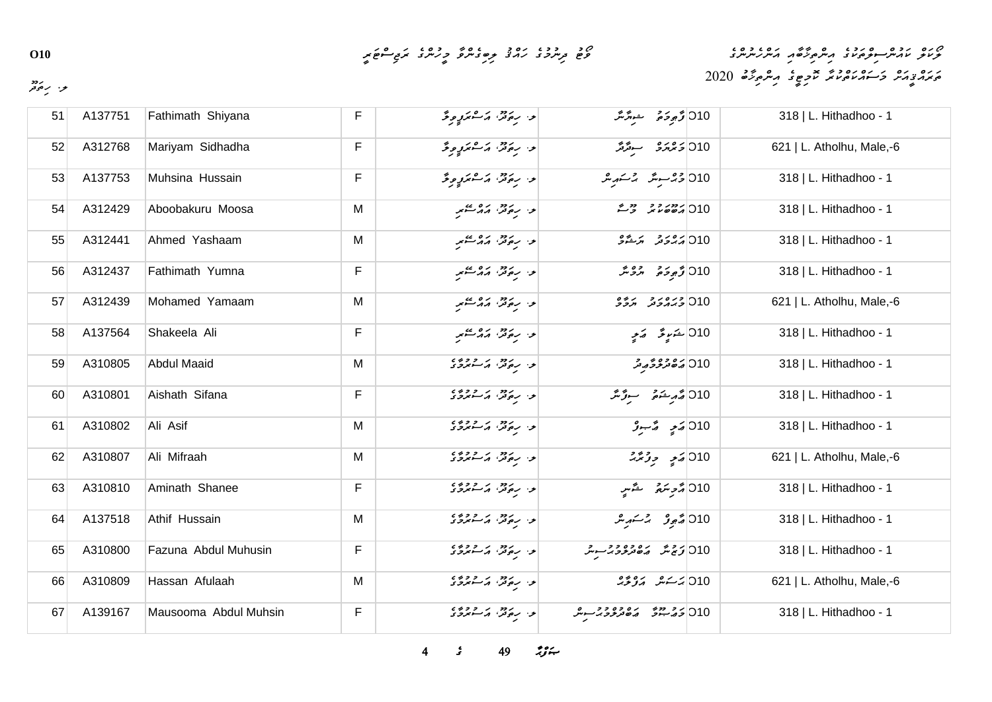*sCw7q7s5w7m< o<n9nOoAw7o< sCq;mAwBoEw7q<m; wBm;vB* م من المرة المرة المرة المرجع المرجع في المركبة 2020<br>مجم*د المريض المربوط المربع المرجع في المراجع المركبة* 

| 51 | A137751 | Fathimath Shiyana     | $\mathsf F$ | و رەتۇر كەشكرورۇ                         | 010 <b>ز</b> َىھ <sub>و</sub> ىزىق ھوم <b>ت</b> ىتر | 318   L. Hithadhoo - 1    |
|----|---------|-----------------------|-------------|------------------------------------------|-----------------------------------------------------|---------------------------|
| 52 | A312768 | Mariyam Sidhadha      | $\mathsf F$ | أوسرة والمتحري والمحر والمحر والمحر      | 010  5 يُرْيَرُ \$بِ سِوَيْرَ بِهِ                  | 621   L. Atholhu, Male,-6 |
| 53 | A137753 | Muhsina Hussain       | $\mathsf F$ | ى رەپى مەسىرومۇ                          | 010 دُيْرَ بِيسَر پُرَ يَهْدِيْر                    | 318   L. Hithadhoo - 1    |
| 54 | A312429 | Aboobakuru Moosa      | M           | أوسيدة والمروعة                          | 23.222/010                                          | 318   L. Hithadhoo - 1    |
| 55 | A312441 | Ahmed Yashaam         | M           | و رود ده شو                              | 010 كەبۇر كەر كەر كەندى                             | 318   L. Hithadhoo - 1    |
| 56 | A312437 | Fathimath Yumna       | $\mathsf F$ | وسرە دەر كەرگە                           | 010 <i>ؤُوِخُوْ مُ</i> نْحُمُّدُ                    | 318   L. Hithadhoo - 1    |
| 57 | A312439 | Mohamed Yamaam        | M           | وسيدود أروعي                             | 010 ج. پروتر بروژ                                   | 621   L. Atholhu, Male,-6 |
| 58 | A137564 | Shakeela Ali          | $\mathsf F$ | وسر ردو بره علم                          | 010 ڪيو قرمي                                        | 318   L. Hithadhoo - 1    |
| 59 | A310805 | <b>Abdul Maaid</b>    | M           | كالحزا الرقع المراسية والإما             | 010 كەھ ترى <i>ۋۇم</i> تر                           | 318   L. Hithadhoo - 1    |
| 60 | A310801 | Aishath Sifana        | $\mathsf F$ | و. رود بر دووه                           | 010 مۇم ش <del>ە</del> رقى سىر <i>ۇنتى</i>          | 318   L. Hithadhoo - 1    |
| 61 | A310802 | Ali Asif              | M           | و. رود بر دووه                           | 010 ھَءِ - ھُ-دِرٌ                                  | 318   L. Hithadhoo - 1    |
| 62 | A310807 | Ali Mifraah           | M           | و رکونز، پر دولای                        | 010 <i>ھ بو بوترنگ</i>                              | 621   L. Atholhu, Male,-6 |
| 63 | A310810 | Aminath Shanee        | F           | و. رود كر دوو،                           | 010 <i>مُ</i> حرِسَمَۃ شَمَّبِرِ                    | 318   L. Hithadhoo - 1    |
| 64 | A137518 | Athif Hussain         | M           | كالمحاسب والمتحد والمحمد والمحمد والمحمد | 010 مَّ مِوْسَ بِرْسَهِ بِرْ                        | 318   L. Hithadhoo - 1    |
| 65 | A310800 | Fazuna Abdul Muhusin  | $\mathsf F$ | كر رود كر و و ده د                       | 010 ئۈيچ مىگە ئەھ قىزى <i>جى جەمئى</i> ر            | 318   L. Hithadhoo - 1    |
| 66 | A310809 | Hassan Afulaah        | M           | و رود ړې دوي                             | 010 پرسترس پروژو                                    | 621   L. Atholhu, Male,-6 |
| 67 | A139167 | Mausooma Abdul Muhsin | F           | و. رود. تر دوو،                          | 010 كەم يەم ئۇ مەم ئەم كەن بىر ئىس ئىس              | 318   L. Hithadhoo - 1    |

*4 f s* 49 *f*<sub>*f*</sub>.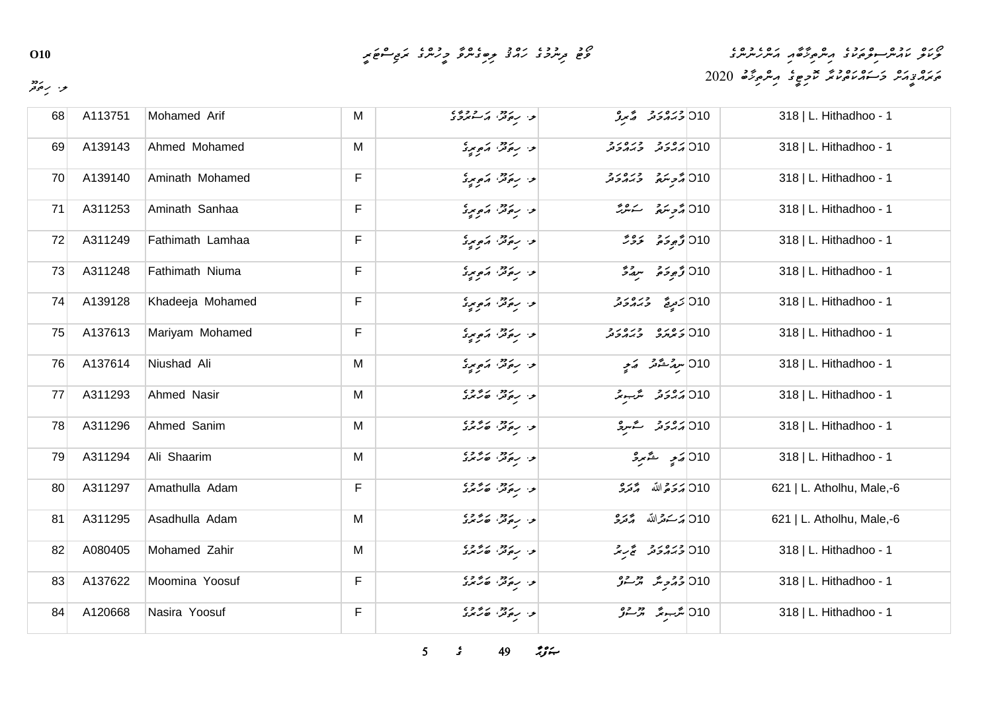*sCw7q7s5w7m< o<n9nOoAw7o< sCq;mAwBoEw7q<m; wBm;vB* م من المرة المرة المرة المرجع المرجع في المركبة 2020<br>مجم*د المريض المربوط المربع المرجع في المراجع المركبة* 

| 68 | A113751 | Mohamed Arif     | M            | و رود ړترون        | 010 ج برو 5 م م برو                          | 318   L. Hithadhoo - 1    |
|----|---------|------------------|--------------|--------------------|----------------------------------------------|---------------------------|
| 69 | A139143 | Ahmed Mohamed    | M            | و روده موړي        | 010 كەبرو بەر ئەرەبىر                        | 318   L. Hithadhoo - 1    |
| 70 | A139140 | Aminath Mohamed  | $\mathsf F$  | و روژه کام مره     | 010 <i>مُّحِسِّمَةُ حُمَدُّدْ قُرْ</i>       | 318   L. Hithadhoo - 1    |
| 71 | A311253 | Aminath Sanhaa   | F            | و روده موړه        | 010 مٌ <i>وِیتَهُ</i> سَکَنْتُهُ             | 318   L. Hithadhoo - 1    |
| 72 | A311249 | Fathimath Lamhaa | $\mathsf{F}$ | و روده روور        | 010 <i>ؤُجِرَةً وَدُرَّ</i>                  | 318   L. Hithadhoo - 1    |
| 73 | A311248 | Fathimath Niuma  | $\mathsf F$  | و رکړي کړې پره     | 010 <i>ؤُجِوَءُ بِيهِدُوُ</i> ّ              | 318   L. Hithadhoo - 1    |
| 74 | A139128 | Khadeeja Mohamed | $\mathsf F$  | و روده موړي        | 010 كتربيعً - <i>وْشُهُوَمْ</i> رُ           | 318   L. Hithadhoo - 1    |
| 75 | A137613 | Mariyam Mohamed  | $\mathsf F$  | و رکړي کړې ده      | 010 كەبەر <i>25.25 كە</i> بەر                | 318   L. Hithadhoo - 1    |
| 76 | A137614 | Niushad Ali      | M            | و رودش مورد        | 010 س <i>مڈش<sup>ی</sup>ڈ م</i> َع           | 318   L. Hithadhoo - 1    |
| 77 | A311293 | Ahmed Nasir      | M            | والمردون كالمرادان | 010 كەندى قىلىدىنى ئىسىدى                    | 318   L. Hithadhoo - 1    |
| 78 | A311296 | Ahmed Sanim      | M            | و رود دود          | 010   كەشكە ئەر ئىسىسى ئاسىرى                | 318   L. Hithadhoo - 1    |
| 79 | A311294 | Ali Shaarim      | M            | و رود دود.         | 010 کمبر گھرو                                | 318   L. Hithadhoo - 1    |
| 80 | A311297 | Amathulla Adam   | $\mathsf F$  | والمرود كالمرواة   | $5.5\frac{2}{3}$ مَدْحَرْهُ اللّه مَرْمَرْدَ | 621   L. Atholhu, Male,-6 |
| 81 | A311295 | Asadhulla Adam   | M            | و رود هروه         | 010 كەسكەتراللە گەتىرى                       | 621   L. Atholhu, Male,-6 |
| 82 | A080405 | Mohamed Zahir    | M            | والمردون كالمرادان | 010 دېم دېمر تم تريز                         | 318   L. Hithadhoo - 1    |
| 83 | A137622 | Moomina Yoosuf   | $\mathsf F$  | والمردون كالمرادان | 010 دېمرمگر پر شور                           | 318   L. Hithadhoo - 1    |
| 84 | A120668 | Nasira Yoosuf    | $\mathsf F$  | و رود هروه         | 010 مگر ہے تھے تھر شرقہ ک                    | 318   L. Hithadhoo - 1    |

*5 sC 49 nNw?mS*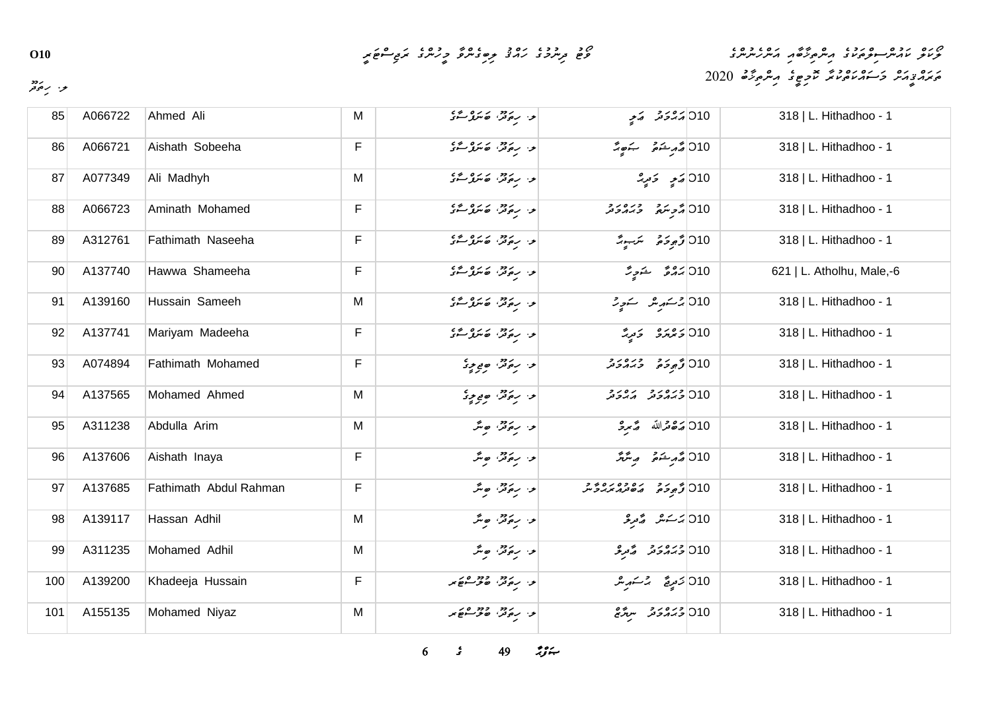*sCw7q7s5w7m< o<n9nOoAw7o< sCq;mAwBoEw7q<m; wBm;vB* م من المرة المرة المرة المرجع المرجع في المركبة 2020<br>مجم*د المريض المربوط المربع المرجع في المراجع المركبة* 

| 85  | A066722 | Ahmed Ali              | M           | وسيدوه كالمتوسكى     | 010 <i>ټرچي چې</i>                                     | 318   L. Hithadhoo - 1    |
|-----|---------|------------------------|-------------|----------------------|--------------------------------------------------------|---------------------------|
| 86  | A066721 | Aishath Sobeeha        | F           | و رود ەندىق          | 010 مۇم شكۇ بىك يېڭىر                                  | 318   L. Hithadhoo - 1    |
| 87  | A077349 | Ali Madhyh             | M           | و رود ځمکړ څو        | 010  رکو سی کا تعریم 2 ا                               | 318   L. Hithadhoo - 1    |
| 88  | A066723 | Aminath Mohamed        | F           | و رود کارو دی        | 010 مَّحِسَمَّة فَ <i>حَدَّدْوَ</i> مْرَ               | 318   L. Hithadhoo - 1    |
| 89  | A312761 | Fathimath Naseeha      | $\mathsf F$ | و. رەپر، ئەسمى ئەي   | 010 <i>ؤ<sub>ج</sub>وح</i> ق س <i>رَسوم</i> ً          | 318   L. Hithadhoo - 1    |
| 90  | A137740 | Hawwa Shameeha         | $\mathsf F$ | و. رەدو. ئەسمى ئىسى  | 010 يَرْدُوَّ سَنَوِرَّ                                | 621   L. Atholhu, Male,-6 |
| 91  | A139160 | Hussain Sameeh         | M           | و رود کارو دی        | 010 پرڪيريش ڪوچڙ                                       | 318   L. Hithadhoo - 1    |
| 92  | A137741 | Mariyam Madeeha        | $\mathsf F$ | أوسر ودواء كالمتوسطى | 010  <i>5\$ىگ</i> ى كەم <i>ي</i> گ                     | 318   L. Hithadhoo - 1    |
| 93  | A074894 | Fathimath Mohamed      | F           | و روده. ھوری         | 010 <i>ۇ<sub>م</sub>ودۇ دېم</i> ۇمۇ                    | 318   L. Hithadhoo - 1    |
| 94  | A137565 | Mohamed Ahmed          | M           | و رکړي ھوچي          | 010 <i>وبروبر م</i> روبر                               | 318   L. Hithadhoo - 1    |
| 95  | A311238 | Abdulla Arim           | M           | و رەقرا ھېڭە         | 010 مَەمْراللە م <sup>ە</sup> مر <i>ۇ</i>              | 318   L. Hithadhoo - 1    |
| 96  | A137606 | Aishath Inaya          | F           | لو. رەۋر، ھېتر       | 010 مەم ئىستىق مەمتى <i>گ</i>                          | 318   L. Hithadhoo - 1    |
| 97  | A137685 | Fathimath Abdul Rahman | $\mathsf F$ | در رود جنگه          | 010 ژ <sub>نجو</sub> زه ده ده ده د                     | 318   L. Hithadhoo - 1    |
| 98  | A139117 | Hassan Adhil           | M           | و روده جنگ           | 010 يَرْسَسْ كَمَّعْرِ مُحْ                            | 318   L. Hithadhoo - 1    |
| 99  | A311235 | Mohamed Adhil          | M           | و روده جنگ           | 010 <i>5 - 5 - 5 - 5 مر</i> و                          | 318   L. Hithadhoo - 1    |
| 100 | A139200 | Khadeeja Hussain       | $\mathsf F$ | و. رود ووه ور        | 010 كَرْمِيعٌ - شُ-كْمَ شَرْبَ مَدْ                    | 318   L. Hithadhoo - 1    |
| 101 | A155135 | Mohamed Niyaz          | M           | و. رود وود ٥ در      | 010 <i>\$ ئەم</i> \$ق <sub>ىر</sub> س <sub>ى</sub> ترى | 318   L. Hithadhoo - 1    |

*6 sC 49 nNw?mS*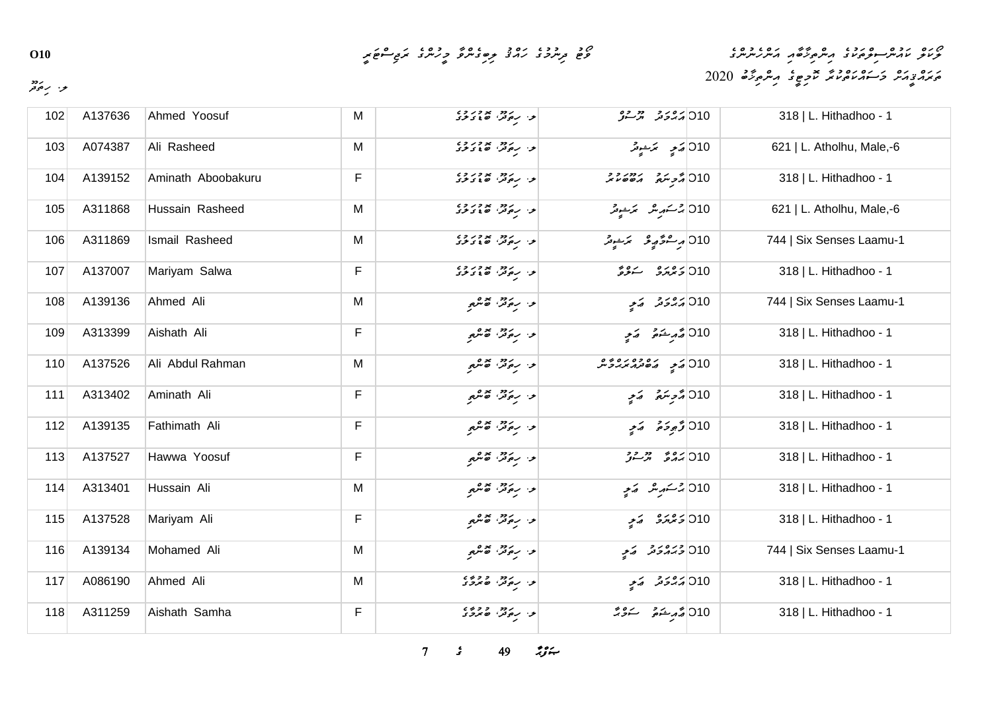*sCw7q7s5w7m< o<n9nOoAw7o< sCq;mAwBoEw7q<m; wBm;vB* م من المرة المرة المرة المرجع المرجع في المركبة 2020<br>مجم*د المريض المربوط المربع المرجع في المراجع المركبة* 

| 102 | A137636 | Ahmed Yoosuf       | M           | وسردوس بدوروه    | 010 كەبرى قارىقۇ                   | 318   L. Hithadhoo - 1    |
|-----|---------|--------------------|-------------|------------------|------------------------------------|---------------------------|
| 103 | A074387 | Ali Rasheed        | M           | والمردون الأورون | 010   تەمچە - ئىزخىيەتمە           | 621   L. Atholhu, Male,-6 |
| 104 | A139152 | Aminath Aboobakuru | $\mathsf F$ | والمردون الأورون | $2222$ $272$ $272$ $292$           | 318   L. Hithadhoo - 1    |
| 105 | A311868 | Hussain Rasheed    | M           | والمردون الأورون | 010 پرستہر مگر کرنے میں تھر        | 621   L. Atholhu, Male,-6 |
| 106 | A311869 | Ismail Rasheed     | M           | والمردون الأورون | 010 مەشگەر تىم تىرىدىگە            | 744   Six Senses Laamu-1  |
| 107 | A137007 | Mariyam Salwa      | $\mathsf F$ | والمردون مودرون  | 010 <i>5 پروژ شوگر</i>             | 318   L. Hithadhoo - 1    |
| 108 | A139136 | Ahmed Ali          | M           | و روده بومبر     | 010 <i>ټرچي چې</i>                 | 744   Six Senses Laamu-1  |
| 109 | A313399 | Aishath Ali        | $\mathsf F$ | و رود موه        | 010 مُگرِسْدَة كَ مَرْمٍ           | 318   L. Hithadhoo - 1    |
| 110 | A137526 | Ali Abdul Rahman   | M           | و روده مومر      | 010 كم موسوع ده ده ده م            | 318   L. Hithadhoo - 1    |
| 111 | A313402 | Aminath Ali        | $\mathsf F$ | و رود بوره       | 010 مَ <i>نْجِسَمْۃ مَنْجِ</i>     | 318   L. Hithadhoo - 1    |
| 112 | A139135 | Fathimath Ali      | F           | و روژه پوهې      | 010 <i>وُّجِوحَةُ ضَعٍ</i>         | 318   L. Hithadhoo - 1    |
| 113 | A137527 | Hawwa Yoosuf       | $\mathsf F$ | و رود سی ه شهر   | 010 بَرْدُوَّ بِرْسْرَقْ           | 318   L. Hithadhoo - 1    |
| 114 | A313401 | Hussain Ali        | M           | و رود بره م      | 010 پرڪيريش ڪيميو                  | 318   L. Hithadhoo - 1    |
| 115 | A137528 | Mariyam Ali        | $\mathsf F$ | و روژه بومو      | 010 كى پرو ھېچ                     | 318   L. Hithadhoo - 1    |
| 116 | A139134 | Mohamed Ali        | M           | و روده بومبر     | 010 <i>ڈیزون</i> ختر ک <i>ے یو</i> | 744   Six Senses Laamu-1  |
| 117 | A086190 | Ahmed Ali          | M           | و. رود ووه       | 010 <i>ټرېنځن چې</i>               | 318   L. Hithadhoo - 1    |
| 118 | A311259 | Aishath Samha      | F           | و رود ووړ        | 010 مۇمەيشقى سىۋېر                 | 318   L. Hithadhoo - 1    |

*7 sC 49 nNw?mS*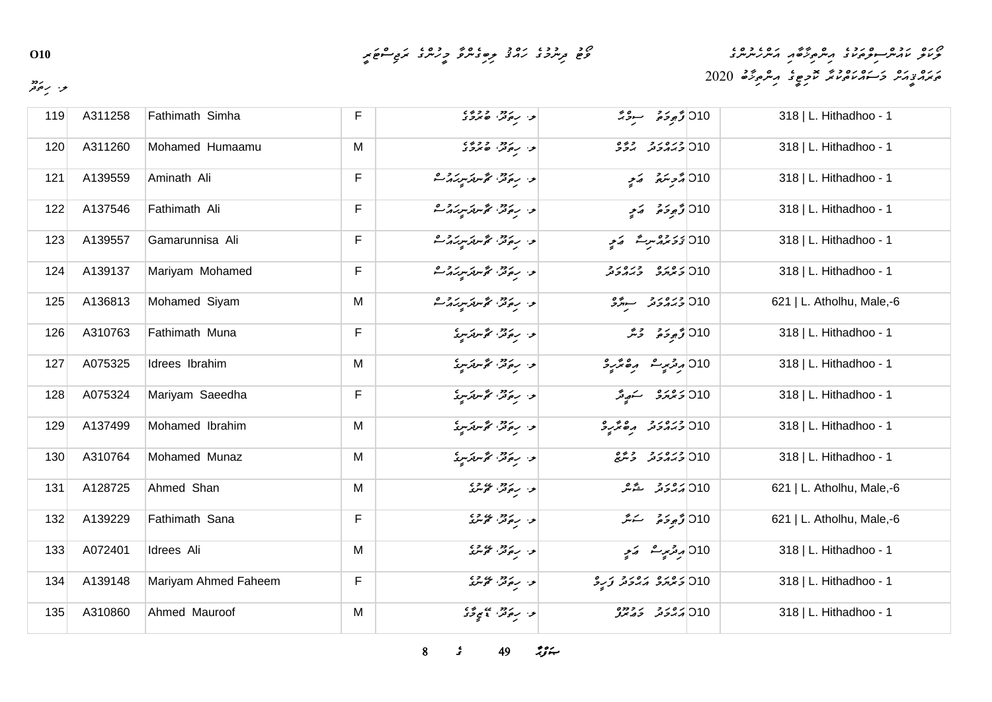*sCw7q7s5w7m< o<n9nOoAw7o< sCq;mAwBoEw7q<m; wBm;vB* م من المرة المرة المرة المرجع المرجع في المركبة 2020<br>مجم*د المريض المربوط المربع المرجع في المراجع المركبة* 

| 119 | A311258 | Fathimath Simha      | F           | و رود ووړه<br>و روتر همروی    | 010 رَّجِ دَ جَنَّ مِنْ سِنَةٍ مِنْ                                                                            | 318   L. Hithadhoo - 1    |
|-----|---------|----------------------|-------------|-------------------------------|----------------------------------------------------------------------------------------------------------------|---------------------------|
| 120 | A311260 | Mohamed Humaamu      | M           | و رود ووړه                    | $552 - 5525$ 010                                                                                               | 318   L. Hithadhoo - 1    |
| 121 | A139559 | Aminath Ali          | F           | و. رە ئۇ ئۇسترىيرىدىك         | 010 م <i>مَّحِسَمَّة - مَيْ</i> حِ                                                                             | 318   L. Hithadhoo - 1    |
| 122 | A137546 | Fathimath Ali        | F           | و رود گوستر سرد د             | ِ 010 گ <i>وچوچھ چچ</i>                                                                                        | 318   L. Hithadhoo - 1    |
| 123 | A139557 | Gamarunnisa Ali      | F           | و رەمى كەرەكرىرى -            | 010 تۇق <i>مۇمىرىتى مۇم</i> ر                                                                                  | 318   L. Hithadhoo - 1    |
| 124 | A139137 | Mariyam Mohamed      | $\mathsf F$ | و رەق ئۇسترىرىدىك             | 010 كەنگەر قەيدە ئەر                                                                                           | 318   L. Hithadhoo - 1    |
| 125 | A136813 | Mohamed Siyam        | M           | و رەق ئۇسترىرىدىك             | 010 دېم ديز سورگ                                                                                               | 621   L. Atholhu, Male,-6 |
| 126 | A310763 | Fathimath Muna       | F           | و. رەدو. ئۇسترسى              | 010 <i>ؤج</i> و <i>حقر</i> حم                                                                                  | 318   L. Hithadhoo - 1    |
| 127 | A075325 | Idrees Ibrahim       | M           | و. رەۋر، ئۇسترىيرىگ           | 010 موقرموے موقع تربیعی                                                                                        | 318   L. Hithadhoo - 1    |
| 128 | A075324 | Mariyam Saeedha      | F           | والمرجوش المحمولة سيكر سيك    | 010 <i>5 پروژ شهر شهر</i>                                                                                      | 318   L. Hithadhoo - 1    |
| 129 | A137499 | Mohamed Ibrahim      | M           | و. رِهُ قُرْ، مُحْسِرْسِرْ    | 010 دُبَرْدُدَنْدَ مِنْ بِرْدِ                                                                                 | 318   L. Hithadhoo - 1    |
| 130 | A310764 | Mohamed Munaz        | M           | و. رەۋر، ئۇسترسى              | 010 دېم پروتر کې شرچ                                                                                           | 318   L. Hithadhoo - 1    |
| 131 | A128725 | Ahmed Shan           | M           | و رکود دی وی<br>و رکوترا محمد | 010 كەبۇبۇقە ئەھەر                                                                                             | 621   L. Atholhu, Male,-6 |
| 132 | A139229 | Fathimath Sana       | F           | و روده په ده                  | 010 <b>ر</b> َّب <sub>ُّ</sub> ءِ حَقَّ سَمَّتَر                                                               | 621   L. Atholhu, Male,-6 |
| 133 | A072401 | Idrees Ali           | M           | وسرکوتر، گوسری                | 010 م <sub>و</sub> مزمرے م <i>ح</i> میہ                                                                        | 318   L. Hithadhoo - 1    |
| 134 | A139148 | Mariyam Ahmed Faheem | F           | وسرە بولار مۇسرى              | 010 كاندىرى كەبرى كەر بىر                                                                                      | 318   L. Hithadhoo - 1    |
| 135 | A310860 | Ahmed Mauroof        | M           | و روده ، وو                   | 010 كەبرى ئەھمىر بولغان ئاسلام بولۇپ بولۇپ بولۇپ بولۇپ بولۇپ بولۇپ بولۇپ بولۇپ بولۇپ بولۇپ بولۇپ بولۇپ بولۇپ ب | 318   L. Hithadhoo - 1    |

**8** *s* **49** *n***<sub>y</sub> <b>***s*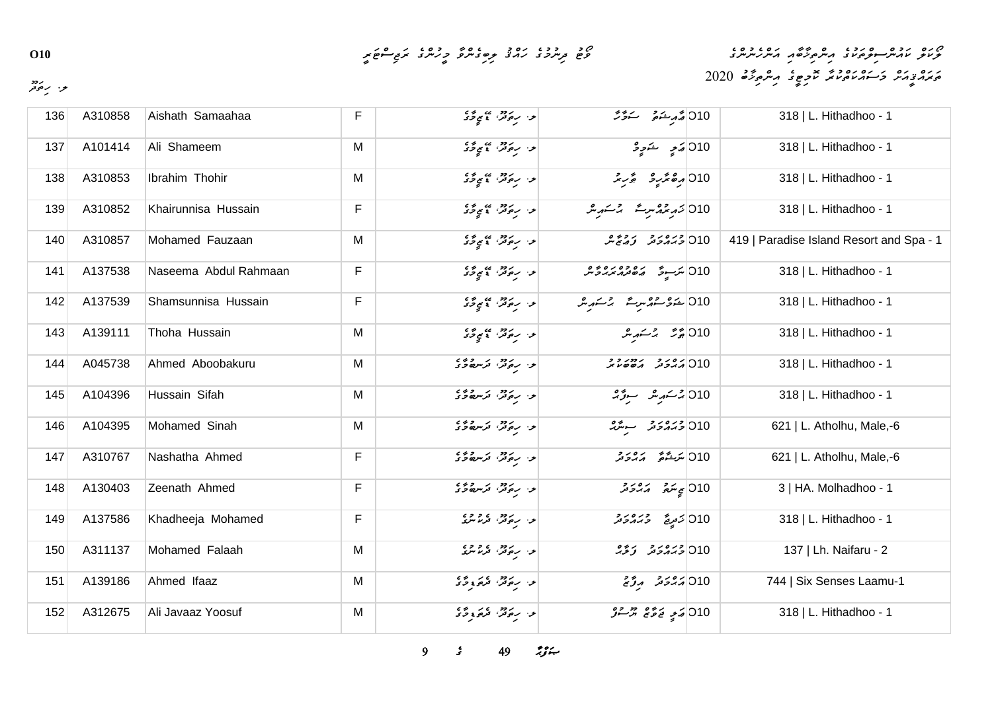*sCw7q7s5w7m< o<n9nOoAw7o< sCq;mAwBoEw7q<m; wBm;vB* م من المرة المرة المرة المرجع المرجع في المركبة 2020<br>مجم*د المريض المربوط المربع المرجع في المراجع المركبة* 

| 136 | A310858 | Aishath Samaahaa      | $\mathsf F$ | و رکړو ، عوڅو      | 010 مۇمەيشقى سىۋىز                              | 318   L. Hithadhoo - 1                   |
|-----|---------|-----------------------|-------------|--------------------|-------------------------------------------------|------------------------------------------|
| 137 | A101414 | Ali Shameem           | M           | و روده په وی       | 010 کم په شمې                                   | 318   L. Hithadhoo - 1                   |
| 138 | A310853 | Ibrahim Thohir        | M           | و رود » وه         | 010 م <i>وڭ مگرى</i> تەرىخە                     | 318   L. Hithadhoo - 1                   |
| 139 | A310852 | Khairunnisa Hussain   | $\mathsf F$ | و رود په وه        | 010 ئەمەتمەرىرىگە كەسكەرلىر                     | 318   L. Hithadhoo - 1                   |
| 140 | A310857 | Mohamed Fauzaan       | M           | لو، رەۋىر، ، ، ئوڭ | 010 <i>ۋېزە دۇ بۇ دە</i> مچىر                   | 419   Paradise Island Resort and Spa - 1 |
| 141 | A137538 | Naseema Abdul Rahmaan | $\mathsf F$ | و رکړو په ده       | 010 كىرىدۇ ھەھمەم بەرەپ                         | 318   L. Hithadhoo - 1                   |
| 142 | A137539 | Shamsunnisa Hussain   | $\mathsf F$ | و روژه ، وژه       | 010 خۇمى <i>مەھبىرىگە</i> ب <sub>ى</sub> سەمبەش | 318   L. Hithadhoo - 1                   |
| 143 | A139111 | Thoha Hussain         | M           | و رود ، ور         | 010 ۾ جي پر جيڪمبر س                            | 318   L. Hithadhoo - 1                   |
| 144 | A045738 | Ahmed Aboobakuru      | M           | و. رود. ترسه دور   | $22222$ $2225$                                  | 318   L. Hithadhoo - 1                   |
| 145 | A104396 | Hussain Sifah         | M           | و. رود. ترسه وو.   | 010 پرسٹمبریٹر سورمبر                           | 318   L. Hithadhoo - 1                   |
| 146 | A104395 | Mohamed Sinah         | M           | و. رود ترسط ده     | 010 دېم دېمر موسیق                              | 621   L. Atholhu, Male,-6                |
| 147 | A310767 | Nashatha Ahmed        | $\mathsf F$ | و. رەدو. مەسھى     |                                                 | 621   L. Atholhu, Male,-6                |
| 148 | A130403 | Zeenath Ahmed         | $\mathsf F$ | و. رە دە ئەسھەر    | 010 <sub>ى</sub> يەتى <i>ق مەجىھ</i> تە         | 3   HA. Molhadhoo - 1                    |
| 149 | A137586 | Khadheeja Mohamed     | $\mathsf F$ | و رکوش فرمانوی     | 010 كَرْمِيعٌ - <i>وْشُ</i> مْرَ مْرْ           | 318   L. Hithadhoo - 1                   |
| 150 | A311137 | Mohamed Falaah        | M           | و رود وووه         | 010 <i>\$نەۋەتى ق</i> ۇر                        | 137   Lh. Naifaru - 2                    |
| 151 | A139186 | Ahmed Ifaaz           | M           | و رکړو دی ده       | 010 كەش <sup>ى</sup> رىقى مەرگى                 | 744   Six Senses Laamu-1                 |
| 152 | A312675 | Ali Javaaz Yoosuf     | M           | و روده در دو       | 010 كەيپ قەرقىچ ئۆستۇ                           | 318   L. Hithadhoo - 1                   |

*9 s* 49 *n*<sub>2</sub> *n*<sub>2</sub> *n*<sub>2</sub> *n*<sub>2</sub> *n*<sub>2</sub> *n*<sub>2</sub> *n*<sub>2</sub> *n*<sub>2</sub> *n*<sub>2</sub> *n*<sub>2</sub> *n*<sub>2</sub> *n*<sub>2</sub> *n*<sub>2</sub> *n*<sub>2</sub> *n*<sub>2</sub> *n*<sub>2</sub> *n*<sub>2</sub> *n*<sub>2</sub> *n*<sub>2</sub> *n*<sub>2</sub> *n*<sub>2</sub> *n*<sub>2</sub> *n*<sub>2</sub> *n*<sub>2</sub> *n*<sub>2</sub> *n*<sub>2</sub> *n*<sub>2</sub> *n*<sub>2</sub> *n*<sub>2</sub> *n*<sub>2</sub>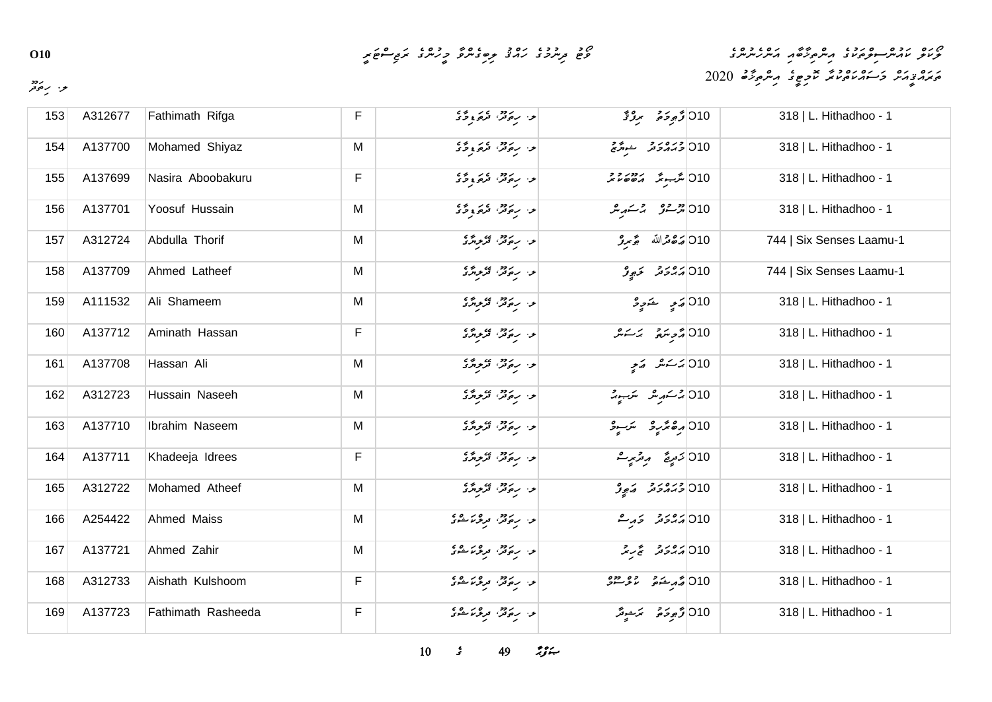*sCw7q7s5w7m< o<n9nOoAw7o< sCq;mAwBoEw7q<m; wBm;vB* م من المرة المرة المرة المرجع المرجع في المركبة 2020<br>مجم*د المريض المربوط المربع المرجع في المراجع المركبة* 

| 153 | A312677 | Fathimath Rifga    | $\mathsf F$ | و رەتر، ترەپ دې    | 010 <i>وَّجِوَة مِروْدَ</i> ّ                                                 | 318   L. Hithadhoo - 1   |
|-----|---------|--------------------|-------------|--------------------|-------------------------------------------------------------------------------|--------------------------|
| 154 | A137700 | Mohamed Shiyaz     | м           | و رود ورکو         | 010 كەندى كەشەرگەنچ                                                           | 318   L. Hithadhoo - 1   |
| 155 | A137699 | Nasira Aboobakuru  | $\mathsf F$ | و رود در ده        | 010 مگر ہے محمد محمد محمد اللہ علی                                            | 318   L. Hithadhoo - 1   |
| 156 | A137701 | Yoosuf Hussain     | M           | و رکړي ترځ دی      | 010 ټرينو پر ښه په                                                            | 318   L. Hithadhoo - 1   |
| 157 | A312724 | Abdulla Thorif     | M           | و ، رود » ترورد    | 010 كَرْحْدْرْاللَّهُ مَجْمَعِرْ                                              | 744   Six Senses Laamu-1 |
| 158 | A137709 | Ahmed Latheef      | M           | و رکړو ترومرک      | 010 <i>ټرېنځن</i> تو <sub>چ</sub> و                                           | 744   Six Senses Laamu-1 |
| 159 | A111532 | Ali Shameem        | M           | و رەتر، ئۇجەدى     | 010 <i>ڇَجِ حکوچ</i> و                                                        | 318   L. Hithadhoo - 1   |
| 160 | A137712 | Aminath Hassan     | $\mathsf F$ | و رکړو ترومری      | 010 مَّ حِسَمَّى سَرَسْر                                                      | 318   L. Hithadhoo - 1   |
| 161 | A137708 | Hassan Ali         | M           | و رکوش ترجه دی     | 010 ټريىش پې چې                                                               | 318   L. Hithadhoo - 1   |
| 162 | A312723 | Hussain Naseeh     | M           | و رکړو ترومرک      | 010 پرڪيريش ڪرسي پر                                                           | 318   L. Hithadhoo - 1   |
| 163 | A137710 | Ibrahim Naseem     | M           | و رکړو ترومرد      | 010 <sub>مر</sub> ھ پڑر پ <sub>ر س</sub> رے کر کر کر کر کر کر کر کر کر دیا تھ | 318   L. Hithadhoo - 1   |
| 164 | A137711 | Khadeeja Idrees    | $\mathsf F$ | و رود به ترجه ده   | 010 كَتَمِيعٌ - مِثْرَمِيْتٌ-                                                 | 318   L. Hithadhoo - 1   |
| 165 | A312722 | Mohamed Atheef     | M           | و رکړو شرورۍ       | 010 <i>\$نەممىق مەمو</i> ر                                                    | 318   L. Hithadhoo - 1   |
| 166 | A254422 | Ahmed Maiss        | M           | و رەپى برورى       | 010 كەندى قىرىشە                                                              | 318   L. Hithadhoo - 1   |
| 167 | A137721 | Ahmed Zahir        | M           | و رکړي فرقر شوی    | 010 <i>ټرېنځن</i> پخ <i>پ</i> ر                                               | 318   L. Hithadhoo - 1   |
| 168 | A312733 | Aishath Kulshoom   | F           | و رەپى برورىي      | 010 گەرىشەر مەم يومبۇ                                                         | 318   L. Hithadhoo - 1   |
| 169 | A137723 | Fathimath Rasheeda | F           | و رړو دي. د څرکتون | 010 رَّ <sub>ج</sub> وحَ <sup>مِ</sup> - <sub>مَ</sub> رْسِمَّ                | 318   L. Hithadhoo - 1   |

*10 s* 49 *i*<sub>s</sub> $\approx$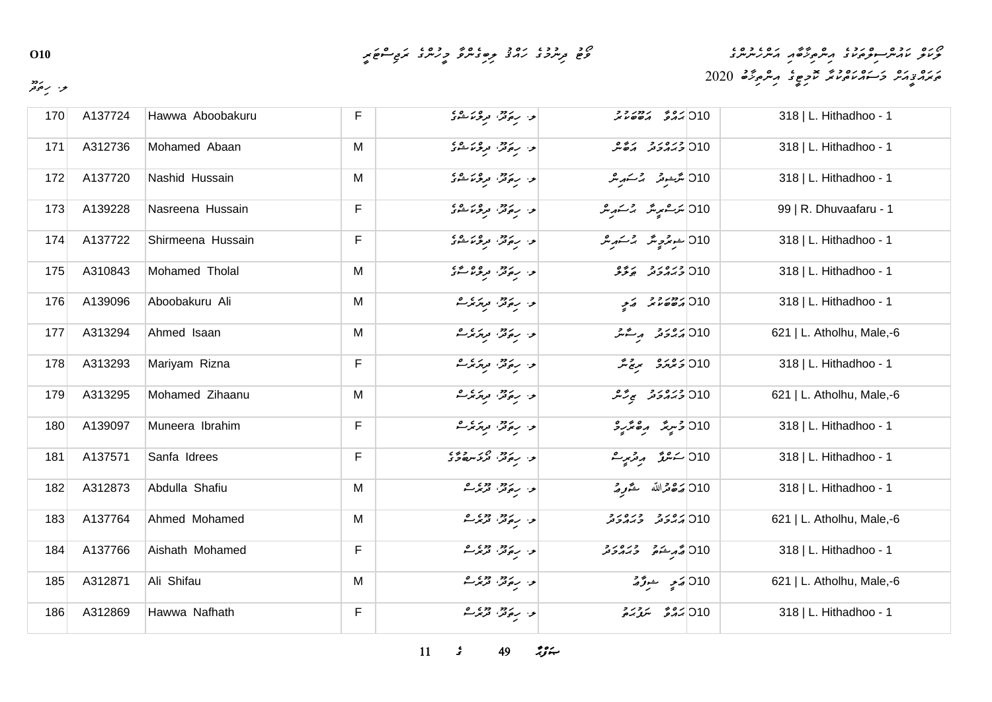*sCw7q7s5w7m< o<n9nOoAw7o< sCq;mAwBoEw7q<m; wBm;vB* م من المرة المرة المرة المرجع المرجع في المركبة 2020<br>مجم*د المريض المربوط المربع المرجع في المراجع المركبة* 

| 170 | A137724 | Hawwa Aboobakuru  | F | و رەپى برورىيى                | 2222 / 2010                                         | 318   L. Hithadhoo - 1    |
|-----|---------|-------------------|---|-------------------------------|-----------------------------------------------------|---------------------------|
| 171 | A312736 | Mohamed Abaan     | M | و رەپى برورىيى                | 010 <i>ۋېزونز مەھىر</i>                             | 318   L. Hithadhoo - 1    |
| 172 | A137720 | Nashid Hussain    | M | و رەپى برورىدە،               | 010 مگرجونڈ کے سکھر مگر                             | 318   L. Hithadhoo - 1    |
| 173 | A139228 | Nasreena Hussain  | F | و رەپى برورىدە ،              | 010 ىترىشىچە جەستەپەتل                              | 99   R. Dhuvaafaru - 1    |
| 174 | A137722 | Shirmeena Hussain | F | و رکھی فرقر دی                | 010 جو پڙپ سگ جيڪ پر شر                             | 318   L. Hithadhoo - 1    |
| 175 | A310843 | Mohamed Tholal    | M | و رەپى بروەت،                 | 010 دېم پروتر پروتو                                 | 318   L. Hithadhoo - 1    |
| 176 | A139096 | Aboobakuru Ali    | M | و. رەۋر، مەركەك               | 010 كە <i>ھەمتى كەبى</i>                            | 318   L. Hithadhoo - 1    |
| 177 | A313294 | Ahmed Isaan       | M | و. رەۋىر، مەركەك              | 010   پروژبی پرسٹریمر                               | 621   L. Atholhu, Male,-6 |
| 178 | A313293 | Mariyam Rizna     | F | و. رِيَوْتُرُ، تَرِيزُ بَرْتَ | 010 كەنگەر ئەسىم ئىگەنگە                            | 318   L. Hithadhoo - 1    |
| 179 | A313295 | Mohamed Zihaanu   | M | و. رەۋر، مەركەرگ              | 010  <i>\$ند\$ى قى يى</i> ر                         | 621   L. Atholhu, Male,-6 |
| 180 | A139097 | Muneera Ibrahim   | F | و. رەۋر، مەركەك               | 010   جُسِعٌ مِنْ مِنْ مِنْ مِنْ                    | 318   L. Hithadhoo - 1    |
| 181 | A137571 | Sanfa Idrees      | F | و. رەۋە ئەرسەدە               | 010 سەنئىر پەرتىپەيشە                               | 318   L. Hithadhoo - 1    |
| 182 | A312873 | Abdulla Shafiu    | M | و رکړو ده ده و                | 010 <i>ھَ</i> جُھُ مَّرَاللَّه مُتَّمَو <i>ِ ھُ</i> | 318   L. Hithadhoo - 1    |
| 183 | A137764 | Ahmed Mohamed     | M | و رود دوره و                  | 010 كەبروتر بەيدە ئەر                               | 621   L. Atholhu, Male,-6 |
| 184 | A137766 | Aishath Mohamed   | F | و. رەۋر، قرىرگ                | 010 مۇم شەھ ھە <i>مەھەت</i> ر                       | 318   L. Hithadhoo - 1    |
| 185 | A312871 | Ali Shifau        | M | و رکړو دوره                   | 010 <i>ھ جو</i> جو پھر                              | 621   L. Atholhu, Male,-6 |
| 186 | A312869 | Hawwa Nafhath     | F | و. رەۋر، دويزىق               | 010 <i>بَدْهُ مَّدْبَهُ</i>                         | 318   L. Hithadhoo - 1    |

 $11$  *s* 49  $23$   $\div$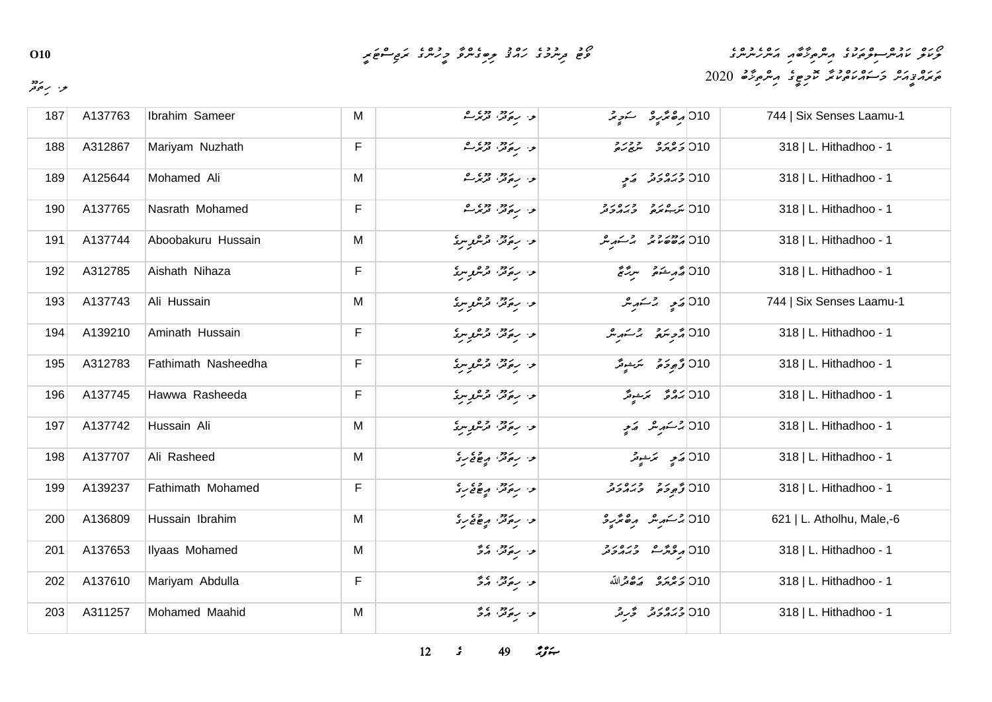*sCw7q7s5w7m< o<n9nOoAw7o< sCq;mAwBoEw7q<m; wBm;vB* م من المرة المرة المرة المرجع المرجع في المركبة 2020<br>مجم*د المريض المربوط المربع المرجع في المراجع المركبة* 

| 187 | A137763 | Ibrahim Sameer      | M            | و ريږون ودي ه        | 010 <sub>مر</sub> ھ م <i>گرچ</i> و سکوچر       | 744   Six Senses Laamu-1  |
|-----|---------|---------------------|--------------|----------------------|------------------------------------------------|---------------------------|
| 188 | A312867 | Mariyam Nuzhath     | F            | و رود دوره و         | 010 كەنگەر ئىس ئىقى ئەھ                        | 318   L. Hithadhoo - 1    |
| 189 | A125644 | Mohamed Ali         | M            | و رود دوره           | 010 <i>\$نەچەتىھى</i> ق                        | 318   L. Hithadhoo - 1    |
| 190 | A137765 | Nasrath Mohamed     | $\mathsf F$  | و رکړو دوی ه         | 010 ترجونز وبرورو                              | 318   L. Hithadhoo - 1    |
| 191 | A137744 | Aboobakuru Hussain  | M            | و. رەۋر، قرىتروپىرىگ | 010 كەن بۇيدىكى بەشكەر بىر                     | 318   L. Hithadhoo - 1    |
| 192 | A312785 | Aishath Nihaza      | $\mathsf F$  | و. رەۋر، قرىگرىسىد   | 010 ۾ پرڪنو گسرچينج                            | 318   L. Hithadhoo - 1    |
| 193 | A137743 | Ali Hussain         | M            | و. رەۋر، قرىگرىسىد   | 010 کھ پر جر شہر شر                            | 744   Six Senses Laamu-1  |
| 194 | A139210 | Aminath Hussain     | $\mathsf F$  | و. رەۋر، قرىگرىسىد   | 010 مَّ حِ سَمَّ مِ حَسَنِ مِّرْ               | 318   L. Hithadhoo - 1    |
| 195 | A312783 | Fathimath Nasheedha | F            | و رەپى ترىرىرىز      | 010 <i>وُّجِ دَمَّة مَرْسُ</i> مِتَرُ          | 318   L. Hithadhoo - 1    |
| 196 | A137745 | Hawwa Rasheeda      | $\mathsf{F}$ | ا د رېږده تر شرو سره | 010 <i>يَرْدُمَّ</i> - مَرْج <sup>وم</sup> َّر | 318   L. Hithadhoo - 1    |
| 197 | A137742 | Hussain Ali         | M            | و. رەۋر، قرىگرىسىد   | 010 پرڪبريش ڪيچي                               | 318   L. Hithadhoo - 1    |
| 198 | A137707 | Ali Rasheed         | M            | و رکونز، رکھنے رکھ   | 010 کھ پر مرحومہ                               | 318   L. Hithadhoo - 1    |
| 199 | A139237 | Fathimath Mohamed   | $\mathsf F$  | وسردود برقوم ره      | 010 گەچ قەر قەتىدى قىلىرىد                     | 318   L. Hithadhoo - 1    |
| 200 | A136809 | Hussain Ibrahim     | M            | و رکونز، رِجْعَ رِیَ | 010 يُرسَمبِ هُمْ مِنْ مُرْكَبِيْرِ            | 621   L. Atholhu, Male,-6 |
| 201 | A137653 | Ilyaas Mohamed      | M            | د روده، د د          | 010 مۇنگە ئەزەدىر                              | 318   L. Hithadhoo - 1    |
| 202 | A137610 | Mariyam Abdulla     | $\mathsf F$  | وسيحوش أدبح          | $O10$ كَرْتَرْدَ مَدْهَدْاللّه                 | 318   L. Hithadhoo - 1    |
| 203 | A311257 | Mohamed Maahid      | M            | وسيده وده والمح      | 010  <i>3223\$رقى گې</i> وتر                   | 318   L. Hithadhoo - 1    |

*12 s* 49 *if*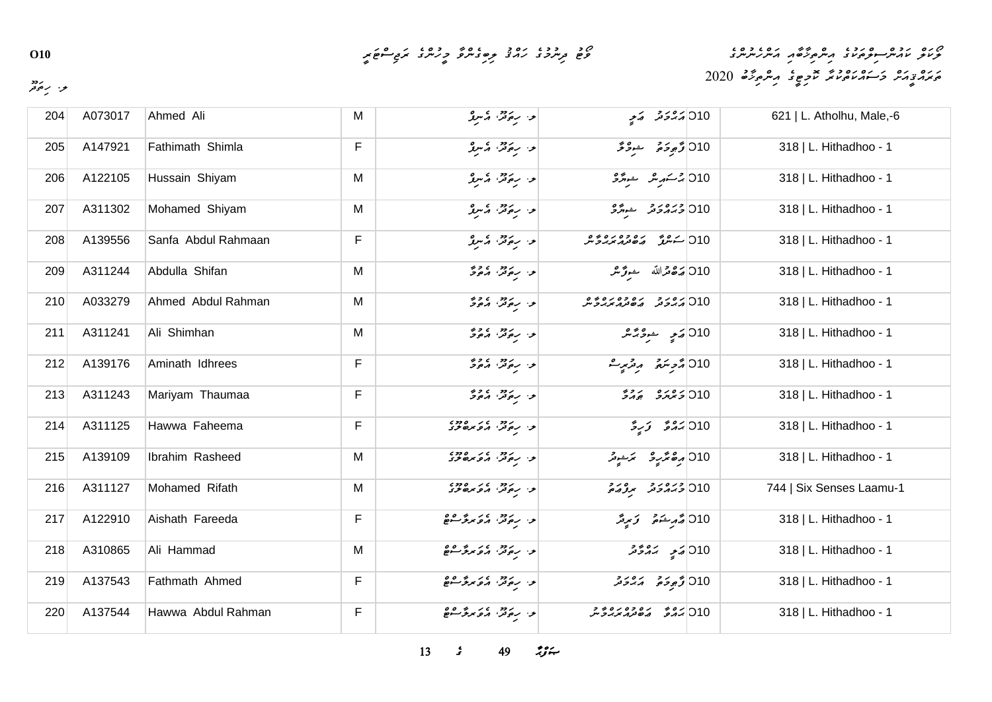*sCw7q7s5w7m< o<n9nOoAw7o< sCq;mAwBoEw7q<m; wBm;vB* م من المرة المرة المرة المرجع المرجع في المركبة 2020<br>مجم*د المريض المربوط المربع المرجع في المراجع المركبة* 

| 204 | A073017 | Ahmed Ali           | M           | و رېږده کرسو              | 010 <i>ټرچي چې</i>                                                                                   | 621   L. Atholhu, Male,-6 |  |
|-----|---------|---------------------|-------------|---------------------------|------------------------------------------------------------------------------------------------------|---------------------------|--|
| 205 | A147921 | Fathimath Shimla    | $\mathsf F$ | والركوش المسرو            | 010 <i>وُّجِ حَمَّ</i> شِوْحَرَّ                                                                     | 318   L. Hithadhoo - 1    |  |
| 206 | A122105 | Hussain Shiyam      | M           | أوسي وكالمحمد والمسترقى   | 010 يُرْسَمْ بِهِ سِبْرَةَ وَ                                                                        | 318   L. Hithadhoo - 1    |  |
| 207 | A311302 | Mohamed Shiyam      | M           | و رەتر، مەر               | $5.525$ $2.525$ $010$                                                                                | 318   L. Hithadhoo - 1    |  |
| 208 | A139556 | Sanfa Abdul Rahmaan | F           | و روده کرمړ               | 010 كەش ئەھ <i>مەتەر ئەرە</i>                                                                        | 318   L. Hithadhoo - 1    |  |
| 209 | A311244 | Abdulla Shifan      | M           | والمردون وو               | 010 كەڭداللە خى <i>رۇنتر</i>                                                                         | 318   L. Hithadhoo - 1    |  |
| 210 | A033279 | Ahmed Abdul Rahman  | M           | و رەۋش مەدە               | 010 كەبۇر كەرگە <i>كەھەتمەر قىرى</i> گە                                                              | 318   L. Hithadhoo - 1    |  |
| 211 | A311241 | Ali Shimhan         | M           | 550, 350, 5               | 010 كەير بەردىگە                                                                                     | 318   L. Hithadhoo - 1    |  |
| 212 | A139176 | Aminath Idhrees     | $\mathsf F$ | وسيدود بادو               | 010 مَّ <i>جِ</i> سَمَّۃ مِقْ مِرِ سِمَّ                                                             | 318   L. Hithadhoo - 1    |  |
| 213 | A311243 | Mariyam Thaumaa     | $\mathsf F$ | د رود ، ده<br>د روتر ارود | 010 <i>خېرىۋە بۇرۇ</i>                                                                               | 318   L. Hithadhoo - 1    |  |
| 214 | A311125 | Hawwa Faheema       | $\mathsf F$ | و. رود در ۵۶۵ و.          | 010 يَرْدُمَّ     تَرَرِدَّ                                                                          | 318   L. Hithadhoo - 1    |  |
| 215 | A139109 | Ibrahim Rasheed     | M           | י ני בי וני ברי ברי       | 010 مەھ ئۇر بىسى ئىكتىنى ئىستىدا ئىستان ئىستان ئىستان ئىستان ئىستان ئىستان ئىستان ئىستان ئىستان ئىست | 318   L. Hithadhoo - 1    |  |
| 216 | A311127 | Mohamed Rifath      | M           | י נפי וכר בי הסיבי        | 010 <i>5 - 35 مروضو</i><br>010 <i>5 - 35 مروضو</i>                                                   | 744   Six Senses Laamu-1  |  |
| 217 | A122910 | Aishath Fareeda     | F           | والمردود الأرواد وه       | 010 <mark>م</mark> ەم شەتە <i>ق م</i> وما <i>ً</i>                                                   | 318   L. Hithadhoo - 1    |  |
| 218 | A310865 | Ali Hammad          | M           | و ريوس دوروه ه            | ِ 10∣ <i>ړَې ب</i> َهگلا                                                                             | 318   L. Hithadhoo - 1    |  |
| 219 | A137543 | Fathmath Ahmed      | $\mathsf F$ | والمردود الأو بروامهم     | 010 <i>وٌجوحَمْ مَدْحَدٌ</i>                                                                         | 318   L. Hithadhoo - 1    |  |
| 220 | A137544 | Hawwa Abdul Rahman  | $\mathsf F$ | والمردود الأو برواما      | 010  <i>ټرو ئې مقدم تروڅ</i> ش                                                                       | 318   L. Hithadhoo - 1    |  |

*13 s* 49 *if*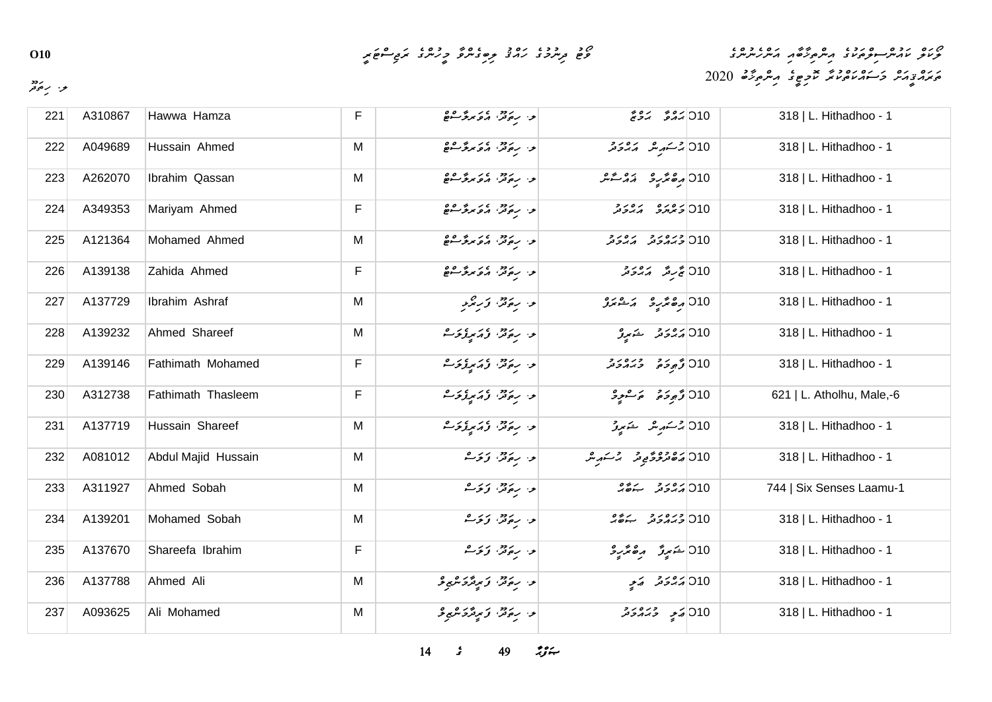*sCw7q7s5w7m< o<n9nOoAw7o< sCq;mAwBoEw7q<m; wBm;vB* م من المرة المرة المرة المرجع المرجع في المركبة 2020<br>مجم*د المريض المربوط المربع المرجع في المراجع المركبة* 

| 221 | A310867 | Hawwa Hamza         | $\mathsf F$ | والمردود الأحر يومني    | 010 <i>تەۋق بەۋق</i>                                        | 318   L. Hithadhoo - 1    |
|-----|---------|---------------------|-------------|-------------------------|-------------------------------------------------------------|---------------------------|
| 222 | A049689 | Hussain Ahmed       | M           | والمردود المتحدوث المعا | 010  يرسكو بكر مركز تركيز                                   | 318   L. Hithadhoo - 1    |
| 223 | A262070 | Ibrahim Qassan      | M           | و. رەتر، مەر ۋى         | 010 مەھەر بىرە ئەرگە ئاھاتقا ئاھاتقا بىر 10 كىلىر بىر ئاھات | 318   L. Hithadhoo - 1    |
| 224 | A349353 | Mariyam Ahmed       | F           | والمردود المراد وه      | 010 كەبەر <i>مەدە</i> ر                                     | 318   L. Hithadhoo - 1    |
| 225 | A121364 | Mohamed Ahmed       | M           | و. رە دە ، دە بولى      | 010 <i>ۋېزو دې مرونو</i>                                    | 318   L. Hithadhoo - 1    |
| 226 | A139138 | Zahida Ahmed        | $\mathsf F$ | والمردود الأو بروامهم   | 010 يُحرِمَّد     يَرْدُوَمَّد                              | 318   L. Hithadhoo - 1    |
| 227 | A137729 | Ibrahim Ashraf      | M           | والريخ تورجون           | 010 مەھەمگەر بەر مەشەمگە                                    | 318   L. Hithadhoo - 1    |
| 228 | A139232 | Ahmed Shareef       | M           | و رەپى ۋە پروتر         | 010 كەندى قىر سى <i>مبى</i> ر                               | 318   L. Hithadhoo - 1    |
| 229 | A139146 | Fathimath Mohamed   | F           | و رەپى ۋە بولۇش         | 010 گەچ قەر قەتىر قىرىدىن                                   | 318   L. Hithadhoo - 1    |
| 230 | A312738 | Fathimath Thasleem  | $\mathsf F$ | و رەپى ۋە پروترى        | 010 زَّەپرىق ھَ شَمْرِ دُّ                                  | 621   L. Atholhu, Male,-6 |
| 231 | A137719 | Hussain Shareef     | M           | و رەپى ۋە بروترى        | 010  2سىمبەش ھەمبەتى                                        | 318   L. Hithadhoo - 1    |
| 232 | A081012 | Abdul Majid Hussain | M           | ى رەتۇ، ئەنزىق          | 010 كەھەر <sub>م</sub> ۇد قويمە بەر شەرىش                   | 318   L. Hithadhoo - 1    |
| 233 | A311927 | Ahmed Sobah         | M           | ى رەتۇ، ئەنزىش          | 010 كەبرىق بەشقەر                                           | 744   Six Senses Laamu-1  |
| 234 | A139201 | Mohamed Sobah       | M           | ى رەپى ئەتەر            | $222 - 222 = 010$                                           | 318   L. Hithadhoo - 1    |
| 235 | A137670 | Shareefa Ibrahim    | $\mathsf F$ | ى رەۋە ئەترى            | 010 ڪيپو <i>ڙ م</i> ڦٽريڪ                                   | 318   L. Hithadhoo - 1    |
| 236 | A137788 | Ahmed Ali           | M           | و رەتر زىرىگەنكى ئ      | 010 <i>ټرچي چې</i>                                          | 318   L. Hithadhoo - 1    |
| 237 | A093625 | Ali Mohamed         | M           | والرءون ويرتزونن و      | 010 <i>ھَ۔ جي مُحمَّد قر</i>                                | 318   L. Hithadhoo - 1    |

*14 s* 49 *if*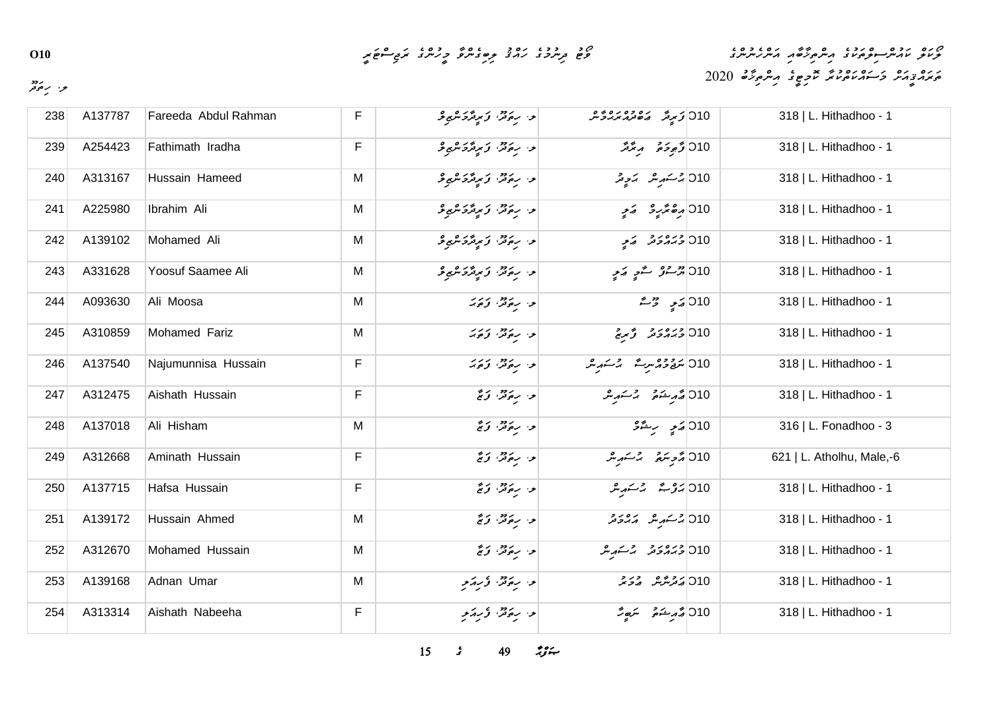*sCw7q7s5w7m< o<n9nOoAw7o< sCq;mAwBoEw7q<m; wBm;vB* م من المرة المرة المرة المرجع المرجع في المركبة 2020<br>مجم*د المريض المربوط المربع المرجع في المراجع المركبة* 

| 238 | A137787 | Fareeda Abdul Rahman | $\mathsf F$ | و رەتر، زىرىگەنگە بى      | 010 <i>ۆپى</i> تر مەمەمەر ئەر                  | 318   L. Hithadhoo - 1    |
|-----|---------|----------------------|-------------|---------------------------|------------------------------------------------|---------------------------|
| 239 | A254423 | Fathimath Iradha     | F           | والركابي ويرتزك تريوع     | 010 <i>ؤوخو م</i> ېتمى <i>گ</i>                | 318   L. Hithadhoo - 1    |
| 240 | A313167 | Hussain Hameed       | M           | و رەپى ئەيرترىش ب         | 010 پرستمبر تر پر تر                           | 318   L. Hithadhoo - 1    |
| 241 | A225980 | Ibrahim Ali          | M           | و رەپى ئېرتگەنگەنى        | 010 <i>پرهنگړی کې</i> چ                        | 318   L. Hithadhoo - 1    |
| 242 | A139102 | Mohamed Ali          | M           | و رەپى كەيدۇرىر           | 010 <i>ڈیز پڑتھ کی ج</i>                       | 318   L. Hithadhoo - 1    |
| 243 | A331628 | Yoosuf Saamee Ali    | M           | و رەتر، ئەيگەنگەنى        | 010 پڙتے وڻجو ڪچ ج                             | 318   L. Hithadhoo - 1    |
| 244 | A093630 | Ali Moosa            | M           | والمرجوش تمكان            | 010 کی پی جی ش                                 | 318   L. Hithadhoo - 1    |
| 245 | A310859 | Mohamed Fariz        | M           | كالمحاسب والمرور والمردار | 010 دېمەدىر گەرىم                              | 318   L. Hithadhoo - 1    |
| 246 | A137540 | Najumunnisa Hussain  | F           | وسيخض تمخط                | 010 <i>ىنق<sup>ى</sup>ق قەمبىت بىرىتىرىن</i> ر | 318   L. Hithadhoo - 1    |
| 247 | A312475 | Aishath Hussain      | F           | وسيطحش تخفج               | 010 <i>ھُ مِ</i> شَمَعَ بِرَ سَمبر مِسْر       | 318   L. Hithadhoo - 1    |
| 248 | A137018 | Ali Hisham           | M           | وسيقظ تق                  | 010 كەي رىشى                                   | 316   L. Fonadhoo - 3     |
| 249 | A312668 | Aminath Hussain      | F           | وسيقظ تق                  | 010 مَّ حِسَمَّة حَسَّمَ مِسْر                 | 621   L. Atholhu, Male,-6 |
| 250 | A137715 | Hafsa Hussain        | F           | و رکھڻ ڏڻ                 | 010 ټروبنه پرسکه پر                            | 318   L. Hithadhoo - 1    |
| 251 | A139172 | Hussain Ahmed        | M           | وسيعوش ترتج               | 010 يرىسى <i>ز مەدەن</i> تە                    | 318   L. Hithadhoo - 1    |
| 252 | A312670 | Mohamed Hussain      | ${\sf M}$   | وسيعوش ترتج               | 010 ۇ <i>ئەۋى قەسىمبىرى ئى</i>                 | 318   L. Hithadhoo - 1    |
| 253 | A139168 | Adnan Umar           | M           | والمبكارة وكالمركز        | 010 كەنگەنگە ھە <i>مى</i> قەتلىر               | 318   L. Hithadhoo - 1    |
| 254 | A313314 | Aishath Nabeeha      | F           | والركابين وكرامر          | 010 <mark>م</mark> ەم ئىقىمە سى <i>ھەت</i>     | 318   L. Hithadhoo - 1    |

*15 s* 49 *if*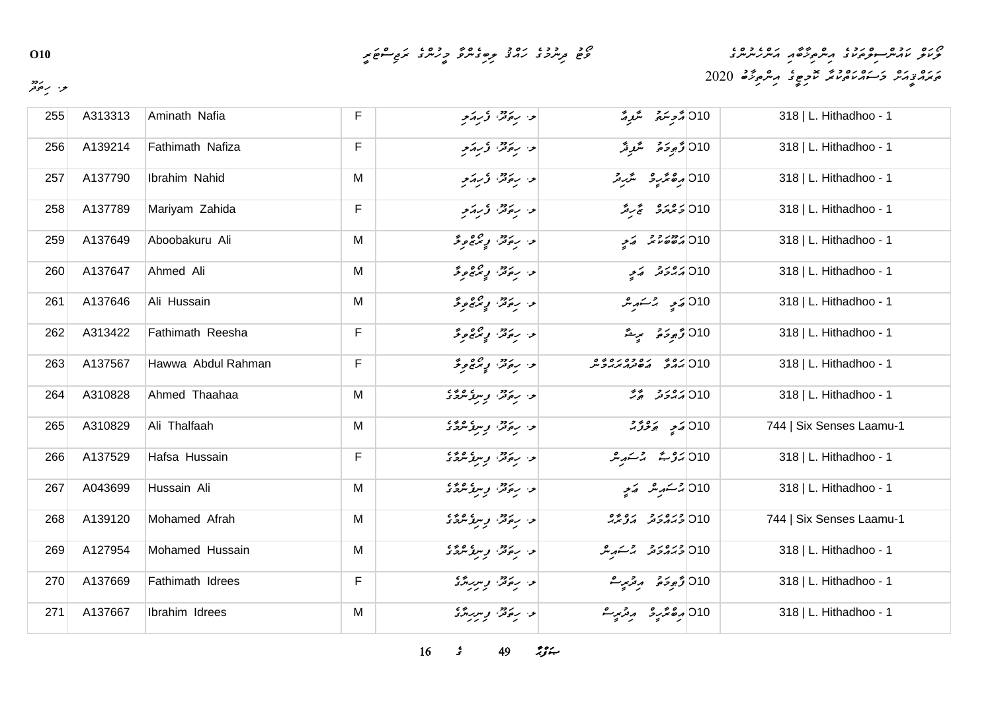*sCw7q7s5w7m< o<n9nOoAw7o< sCq;mAwBoEw7q<m; wBm;vB* م من المرة المرة المرة المرجع المراجع المراجع المراجع المراجع المراجع المراجع المراجع المراجع المراجع المراجع<br>مرين المراجع المراجع المرجع المراجع المراجع المراجع المراجع المراجع المراجع المراجع المراجع المراجع المراجع ال

| 255 | A313313 | Aminath Nafia      | F           | والركادفي وكرمانو    | 010 مٌ وِسَمَعٌ سَمْدِمٌ                      | 318   L. Hithadhoo - 1   |
|-----|---------|--------------------|-------------|----------------------|-----------------------------------------------|--------------------------|
| 256 | A139214 | Fathimath Nafiza   | F           | والركادفي وكرمانو    | 010 <i>وُّجِوَدَة</i> مُتَّمَّدِنَّ <i>رُ</i> | 318   L. Hithadhoo - 1   |
| 257 | A137790 | Ibrahim Nahid      | M           | أوسيركان وكباركم     | 010 م <i>وڭ ئۇرىقى ئىگرى</i> تى               | 318   L. Hithadhoo - 1   |
| 258 | A137789 | Mariyam Zahida     | $\mathsf F$ | والركابين وكرامو     | 010 كەندىر ئى ئىچ بەنگە                       | 318   L. Hithadhoo - 1   |
| 259 | A137649 | Aboobakuru Ali     | M           | لو. رەدىن پەنگەھەتتە | 010 كەنھەتمەتتە كە <i>ي</i>                   | 318   L. Hithadhoo - 1   |
| 260 | A137647 | Ahmed Ali          | M           | و روده پرچونځ        | 010 <i>ټرچي چې</i>                            | 318   L. Hithadhoo - 1   |
| 261 | A137646 | Ali Hussain        | M           | در روزه، و پرچ و څه  | 010 کھ پر جر شہر شر                           | 318   L. Hithadhoo - 1   |
| 262 | A313422 | Fathimath Reesha   | F           | در رودن و پرچ و څه   | 010 <i>ؤودة</i> ب <sub>ي</sub> ث              | 318   L. Hithadhoo - 1   |
| 263 | A137567 | Hawwa Abdul Rahman | F           | أوسرة وتربيع وقر     | 010 كەش مەمەم بەرەپ بور                       | 318   L. Hithadhoo - 1   |
| 264 | A310828 | Ahmed Thaahaa      | M           | و رەتر رىرومۇمۇ      | 010 كەبۇر قىر ئەسىمى                          | 318   L. Hithadhoo - 1   |
| 265 | A310829 | Ali Thalfaah       | M           | و رەپى رىيۇمۇم       | 010 <i>ڇَي چَوُوُبُ</i>                       | 744   Six Senses Laamu-1 |
| 266 | A137529 | Hafsa Hussain      | F           | ور رود و سر مرده و   | 010 يَرُوْبُ بِرْسَهِ بِرْ                    | 318   L. Hithadhoo - 1   |
| 267 | A043699 | Hussain Ali        | M           | و رەپى رىرۇمۇم       | 010 پرسٹمبریٹر کھیے                           | 318   L. Hithadhoo - 1   |
| 268 | A139120 | Mohamed Afrah      | M           | أوربردو وبرؤ مردو    | 010 <i>ۋېزونز مۇيۇر</i>                       | 744   Six Senses Laamu-1 |
| 269 | A127954 | Mohamed Hussain    | M           | والرحوص وسرو عدوى    | 010 ۇرۇۋۇ ئەسكەبلا                            | 318   L. Hithadhoo - 1   |
| 270 | A137669 | Fathimath Idrees   | F           | أوسره والمردوع       | 010 ۇمومۇھە بوشرىيە شە                        | 318   L. Hithadhoo - 1   |
| 271 | A137667 | Ibrahim Idrees     | M           | و ره ته وسر ده       | 010 رە ئرىر ئەر مەرىپە                        | 318   L. Hithadhoo - 1   |

*16 s* 49  $23$   $\div$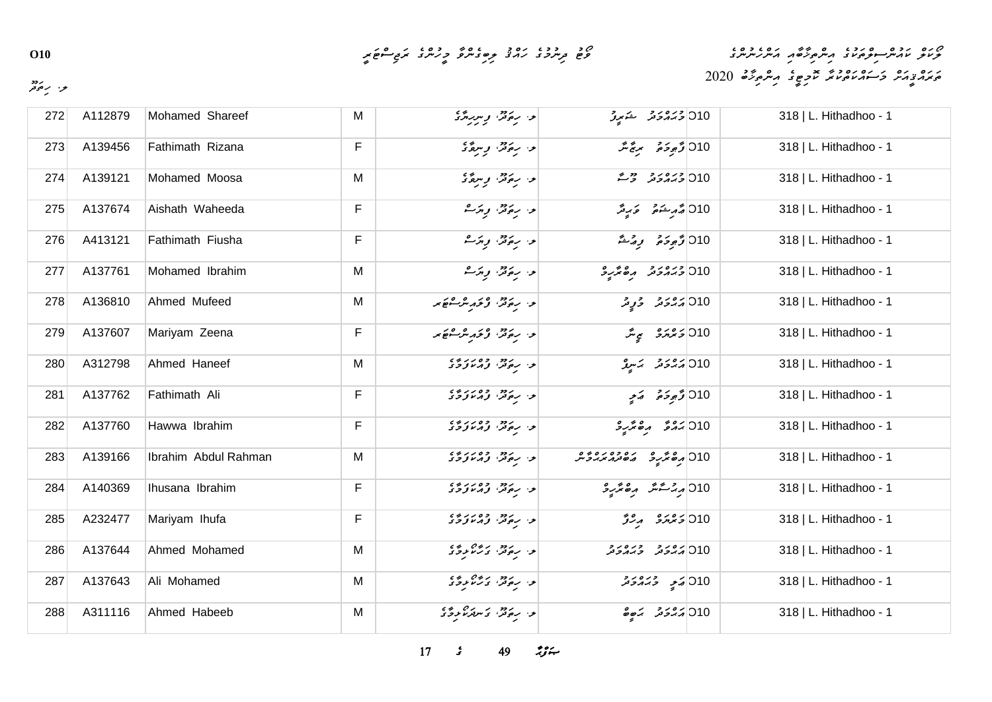*sCw7q7s5w7m< o<n9nOoAw7o< sCq;mAwBoEw7q<m; wBm;vB* م من المرة المرة المرة المرجع المراجع المراجع المراجع المراجع المراجع المراجع المراجع المراجع المراجع المراجع<br>مرين المراجع المراجع المرجع المراجع المراجع المراجع المراجع المراجع المراجع المراجع المراجع المراجع المراجع ال

| 272 | A112879 | Mohamed Shareef      | M           | و رەۋە ۋىرىدۇ ك                       | 010 <i>\$ ئەۋى قىسى</i> ق        | 318   L. Hithadhoo - 1 |
|-----|---------|----------------------|-------------|---------------------------------------|----------------------------------|------------------------|
| 273 | A139456 | Fathimath Rizana     | $\mathsf F$ | و ريږين وسرونځ                        | 010 <b>ز</b> َّمِوحَةُ مِن مَّد  | 318   L. Hithadhoo - 1 |
| 274 | A139121 | Mohamed Moosa        | M           | و رکړي وسرگانو                        | 010 دېم ديگه ته دي.              | 318   L. Hithadhoo - 1 |
| 275 | A137674 | Aishath Waheeda      | $\mathsf F$ | و ريږين ويره                          | 010 مۇم شىم قىم يەتر             | 318   L. Hithadhoo - 1 |
| 276 | A413121 | Fathimath Fiusha     | F           | و ربرده ویز ه                         | 010 <i>وُّجِوَدُوْ بِهِ</i> مْشُ | 318   L. Hithadhoo - 1 |
| 277 | A137761 | Mohamed Ibrahim      | M           | و ره ده تر مرگ                        | 010 <i>ڈیزون فر می مگرد</i> و    | 318   L. Hithadhoo - 1 |
| 278 | A136810 | Ahmed Mufeed         | M           | والركادة وتحار المراكب والمحالي       | 010 <i>ټرنزی تی ڈی</i> تر        | 318   L. Hithadhoo - 1 |
| 279 | A137607 | Mariyam Zeena        | $\mathsf F$ | والركادة وتحار المراكب والمحالي       | 010 كەنگە <i>تەبىرى</i> گە       | 318   L. Hithadhoo - 1 |
| 280 | A312798 | Ahmed Haneef         | M           | والمركز ووردوه                        | 010 <i>ټرېزې ت</i> ر تو          | 318   L. Hithadhoo - 1 |
| 281 | A137762 | Fathimath Ali        | $\mathsf F$ | و. رود وه رده و                       | 010 <i>وُّجِ دَمَّة - مَ</i> حٍ  | 318   L. Hithadhoo - 1 |
| 282 | A137760 | Hawwa Ibrahim        | $\mathsf F$ | وسردوس وه در ده د                     | 010 <i>بَدْهُ وَمُسْرِدْ</i>     | 318   L. Hithadhoo - 1 |
| 283 | A139166 | Ibrahim Abdul Rahman | M           | د. رود وه رده و.<br>اگر روش و در دو د | 010 مەھمىرى مەمەمەرە مەر         | 318   L. Hithadhoo - 1 |
| 284 | A140369 | Ihusana Ibrahim      | $\mathsf F$ | وسردوس وه در ده د                     | 010 م <i>ېڭىشىگە مەھتىپ</i> ۇ    | 318   L. Hithadhoo - 1 |
| 285 | A232477 | Mariyam Ihufa        | F           | و رود وه رده و                        | 010 <i>5 مگردی در دی</i>         | 318   L. Hithadhoo - 1 |
| 286 | A137644 | Ahmed Mohamed        | M           | والمردود الروح والمحا                 | 010   دیوی وزه دو                | 318   L. Hithadhoo - 1 |
| 287 | A137643 | Ali Mohamed          | M           | وسريح فرادوه المورد                   | 010 <i>كەبى بىمىم</i> گەنگە      | 318   L. Hithadhoo - 1 |
| 288 | A311116 | Ahmed Habeeb         | M           | والمردوح كالمتركا والمحالي            | 010 كەندى كە ئەھ                 | 318   L. Hithadhoo - 1 |

*17 s* 49 *if*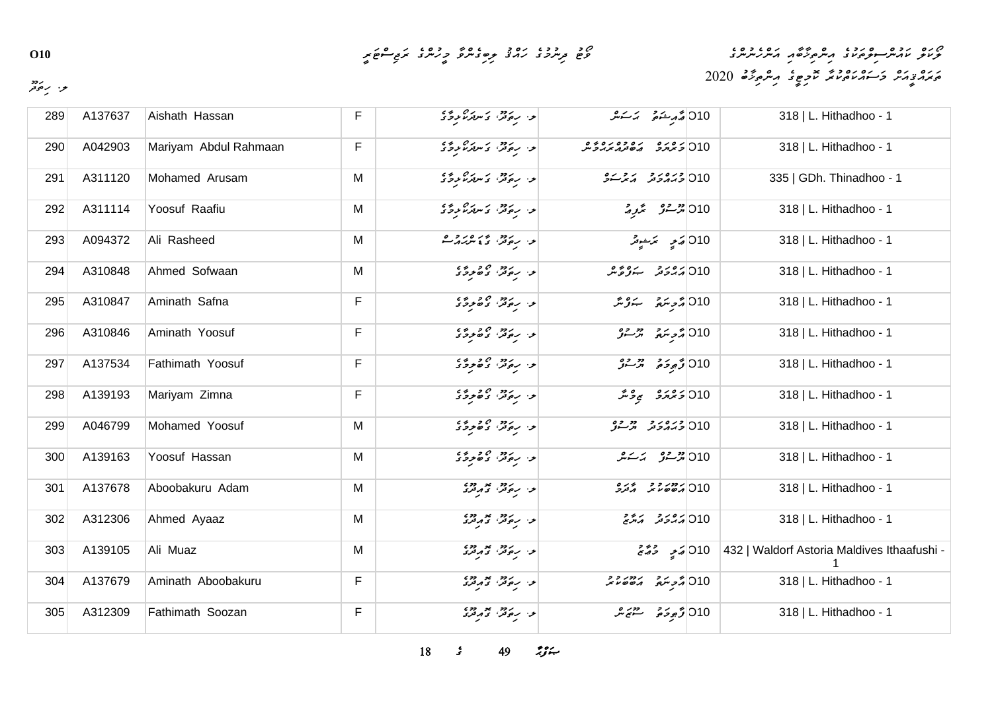*sCw7q7s5w7m< o<n9nOoAw7o< sCq;mAwBoEw7q<m; wBm;vB* م من المرة المرة المرة المرجع المراجع المراجع المراجع المراجع المراجع المراجع المراجع المراجع المراجع المراجع<br>مرين المراجع المراجع المرجع المراجع المراجع المراجع المراجع المراجع المراجع المراجع المراجع المراجع المراجع ال

| 289 | A137637 | Aishath Hassan        | $\mathsf F$ | والمردوس كالمعتزما لموقاي    | 010 گەرىشكى ئەسكىلىر                                                                                 | 318   L. Hithadhoo - 1                      |
|-----|---------|-----------------------|-------------|------------------------------|------------------------------------------------------------------------------------------------------|---------------------------------------------|
| 290 | A042903 | Mariyam Abdul Rahmaan | F           | والمرود كالمعادي والمحالي    | 010 <i>كەنگەر ئەھەرگەنگە</i> ئەر                                                                     | 318   L. Hithadhoo - 1                      |
| 291 | A311120 | Mohamed Arusam        | M           | والمرود كالمعدم والمحالي     | 010 <i>ۋېرودنى مەركى</i> تو                                                                          | 335   GDh. Thinadhoo - 1                    |
| 292 | A311114 | Yoosuf Raafiu         | M           | والمرود كالمعتزما لموقاتي    | 010 ټرينو گروټر                                                                                      | 318   L. Hithadhoo - 1                      |
| 293 | A094372 | Ali Rasheed           | M           | والركوفرا ويوادون            | 010 کھ پر سرگھر                                                                                      | 318   L. Hithadhoo - 1                      |
| 294 | A310848 | Ahmed Sofwaan         | M           | و رود ۵۶ وي                  | 010 كەندى ئەرگەنلە                                                                                   | 318   L. Hithadhoo - 1                      |
| 295 | A310847 | Aminath Safna         | F           | و رود ووده                   | 010 مۇجەتتى جۇرىتىر                                                                                  | 318   L. Hithadhoo - 1                      |
| 296 | A310846 | Aminath Yoosuf        | $\mathsf F$ | والمردود مهمورده             |                                                                                                      | 318   L. Hithadhoo - 1                      |
| 297 | A137534 | Fathimath Yoosuf      | F           | والمردود مهمورده             | 010 ڙَمِءَ تَمَرُ " تَرْسُورُ"                                                                       | 318   L. Hithadhoo - 1                      |
| 298 | A139193 | Mariyam Zimna         | F           | و رود وووی                   | 010 كەنگە <i>نگە</i> يەمەمگە                                                                         | 318   L. Hithadhoo - 1                      |
| 299 | A046799 | Mohamed Yoosuf        | M           | والمردود مهمورده             | 010 دېرونه پر پن                                                                                     | 318   L. Hithadhoo - 1                      |
| 300 | A139163 | Yoosuf Hassan         | M           | و رود ۵۶ وي                  | 010 ټرينو پرسکر                                                                                      | 318   L. Hithadhoo - 1                      |
| 301 | A137678 | Aboobakuru Adam       | M           | و رود پوروه<br>و روس وړي     | 010 كەنتەر بەر ئەرەپىيەت ئەرەپىيەت بەر ئالايلاق بولسان ئالايلاق بولسان ئالايلاق بولسان ئالايلاق بۇلا | 318   L. Hithadhoo - 1                      |
| 302 | A312306 | Ahmed Ayaaz           | M           | و رود پر دون<br>و روس وړي    | 010 كەبرى <i>قىرىنى</i> ھەر                                                                          | 318   L. Hithadhoo - 1                      |
| 303 | A139105 | Ali Muaz              | M           | و رود پر دوه<br>و روتر وړترو | 010 كەب دۇرىج                                                                                        | 432   Waldorf Astoria Maldives Ithaafushi - |
| 304 | A137679 | Aminath Aboobakuru    | F           | و رود پر دوه<br>و روس وړنرو  | $2222$ $272$ $272$                                                                                   | 318   L. Hithadhoo - 1                      |
| 305 | A312309 | Fathimath Soozan      | F           | و رود بوده                   | 010 ۇ <sub>مو</sub> رۇ ھەتتىم ش                                                                      | 318   L. Hithadhoo - 1                      |

*18 s* 49 *if*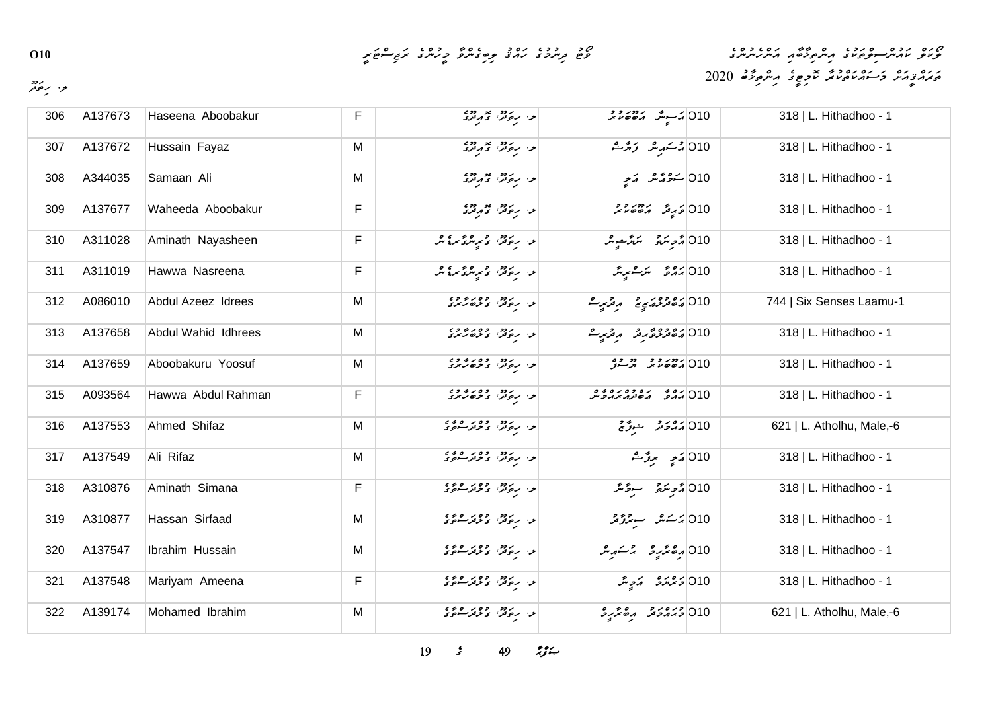*sCw7q7s5w7m< o<n9nOoAw7o< sCq;mAwBoEw7q<m; wBm;vB* م من المرة المرة المرة المرجع المراجع المراجع المراجع المراجع المراجع المراجع المراجع المراجع المراجع المراجع<br>مرين المراجع المراجع المرجع المراجع المراجع المراجع المراجع المراجع المراجع المراجع المراجع المراجع المراجع ال

| 306 | A137673 | Haseena Aboobakur   | F           | و رود پر دوه<br>و روتر، وړترو             | 010 كەسپەنت <i>ە مەھەملى</i> ر                    | 318   L. Hithadhoo - 1    |
|-----|---------|---------------------|-------------|-------------------------------------------|---------------------------------------------------|---------------------------|
| 307 | A137672 | Hussain Fayaz       | M           | و ریږده بوړوي                             | 010 پرستمبر ترتژینگ                               | 318   L. Hithadhoo - 1    |
| 308 | A344035 | Samaan Ali          | M           | و رود پر دوه<br>د روس وړند                | 010 ڪنرم پڻ پر پر                                 | 318   L. Hithadhoo - 1    |
| 309 | A137677 | Waheeda Aboobakur   | F           | و رکونر، نادوده<br>د رکونر، نادوری        | 010 <i>ق بي قد مقصد تم</i>                        | 318   L. Hithadhoo - 1    |
| 310 | A311028 | Aminath Nayasheen   | F           | و رود و پروگری ک                          | 010 مٌ <i>جِي مَنْ جُمْ سَنَدَّ</i> مِشْرِ مِسْرِ | 318   L. Hithadhoo - 1    |
| 311 | A311019 | Hawwa Nasreena      | $\mathsf F$ | ا داده ده د بر مرتگان می                  | 010  يَرْدُوُّ – سَرَ—ْ يَرِيدُّر                 | 318   L. Hithadhoo - 1    |
| 312 | A086010 | Abdul Azeez Idrees  | M           | والمردود وه رواوا                         | 010 كەھە <i>ترى كەنتى بويىترىت</i>                | 744   Six Senses Laamu-1  |
| 313 | A137658 | Abdul Wahid Idhrees | M           | د رود وه ده ده<br>د رونز د نوه ربرد       | 010 كەھ ترىۋە بەتر بەترىپ شە                      | 318   L. Hithadhoo - 1    |
| 314 | A137659 | Aboobakuru Yoosuf   | M           | والمردود وه رواوا                         | $3 - 7 - 7 - 20 - 010$                            | 318   L. Hithadhoo - 1    |
| 315 | A093564 | Hawwa Abdul Rahman  | $\mathsf F$ | د دود وه ده ده.<br> و رجون د نوه ریز      | 010 <i>ټرو په پووه پروونو</i>                     | 318   L. Hithadhoo - 1    |
| 316 | A137553 | Ahmed Shifaz        | M           | د دود وه د ه ده.<br>د رجون د وترسيمور     | 010 كەندى قىلى ھەر <i>گى</i> تە                   | 621   L. Atholhu, Male,-6 |
| 317 | A137549 | Ali Rifaz           | M           | د ردود وه د ه د د .<br>د روتر د وترسيمود  | 010  ریم برڈے                                     | 318   L. Hithadhoo - 1    |
| 318 | A310876 | Aminath Simana      | $\mathsf F$ | و در دو ده د ه و و.<br>و د چرن و وترسیح و | 010 مَّەحِسَىھْ سِوَتَىدَ                         | 318   L. Hithadhoo - 1    |
| 319 | A310877 | Hassan Sirfaad      | M           | د دود وه د ه ده.<br>د رجون د وترسيمور     | 010 ئەسەمىر سىزىر ئىر                             | 318   L. Hithadhoo - 1    |
| 320 | A137547 | Ibrahim Hussain     | M           | و دره وه د ه وه.<br>و د چرن و وترسيني     | 010 مەھەرىپى مەسىرىسى                             | 318   L. Hithadhoo - 1    |
| 321 | A137548 | Mariyam Ameena      | F           | و رود وه د ه د ه<br>د روتر د وترسود       | 010 كى <i>ئەچرىگە</i> كەرچە ئىر                   | 318   L. Hithadhoo - 1    |
| 322 | A139174 | Mohamed Ibrahim     | M           | و رپه وه د وه ده.                         | 010  دېرو دې مه ټرېږي                             | 621   L. Atholhu, Male,-6 |

*19 s* 49 *i*<sub>s</sub>  $\approx$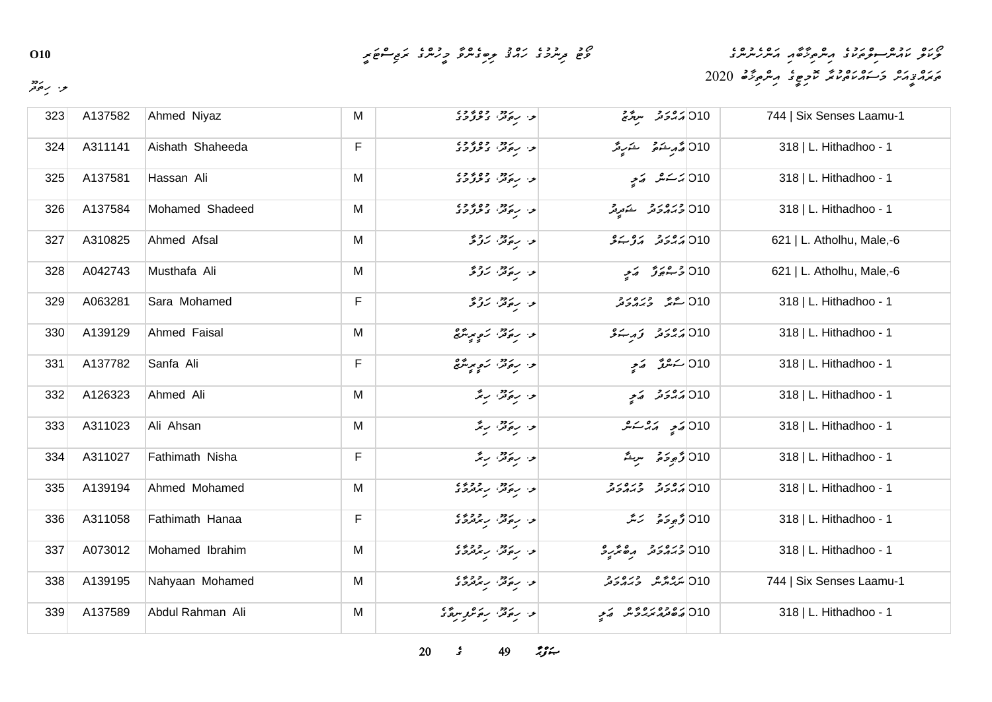*sCw7q7s5w7m< o<n9nOoAw7o< sCq;mAwBoEw7q<m; wBm;vB* م من المرة المرة المرة المرجع المراجع المراجع المراجع المراجع المراجع المراجع المراجع المراجع المراجع المراجع<br>مرين المراجع المراجع المرجع المراجع المراجع المراجع المراجع المراجع المراجع المراجع المراجع المراجع المراجع ال

| 323 | A137582 | Ahmed Niyaz      | M | و رود ووووه                         | 010 كەش <sup>ى</sup> رىقى سى <i>رىگى</i> ج | 744   Six Senses Laamu-1  |
|-----|---------|------------------|---|-------------------------------------|--------------------------------------------|---------------------------|
| 324 | A311141 | Aishath Shaheeda | F | و رود دووده                         | 010 <i>۾ مرڪو ڪري</i> گر                   | 318   L. Hithadhoo - 1    |
| 325 | A137581 | Hassan Ali       | M | د دو ده ده ده.<br>د رمونز، د ترود د | 010 يريثر پړېو                             | 318   L. Hithadhoo - 1    |
| 326 | A137584 | Mohamed Shadeed  | M | و رود وه وه وه                      | 010  <i>\$ټ\$قۇ</i> ش <i>ەيرى</i> ر        | 318   L. Hithadhoo - 1    |
| 327 | A310825 | Ahmed Afsal      | M | ا د رەتر، زوق                       | 010 يَرْدَدَ پَرُوْبَدُ وَ                 | 621   L. Atholhu, Male,-6 |
| 328 | A042743 | Musthafa Ali     | M | ى رەتۇ، ئۇنى                        | 010 قريبهوتر - مَرمو                       | 621   L. Atholhu, Male,-6 |
| 329 | A063281 | Sara Mohamed     | F | ى رەتۇ، رۇق                         | 010 گەنگە ئەيرە ئەر                        | 318   L. Hithadhoo - 1    |
| 330 | A139129 | Ahmed Faisal     | M | و. رەۋر، ئەھ بېرىترى                | 010 <i>ټرې تق</i> ریکو                     | 318   L. Hithadhoo - 1    |
| 331 | A137782 | Sanfa Ali        | F | و. رەۋر، ئەھ بېرىترى                | 010 سەشقە    قەمە                          | 318   L. Hithadhoo - 1    |
| 332 | A126323 | Ahmed Ali        | M | ی روژه رنگ                          | 010   پر بری کامی کام                      | 318   L. Hithadhoo - 1    |
| 333 | A311023 | Ali Ahsan        | M | ی روژه رنگ                          | 010 كەيپ كەبمەسكەنلە                       | 318   L. Hithadhoo - 1    |
| 334 | A311027 | Fathimath Nisha  | F | ا دا سوتر، سرتر                     | 010 <i>ؤُمِودَة</i> سِٹَ                   | 318   L. Hithadhoo - 1    |
| 335 | A139194 | Ahmed Mohamed    | M | و رکونژ رنگوری                      | 010 كەبروتر ب <i>ورەروتر</i>               | 318   L. Hithadhoo - 1    |
| 336 | A311058 | Fathimath Hanaa  | F | و رود رود.                          | 010 <i>ؤج</i> و تر تر تر                   | 318   L. Hithadhoo - 1    |
| 337 | A073012 | Mohamed Ibrahim  | M | و رود رود.                          | 010   جُهُدُو دَ مِنْ مِرْدِ وَ            | 318   L. Hithadhoo - 1    |
| 338 | A139195 | Nahyaan Mohamed  | M | و رړون رپرووی                       | 010 <i>ﯩﻨ</i> ﺪﯨﮕﯩﺮ <i>ﺩﯦﺪﻩﺩﯨ</i> ﺮ        | 744   Six Senses Laamu-1  |
| 339 | A137589 | Abdul Rahman Ali | M | و رەتر، رەكروپروگو                  | 010 <i>م قەمەمبر 2 قىرىمى</i> ھ            | 318   L. Hithadhoo - 1    |

*20 sC 49 nNw?mS*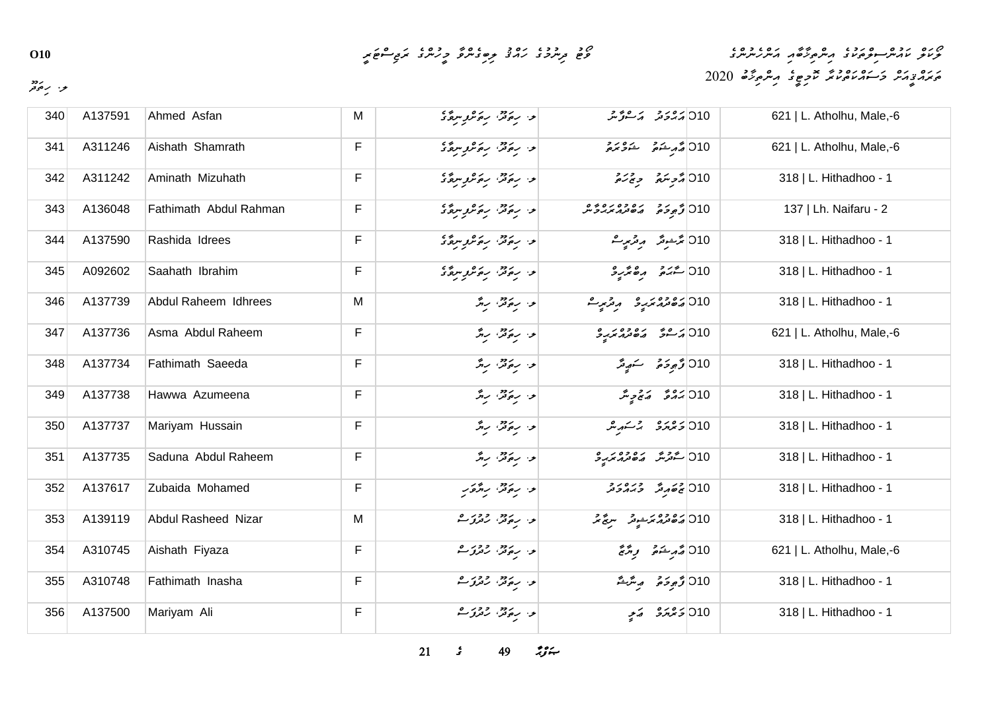*sCw7q7s5w7m< o<n9nOoAw7o< sCq;mAwBoEw7q<m; wBm;vB* م من المرة المرة المرة المرجع المراجع المراجع المراجع المراجع المراجع المراجع المراجع المراجع المراجع المراجع<br>مرين المراجع المراجع المرجع المراجع المراجع المراجع المراجع المراجع المراجع المراجع المراجع المراجع المراجع ال

| 340 | A137591 | Ahmed Asfan                | M           | و رەتر، رەتروسۇق   | 010 كەبرى قىر كەسىر تىر                                                           | 621   L. Atholhu, Male,-6 |
|-----|---------|----------------------------|-------------|--------------------|-----------------------------------------------------------------------------------|---------------------------|
| 341 | A311246 | Aishath Shamrath           | F           | و رەتر، رەتروسۇر   | 010 <i>مۇمەشقى ھەتكەتتى</i><br>مەنبەت ئىس                                         | 621   L. Atholhu, Male,-6 |
| 342 | A311242 | Aminath Mizuhath           | F           | و رەدد رەتروسۇر    | 010 مَّ مِسَعَمٍ مِنْ مِنْ مِنْ                                                   | 318   L. Hithadhoo - 1    |
| 343 | A136048 | Fathimath Abdul Rahman     | $\mathsf F$ | و رەدە رەئرىرىدىكى | 010 ژ <sub>ېج خ</sub> رم د موه بره ده.<br>010 ژې <sub>ج</sub> رم مص <i>م م</i> مک | 137   Lh. Naifaru - 2     |
| 344 | A137590 | Rashida Idrees             | F           | و رەتر، رەتروسۇر   | 010 مُتَرْسُوتَرُ - مِرْتَرْمِرِتْ-                                               | 318   L. Hithadhoo - 1    |
| 345 | A092602 | Saahath Ibrahim            | F           | و رەتر، رەتروپروگ  | 010 گەنىق مەھىرىپى                                                                | 318   L. Hithadhoo - 1    |
| 346 | A137739 | Abdul Raheem Idhrees       | M           | ا د رسوس سرگر      | 010 كەھە <i>تەكتىرى مەترىپ</i>                                                    | 318   L. Hithadhoo - 1    |
| 347 | A137736 | Asma Abdul Raheem          | $\mathsf F$ | و رود رق           | 010 كەشق كەھەر كەيدۇ                                                              | 621   L. Atholhu, Male,-6 |
| 348 | A137734 | Fathimath Saeeda           | F           | و رود رق           | 010 <i>ؤودة</i> حَص <sup>ة</sup>                                                  | 318   L. Hithadhoo - 1    |
| 349 | A137738 | Hawwa Azumeena             | F           | و روده رقز         | 010 <i>بَدْهُ * مَخْ وِ مَّ</i> رُ                                                | 318   L. Hithadhoo - 1    |
| 350 | A137737 | Mariyam Hussain            | F           | و رود رق           | 010 كەنگەر ئەسىر شەر ش                                                            | 318   L. Hithadhoo - 1    |
| 351 | A137735 | Saduna Abdul Raheem        | F           | و روده رقم         | 010 گەنگەنگە ئەھ <i>ەر مەيدى</i> ر                                                | 318   L. Hithadhoo - 1    |
| 352 | A137617 | Zubaida Mohamed            | $\mathsf F$ | و ربوش رومر        | 010 ئەھەرىگە كەبمەكەرد                                                            | 318   L. Hithadhoo - 1    |
| 353 | A139119 | <b>Abdul Rasheed Nizar</b> | M           | و. رەۋر، روزى      | 010 <i>مُەقىدە مُرىشونى س</i> ېڭە ئىر                                             | 318   L. Hithadhoo - 1    |
| 354 | A310745 | Aishath Fiyaza             | F           | و. رەۋر، رەزى ھ    | 010 <mark>م</mark> ەمبە ئىقىمە بورىمى <i>غ</i>                                    | 621   L. Atholhu, Male,-6 |
| 355 | A310748 | Fathimath Inasha           | F           | و. رەۋر، روزى      | 010 <i>ؤُوِدَهُ بِهِ مَ</i> نْهُ                                                  | 318   L. Hithadhoo - 1    |
| 356 | A137500 | Mariyam Ali                | F           | و. رەۋر، روزى      | 010 <i>5 پر پڑو م</i> ی پر                                                        | 318   L. Hithadhoo - 1    |

 $21$  *s* 49  $23$   $\div$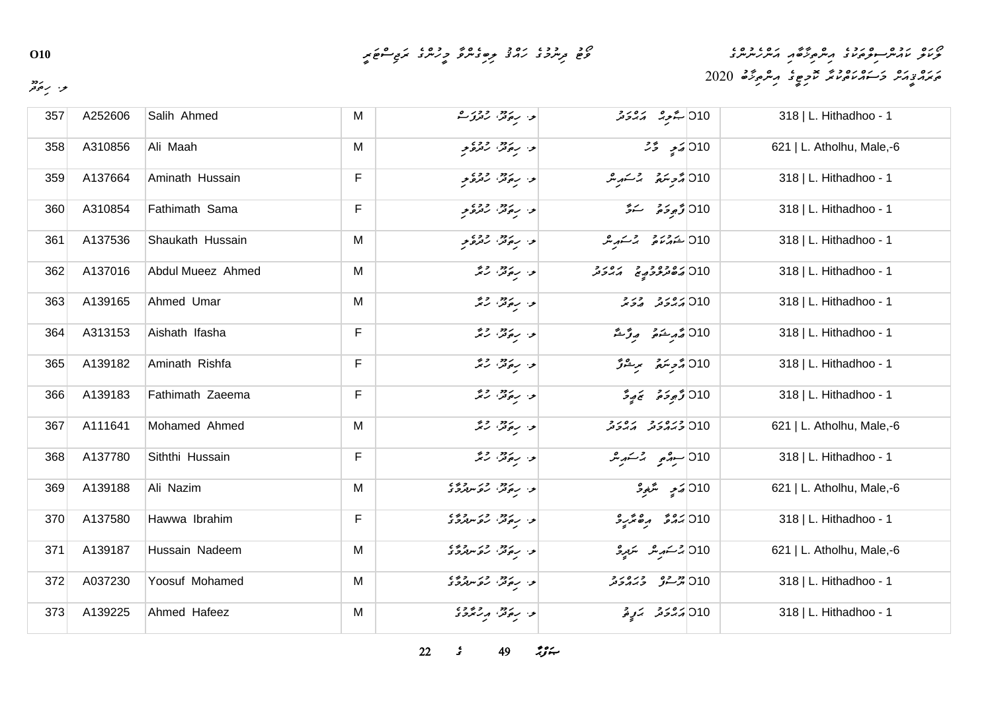*sCw7q7s5w7m< o<n9nOoAw7o< sCq;mAwBoEw7q<m; wBm;vB* م من المرة المرة المرة المرجع المراجع المراجع المراجع المراجع المراجع المراجع المراجع المراجع المراجع المراجع<br>مرين المراجع المراجع المرجع المراجع المراجع المراجع المراجع المراجع المراجع المراجع المراجع المراجع المراجع ال

| 357 | A252606 | Salih Ahmed       | M | و. رەۋر، روزى ھ    | 010  سەمەر ئەردىتە                       | 318   L. Hithadhoo - 1    |
|-----|---------|-------------------|---|--------------------|------------------------------------------|---------------------------|
| 358 | A310856 | Ali Maah          | M | و رپۇش روءو        | 010  پَه وِ گُرُ                         | 621   L. Atholhu, Male,-6 |
| 359 | A137664 | Aminath Hussain   | F | و رکړو ووي         | 010 مٌ مِ سَمَعٌ ﴾ جُسَمَ مِسْر          | 318   L. Hithadhoo - 1    |
| 360 | A310854 | Fathimath Sama    | F | و ریون ریزوم       | 010 تۇموخۇ شۇ                            | 318   L. Hithadhoo - 1    |
| 361 | A137536 | Shaukath Hussain  | M | و رکړو ووي         | 010 خەرىم قى يەسكەر ش                    | 318   L. Hithadhoo - 1    |
| 362 | A137016 | Abdul Mueez Ahmed | M | و رەپى رو          | 010 كەھەر <i>355 كەندە بىر</i>           | 318   L. Hithadhoo - 1    |
| 363 | A139165 | Ahmed Umar        | M | و رەتر، رىز        | 010 كەبرى قىر قاير قاير                  | 318   L. Hithadhoo - 1    |
| 364 | A313153 | Aishath Ifasha    | F | و رەتر، رىز        | 010 مۇم <i>رىشقى موڭ</i> ش               | 318   L. Hithadhoo - 1    |
| 365 | A139182 | Aminath Rishfa    | F | و رەپى رو          | 010 مَّ مِسْمَى مِسْرَقَّ                | 318   L. Hithadhoo - 1    |
| 366 | A139183 | Fathimath Zaeema  | F | و رودو وي          | 010 <i>وُّج<sup>و</sup> حَمَّ</i> تَحْصُ | 318   L. Hithadhoo - 1    |
| 367 | A111641 | Mohamed Ahmed     | M | و رەپى رو          | 010 <i>ۋېزو دې پرونو</i>                 | 621   L. Atholhu, Male,-6 |
| 368 | A137780 | Siththi Hussain   | F | و روده رنگ         | 010 سورمو گريسمبرينر                     | 318   L. Hithadhoo - 1    |
| 369 | A139188 | Ali Nazim         | M | و رکړې رکړ ده.     | 010 کم په سگھوتر                         | 621   L. Atholhu, Male,-6 |
| 370 | A137580 | Hawwa Ibrahim     | F | والمردوس وكالملاحق | 010 <i>بَدْهُ وَ مِ</i> مُحْرِدُ         | 318   L. Hithadhoo - 1    |
| 371 | A139187 | Hussain Nadeem    | M | والمردوس وكالملاحق | 010 پڑے پہلا سکوپی                       | 621   L. Atholhu, Male,-6 |
| 372 | A037230 | Yoosuf Mohamed    | M | و. رەدو. دىم دەر   | 010 ټرينو د <i>جن</i> مر <i>څر</i>       | 318   L. Hithadhoo - 1    |
| 373 | A139225 | Ahmed Hafeez      | M | و رەتۇ، مەنگەدى    | 010 <i>ټرېزى توپى</i>                    | 318   L. Hithadhoo - 1    |

*22 sC 49 nNw?mS*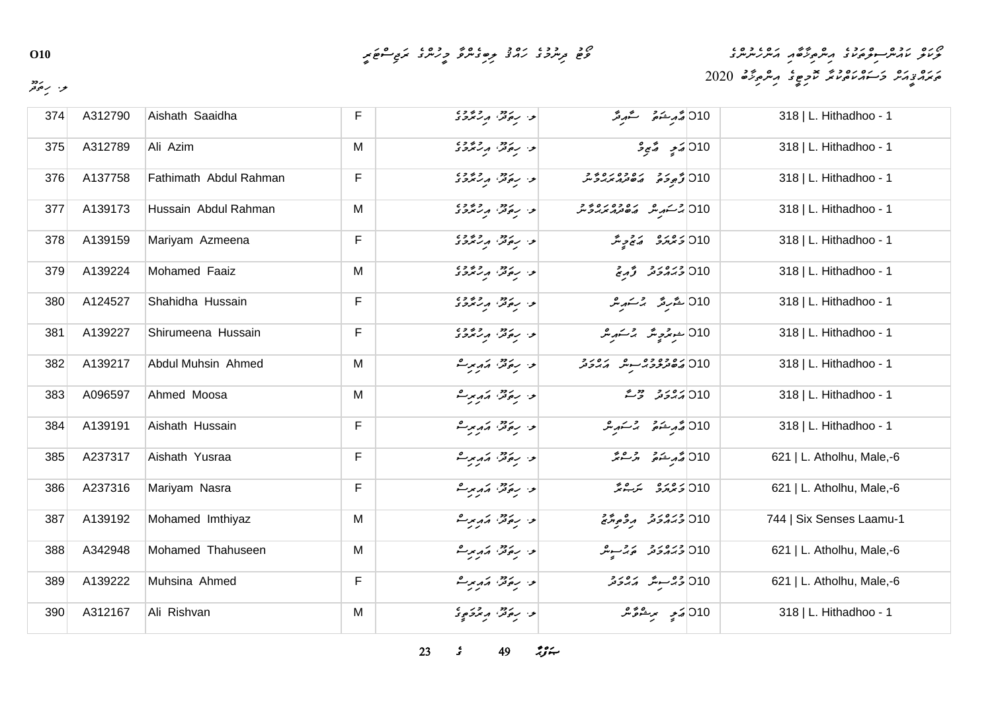*sCw7q7s5w7m< o<n9nOoAw7o< sCq;mAwBoEw7q<m; wBm;vB* م من المرة المرة المرة المرجع المراجع المراجع المراجع المراجع المراجع المراجع المراجع المراجع المراجع المراجع<br>مرين المراجع المراجع المرجع المراجع المراجع المراجع المراجع المراجع المراجع المراجع المراجع المراجع المراجع ال

| 374 | A312790 | Aishath Saaidha        | $\mathsf F$ | و رکونز، مرکوری         | 010 م <i>ۇم شۇمۇ</i> سە <i>مبەت</i> ر                    | 318   L. Hithadhoo - 1    |
|-----|---------|------------------------|-------------|-------------------------|----------------------------------------------------------|---------------------------|
| 375 | A312789 | Ali Azim               | M           | و رود روود              | 010 کی گی گی گی                                          | 318   L. Hithadhoo - 1    |
| 376 | A137758 | Fathimath Abdul Rahman | F           | در دوه مرد ده و ،       | 010 ژ <sub>ېج خ</sub> رم د موه مره د د                   | 318   L. Hithadhoo - 1    |
| 377 | A139173 | Hussain Abdul Rahman   | M           | و. رود رووده            | 010 كەسكەر شەھ كەرە كەرگە ئەش                            | 318   L. Hithadhoo - 1    |
| 378 | A139159 | Mariyam Azmeena        | F           | و. رود رووده            | 010 <i>كەنگەڭ مەنج ج</i> ىگر                             | 318   L. Hithadhoo - 1    |
| 379 | A139224 | Mohamed Faaiz          | M           | و رکونز، مرکوری         | 010 <i>جُهُدُوَنْھُ تُ</i> مِيْحُ                        | 318   L. Hithadhoo - 1    |
| 380 | A124527 | Shahidha Hussain       | F           | و رود رود و             | 010 ڪريگ جر شهر بگر                                      | 318   L. Hithadhoo - 1    |
| 381 | A139227 | Shirumeena Hussain     | F           | و. رود رووده            | 010 جومرچ مگر گريسکو مگر                                 | 318   L. Hithadhoo - 1    |
| 382 | A139217 | Abdul Muhsin Ahmed     | M           | أوسيده والمرابر المراجح | 010 كەھ ترىۋە بۇ سوشى كەبرى تەر                          | 318   L. Hithadhoo - 1    |
| 383 | A096597 | Ahmed Moosa            | M           | و. رەس مەرىر            | 010 كەندى ق                                              | 318   L. Hithadhoo - 1    |
| 384 | A139191 | Aishath Hussain        | F           | والمركز مكربره          | 010 <i>مُّەمِ</i> شَمَّة مُ سَمَ <i>م</i> ِ مُ <i>رُ</i> | 318   L. Hithadhoo - 1    |
| 385 | A237317 | Aishath Yusraa         | F           | والمردود الكرامرت       | 010 مۇم شەھرە بىر شە <i>م</i> گە                         | 621   L. Atholhu, Male,-6 |
| 386 | A237316 | Mariyam Nasra          | F           | والمردود الكرامرت       | 010 كەندى ئىر ئىبدىگە                                    | 621   L. Atholhu, Male,-6 |
| 387 | A139192 | Mohamed Imthiyaz       | M           | و رکوش مەمدى            | 010   جزیر دیگر مرونورسی                                 | 744   Six Senses Laamu-1  |
| 388 | A342948 | Mohamed Thahuseen      | ${\sf M}$   | و رکوش مهرمرگ           | 010 ۇرۇۋۇ مۇرسىر                                         | 621   L. Atholhu, Male,-6 |
| 389 | A139222 | Muhsina Ahmed          | F           | والمركز مهرس            | 010 جۇسىغە ئەبرىخەر                                      | 621   L. Atholhu, Male,-6 |
| 390 | A312167 | Ali Rishvan            | M           | و رکونز، مرتزکوی        | 010 كەي بىرىشقەر                                         | 318   L. Hithadhoo - 1    |

**23** *s* **49** *n***<sub>s</sub>***n***<sub>s</sub>**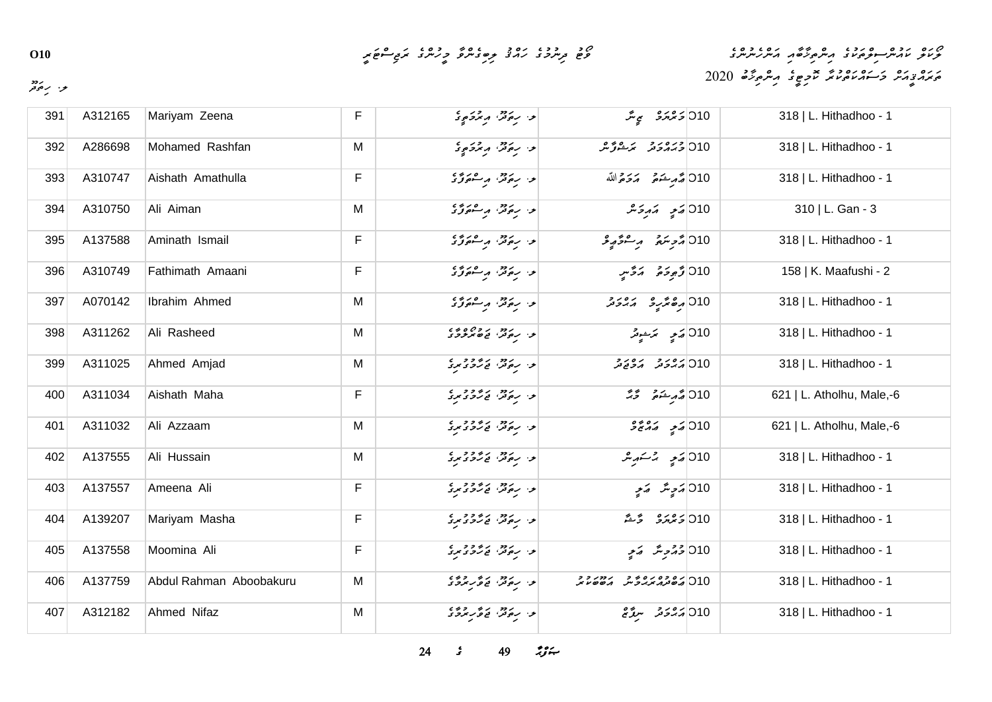*sCw7q7s5w7m< o<n9nOoAw7o< sCq;mAwBoEw7q<m; wBm;vB* م من المرة المرة المرة المرجع المراجع المراجع المراجع المراجع المراجع المراجع المراجع المراجع المراجع المراجع<br>مرين المراجع المراجع المرجع المراجع المراجع المراجع المراجع المراجع المراجع المراجع المراجع المراجع المراجع ال

| 391 | A312165 | Mariyam Zeena           | F           | و رکونز، مرتز کور                   | 010 ك <i>ۈچرى يې ئ</i> ر                    | 318   L. Hithadhoo - 1    |
|-----|---------|-------------------------|-------------|-------------------------------------|---------------------------------------------|---------------------------|
| 392 | A286698 | Mohamed Rashfan         | M           | و رکونز، مرتز و د                   | 010 <i>ۋىزۇدۇ تەخشۇ</i> تر                  | 318   L. Hithadhoo - 1    |
| 393 | A310747 | Aishath Amathulla       | $\mathsf F$ | و. رەپى، مەسمەدى                    | 010 <i>مَّەمِ</i> شَمَّة مَرَكَّةُ اللَّه   | 318   L. Hithadhoo - 1    |
| 394 | A310750 | Ali Aiman               | M           | وسردود برسموی                       | 010   تەر ئەرىخەشىر                         | 310   L. Gan - 3          |
| 395 | A137588 | Aminath Ismail          | $\mathsf F$ | و. رەپى، مەسمەدى                    | 010 مَّ <i>جِ</i> سَمَّۃ مِ سُمَّ مِیْ مِحْ | 318   L. Hithadhoo - 1    |
| 396 | A310749 | Fathimath Amaani        | $\mathsf F$ | وسرموس برسموی                       | 010 <i>ؤوخۇ مۇ</i> مىر                      | 158   K. Maafushi - 2     |
| 397 | A070142 | Ibrahim Ahmed           | M           | و رەپى بەسەدە،                      | 010 م <i>وڭ ئۇرى مەدەن</i> ر                | 318   L. Hithadhoo - 1    |
| 398 | A311262 | Ali Rasheed             | M           | د دو د ده ده ده.<br>د روتر قاصر دور | 010 <i>ھَ۔ پر جي</i> ھر                     | 318   L. Hithadhoo - 1    |
| 399 | A311025 | Ahmed Amjad             | M           | والمرود الأوداع                     | 010 كەبرى قىرىم كەن ئەرەپ ئەر               | 318   L. Hithadhoo - 1    |
| 400 | A311034 | Aishath Maha            | $\mathsf F$ | وسركوفر المركز والمحمدى             | 010 م <i>مّەخىمى</i> ئۇنج                   | 621   L. Atholhu, Male,-6 |
| 401 | A311032 | Ali Azzaam              | M           | والمردود الأوواع                    | 010 <i>ھَ۔</i> پہ مَمَّ مَحَ                | 621   L. Atholhu, Male,-6 |
| 402 | A137555 | Ali Hussain             | M           | والمردوح والمروح مروا               | 010 ھَ جِي سُمَ سُر سُر                     | 318   L. Hithadhoo - 1    |
| 403 | A137557 | Ameena Ali              | $\mathsf F$ | وسرده رود ده                        | 010 <i>آمَي شَ</i> رِ جَمْعِي               | 318   L. Hithadhoo - 1    |
| 404 | A139207 | Mariyam Masha           | F           | وسردوس المرواوان                    | 010 كَ يُرْبَرُوْ _ وَّـَّـَّ               | 318   L. Hithadhoo - 1    |
| 405 | A137558 | Moomina Ali             | $\mathsf F$ | والمرود الأودار                     | 010 <i>وُهُ دِسُ مَ</i> رِ                  | 318   L. Hithadhoo - 1    |
| 406 | A137759 | Abdul Rahman Aboobakuru | M           | و رود دوروه                         | 010 كەھىر <i>م تەرەپىرى كەھمەتى</i> ر       | 318   L. Hithadhoo - 1    |
| 407 | A312182 | Ahmed Nifaz             | M           | والمركوفرا فيحمي ووالمح             | 010 كەش <sup>ى</sup> رىقە سى <i>دى</i> ج    | 318   L. Hithadhoo - 1    |

*24 sC 49 nNw?mS*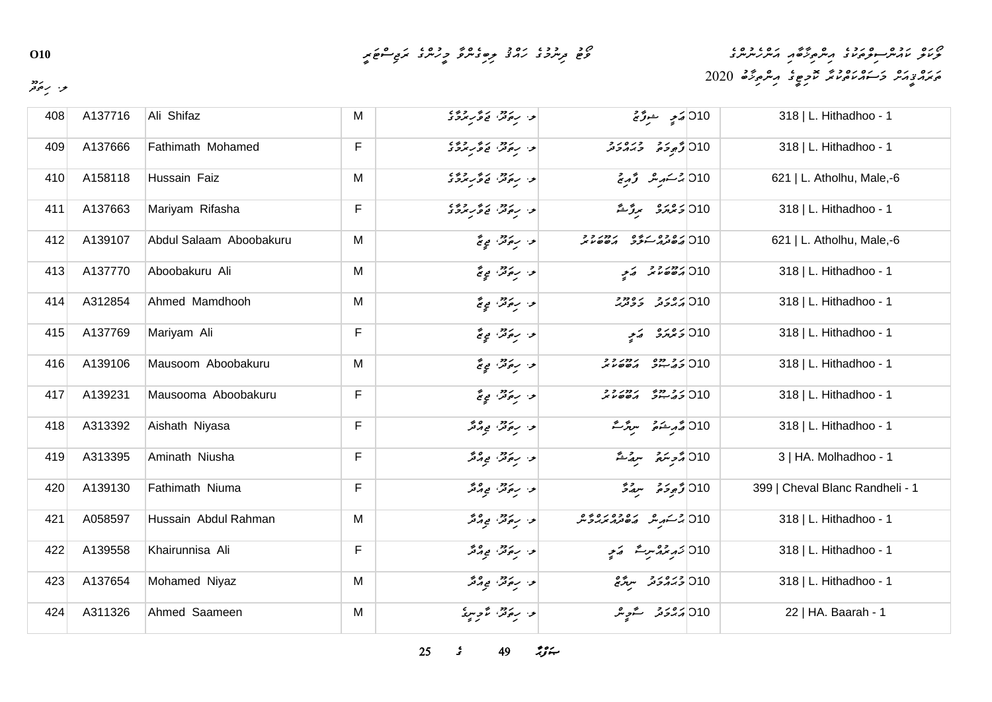*sCw7q7s5w7m< o<n9nOoAw7o< sCq;mAwBoEw7q<m; wBm;vB* م من المرة المرة المرة المرجع المراجع المراجع المراجع المراجع المراجع المراجع المراجع المراجع المراجع المراجع<br>مرين المراجع المراجع المرجع المراجع المراجع المراجع المراجع المراجع المراجع المراجع المراجع المراجع المراجع ال

| 408 | A137716 | Ali Shifaz              | M           | والمرود كالأرادوي        | 010  رَمِ حَوَرٌجُ                                     | 318   L. Hithadhoo - 1          |
|-----|---------|-------------------------|-------------|--------------------------|--------------------------------------------------------|---------------------------------|
| 409 | A137666 | Fathimath Mohamed       | F           | والمرود كالأرادوي        | 010 <i>ۇ<sub>م</sub>ودۇ دېم</i> ۇرۇ                    | 318   L. Hithadhoo - 1          |
| 410 | A158118 | Hussain Faiz            | M           | و رود دور                | 010 يُرْسَمبِ شَرَ وَمِنِيَجَ                          | 621   L. Atholhu, Male,-6       |
| 411 | A137663 | Mariyam Rifasha         | $\mathsf F$ | والمردود المكافر والمالي | 010 كەنگەر ئەرگەنگە                                    | 318   L. Hithadhoo - 1          |
| 412 | A139107 | Abdul Salaam Aboobakuru | M           | و ، رەۋش يې ئ            | $22222$ $25222$                                        | 621   L. Atholhu, Male,-6       |
| 413 | A137770 | Aboobakuru Ali          | M           | و روده، ويح              | 010 كە <i>ھەم بىر كەي</i>                              | 318   L. Hithadhoo - 1          |
| 414 | A312854 | Ahmed Mamdhooh          | M           | و رکوتر، ویچ             | 010 كەبروتىر كەلەيدىنى 2010                            | 318   L. Hithadhoo - 1          |
| 415 | A137769 | Mariyam Ali             | $\mathsf F$ | و روده ويځ               | 010 كەبىر كەم كەم يە                                   | 318   L. Hithadhoo - 1          |
| 416 | A139106 | Mausoom Aboobakuru      | M           | و رکوتر، ویکّ            | $22222$ $227$                                          | 318   L. Hithadhoo - 1          |
| 417 | A139231 | Mausooma Aboobakuru     | F           | و روده ويځ               | $7722$ $7722$ $10$                                     | 318   L. Hithadhoo - 1          |
| 418 | A313392 | Aishath Niyasa          | F           | و رەپى يەدىر             | 010 مُ مِسْدَمْ سِرَّتْہُ ۖ                            | 318   L. Hithadhoo - 1          |
| 419 | A313395 | Aminath Niusha          | F           | و رودو ووړ               | 010 مَّرْمِتْهُ مِيمْشَ                                | 3   HA. Molhadhoo - 1           |
| 420 | A139130 | Fathimath Niuma         | $\mathsf F$ | و رودو، وړوگه            | 010 <i>وَّجِ</i> وَمَ سِ <i>م</i> ُوَّ                 | 399   Cheval Blanc Randheli - 1 |
| 421 | A058597 | Hussain Abdul Rahman    | M           | و روده و د تر            | 010 جُسَومِيْرِ مَصْرِمْ مِرْكَبِيْرَةَ مِنْ           | 318   L. Hithadhoo - 1          |
| 422 | A139558 | Khairunnisa Ali         | F           | و روُوْ، وگر             | 010 ك <i>َ بِهِ مُدْمُ</i> سِرْ مَسَمَدِ مَسَمَدِ مِسَ | 318   L. Hithadhoo - 1          |
| 423 | A137654 | Mohamed Niyaz           | M           | و روده و د تر            | 010 <i>\$ ئەۋكى ئىب ئىبۇ ئ</i>                         | 318   L. Hithadhoo - 1          |
| 424 | A311326 | Ahmed Saameen           | M           | و روده، اوسره            | 010 <i>ټربری تر گ</i> ویژ                              | 22   HA. Baarah - 1             |

*25 sC 49 nNw?mS*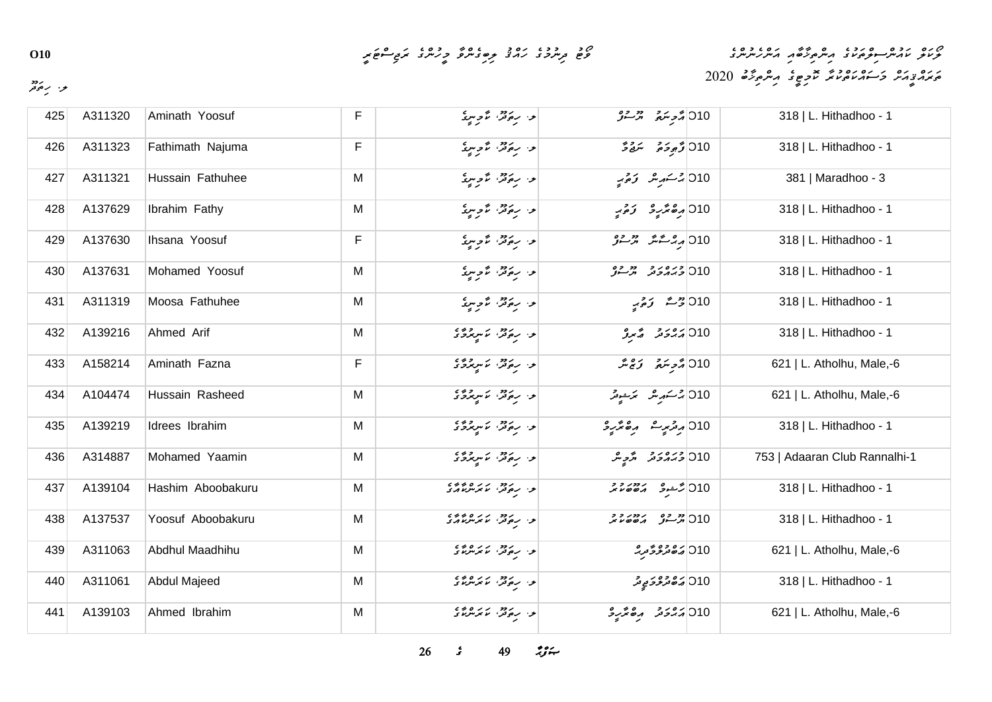*sCw7q7s5w7m< o<n9nOoAw7o< sCq;mAwBoEw7q<m; wBm;vB* م من المرة المرة المرة المرجع المراجع المراجع المراجع المراجع المراجع المراجع المراجع المراجع المراجع المراجع<br>مرين المراجع المراجع المرجع المراجع المراجع المراجع المراجع المراجع المراجع المراجع المراجع المراجع المراجع ال

| 425 | A311320 | Aminath Yoosuf    | $\mathsf F$ | و روژه تأویدهٔ           | 010 أُمَّرِ سَمَّةً مَّ مِّرْتَّسْرُ        | 318   L. Hithadhoo - 1        |
|-----|---------|-------------------|-------------|--------------------------|---------------------------------------------|-------------------------------|
| 426 | A311323 | Fathimath Najuma  | F           | و روده الأوسط            | 010 <i>وَّجِ حَمَّى مَنْ</i> هُ مََّ        | 318   L. Hithadhoo - 1        |
| 427 | A311321 | Hussain Fathuhee  | M           | و رِيُوتُرُ، مُأْوِسِيدُ | 010 پرسٹمبریٹر نوٹھ پر                      | 381   Maradhoo - 3            |
| 428 | A137629 | Ibrahim Fathy     | M           | و رِيُوتْرُ، مُأُوسِيْ   | 010 م <i>وڭ ئىر</i> بۇ كەممېيە              | 318   L. Hithadhoo - 1        |
| 429 | A137630 | Ihsana Yoosuf     | $\mathsf F$ | و رِيُوتُرُ، مُأْوِسِيدُ | 010 مرثہ شہر ہوتے تو                        | 318   L. Hithadhoo - 1        |
| 430 | A137631 | Mohamed Yoosuf    | M           | و روژه رور و             | 010 ج. پرچ پر چو                            | 318   L. Hithadhoo - 1        |
| 431 | A311319 | Moosa Fathuhee    | M           | و روژه نومړ              | 010 تۇشقە ئەقەببە                           | 318   L. Hithadhoo - 1        |
| 432 | A139216 | Ahmed Arif        | M           | و رړوه کمپرېږده          | 010 كەش <sup>ى</sup> كەنگە ھەمبەتى          | 318   L. Hithadhoo - 1        |
| 433 | A158214 | Aminath Fazna     | $\mathsf F$ | و رود تأسيدون            | 010 مٌ <i>وِسَعْهِ وَيُح</i> سَّر           | 621   L. Atholhu, Male,-6     |
| 434 | A104474 | Hussain Rasheed   | M           | و رود ، سردو،            | 010 پڑے پہ سر سمزشی تر                      | 621   L. Atholhu, Male,-6     |
| 435 | A139219 | Idrees Ibrahim    | M           | و رود ، سردو،            | 010 <sub>م</sub> وترىپە مەھرىپ <sup>ى</sup> | 318   L. Hithadhoo - 1        |
| 436 | A314887 | Mohamed Yaamin    | M           | و رەپى ئەرىرى            | 010  <i>\$ټ\$تى گەچ</i> ىر                  | 753   Adaaran Club Rannalhi-1 |
| 437 | A139104 | Hashim Aboobakuru | M           | والمردود كالمرسوع        | 010 تَرْشُوڤر مُرْھُوم مُرَ                 | 318   L. Hithadhoo - 1        |
| 438 | A137537 | Yoosuf Aboobakuru | M           | والمردود المراد والأوالي | $2222$ $227$ $227$ $010$                    | 318   L. Hithadhoo - 1        |
| 439 | A311063 | Abdhul Maadhihu   | M           | والمردود كالمرحومي       | 010 كەھەردۇ تەر <i>بى</i>                   | 621   L. Atholhu, Male,-6     |
| 440 | A311061 | Abdul Majeed      | M           | والمردود كالمراولات      | 010 كە <b>ھ ترى</b> 3ىيەتر                  | 318   L. Hithadhoo - 1        |
| 441 | A139103 | Ahmed Ibrahim     | M           | و رود رود .              | 010   <i>ز برڈ دَ پہ مِی بِ</i> بِی م       | 621   L. Atholhu, Male,-6     |

 $26$  *s* **49** *n***<sub>s</sub>***n***<sub>s</sub>**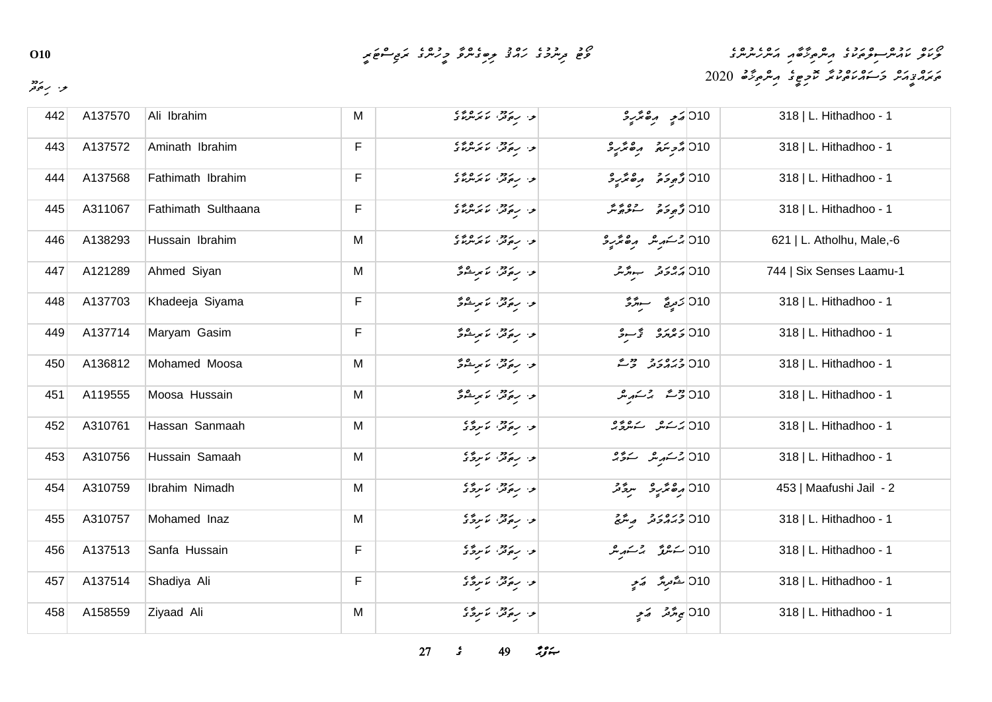*sCw7q7s5w7m< o<n9nOoAw7o< sCq;mAwBoEw7q<m; wBm;vB* م من المرة المرة المرة المرجع المراجع المراجع المراجع المراجع المراجع المراجع المراجع المراجع المراجع المراجع<br>مرين المراجع المراجع المرجع المراجع المراجع المراجع المراجع المراجع المراجع المراجع المراجع المراجع المراجع ال

| 442 | A137570 | Ali Ibrahim         | M           | و رود ، نرموره د           | 010 <i>ھَ۔ م</i> ِ مُحَمَّدٍ م               | 318   L. Hithadhoo - 1    |
|-----|---------|---------------------|-------------|----------------------------|----------------------------------------------|---------------------------|
| 443 | A137572 | Aminath Ibrahim     | F           | و رود رود .                | 010 مَّ <i>جِسَعْ مِ</i> مُحَمَّدٍ مَحَ      | 318   L. Hithadhoo - 1    |
| 444 | A137568 | Fathimath Ibrahim   | F           | والمردود الايراه والمحا    | 010 <i>ؤُ<sub>م</sub>ودَهْ بِهِ مُ</i> رِّدُ | 318   L. Hithadhoo - 1    |
| 445 | A311067 | Fathimath Sulthaana | F           | والمرود المتراولات         | 010 <i>ۋې<sub>م</sub>وڭ ئىشۋىتى</i> گە       | 318   L. Hithadhoo - 1    |
| 446 | A138293 | Hussain Ibrahim     | M           | والمردود الايراه والمحا    | 010 برسىمبر مەھزىر ئ                         | 621   L. Atholhu, Male,-6 |
| 447 | A121289 | Ahmed Siyan         | M           | و رکھی مکر شکھ             | 010 كەبرى ئىقرىسى بىر                        | 744   Six Senses Laamu-1  |
| 448 | A137703 | Khadeeja Siyama     | F           | والمركبين المعربشرق        | 010 كَتَرِيعٌ سِيرَةٌ وَ                     | 318   L. Hithadhoo - 1    |
| 449 | A137714 | Maryam Gasim        | $\mathsf F$ | والمردوم المعرشوق          | 010 كەبھەر قىلىدۇ                            | 318   L. Hithadhoo - 1    |
| 450 | A136812 | Mohamed Moosa       | M           | والمردوح المأمر لمقومي     | 010 دېم دېمر ته دي.                          | 318   L. Hithadhoo - 1    |
| 451 | A119555 | Moosa Hussain       | M           | و رکھی مکرکھ               | 010 قزیٹ پر شہر میں                          | 318   L. Hithadhoo - 1    |
| 452 | A310761 | Hassan Sanmaah      | M           | و رکړي تارون               | 010 يز بەر ئەردۇر                            | 318   L. Hithadhoo - 1    |
| 453 | A310756 | Hussain Samaah      | M           | و رود ، مردو               | 010 پرستمبر سر سکر محمد ا                    | 318   L. Hithadhoo - 1    |
| 454 | A310759 | Ibrahim Nimadh      | M           | و رکړي مکرون               | 010 م <i>وڭ ئۈچ</i> سر <i>چ</i> قر           | 453   Maafushi Jail - 2   |
| 455 | A310757 | Mohamed Inaz        | M           | و رکړي مکرون               | 010 <i>\$نَہُ \$ىقى مِ</i> مِتَّى            | 318   L. Hithadhoo - 1    |
| 456 | A137513 | Sanfa Hussain       | F           | و رکړي کارونو              | 010 سەندۇ بەسىرىد                            | 318   L. Hithadhoo - 1    |
| 457 | A137514 | Shadiya Ali         | F           | و رکړون کامروگی            | 010 شگەرنگ كەمچ                              | 318   L. Hithadhoo - 1    |
| 458 | A158559 | Ziyaad Ali          | M           | و رِيُوتُرُ ، مَرِدُّ کَهُ | 010 <sub>مح</sub> مد قرم کرم                 | 318   L. Hithadhoo - 1    |

*27 sC 49 nNw?mS*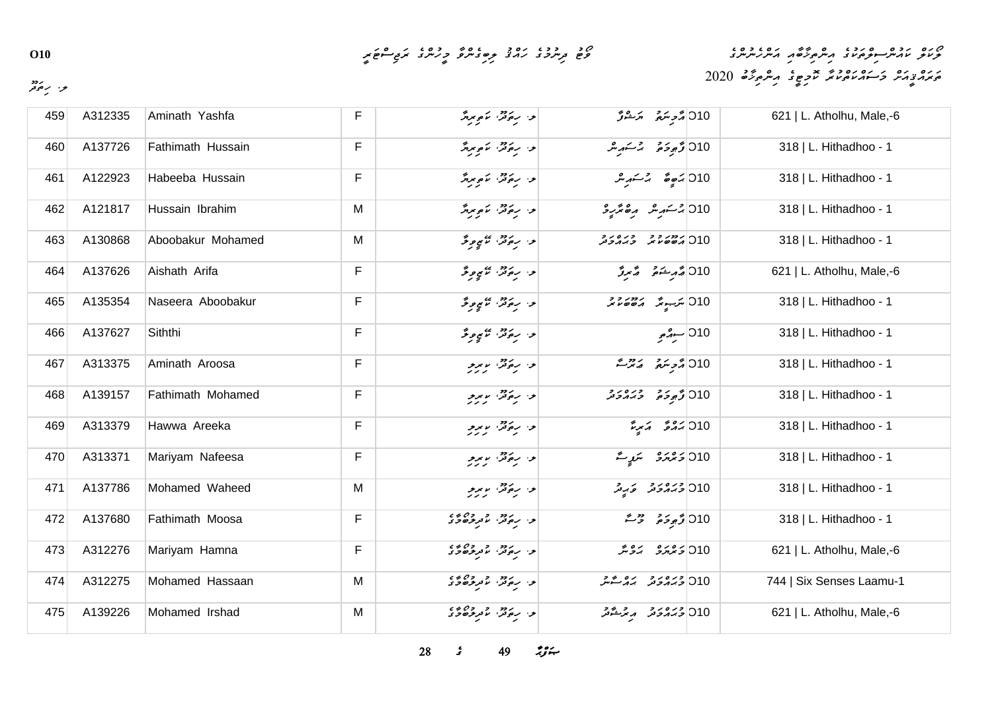*sCw7q7s5w7m< o<n9nOoAw7o< sCq;mAwBoEw7q<m; wBm;vB* م من المرة المرة المرة المرجع المراجع المراجع المراجع المراجع المراجع المراجع المراجع المراجع المراجع المراجع<br>مرين المراجع المراجع المرجع المراجع المراجع المراجع المراجع المراجع المراجع المراجع المراجع المراجع المراجع ال

| 459 | A312335 | Aminath Yashfa    | $\mathsf F$  | و رەۋش ئەم بىرىگە                        | 010 مَّ حِسَمَۃ مَشْرَ                     | 621   L. Atholhu, Male,-6 |
|-----|---------|-------------------|--------------|------------------------------------------|--------------------------------------------|---------------------------|
| 460 | A137726 | Fathimath Hussain | F            | و رودر نومبر                             | 010  وَمِوحَمْ لَمْ سَنَ مِسْر             | 318   L. Hithadhoo - 1    |
| 461 | A122923 | Habeeba Hussain   | $\mathsf F$  | و روده نورتر                             | 010 كَمَعِدَّةَ مُحْسَبِيْر                | 318   L. Hithadhoo - 1    |
| 462 | A121817 | Hussain Ibrahim   | M            | و رِهُ پُرُ مَعِ مِرْ                    | 010 يُرْسَمبُ مِنْ مِنْ مِنْ مِنْ          | 318   L. Hithadhoo - 1    |
| 463 | A130868 | Aboobakur Mohamed | M            | و روده عمود و                            | $5,000$ $2,000$ $-200$                     | 318   L. Hithadhoo - 1    |
| 464 | A137626 | Aishath Arifa     | $\mathsf F$  | و رەۋىش ئۇم بوق                          | 010 م <i>مَّ مِ</i> شَمَّ م <i>ُ</i> سِرَّ | 621   L. Atholhu, Male,-6 |
| 465 | A135354 | Naseera Aboobakur | F            | و رکړون لاموونځه                         | 010 مَرْسِوِمُرَ 2007مَرَ                  | 318   L. Hithadhoo - 1    |
| 466 | A137627 | Siththi           | $\mathsf F$  | و رەۋر ئەرەتى                            | 010 سرچمو                                  | 318   L. Hithadhoo - 1    |
| 467 | A313375 | Aminath Aroosa    | $\mathsf{F}$ | و ره تره بربر                            | 010 مَّ مِبْرَمَّة مَسَرَّسَةً             | 318   L. Hithadhoo - 1    |
| 468 | A139157 | Fathimath Mohamed | F            | و ره تر سرو                              | 010 <i>ۇ<sub>ج</sub>ۇمۇ مىگەدى</i> ر       | 318   L. Hithadhoo - 1    |
| 469 | A313379 | Hawwa Areeka      | $\mathsf F$  | در سره قرار موسور<br>  در سره قرار موسور | 010 ئەۋ <sub>قە</sub> مەم <sub>ى</sub> ر   | 318   L. Hithadhoo - 1    |
| 470 | A313371 | Mariyam Nafeesa   | $\mathsf{F}$ | و ره چې مومومو                           | 010 كى ئەرنىڭ سىرىگ                        | 318   L. Hithadhoo - 1    |
| 471 | A137786 | Mohamed Waheed    | M            | و ره ده د برو                            | 010 <i>\$نەممى قىرىم</i>                   | 318   L. Hithadhoo - 1    |
| 472 | A137680 | Fathimath Moosa   | $\mathsf F$  | و رود وروه و                             | 010 ۇ <sub>جو</sub> رۇ تۇرىم               | 318   L. Hithadhoo - 1    |
| 473 | A312276 | Mariyam Hamna     | $\mathsf F$  | و. رود و وه ور                           | 010 كەندىرى بەر ئىر                        | 621   L. Atholhu, Male,-6 |
| 474 | A312275 | Mohamed Hassaan   | M            | و. رود و وه ور                           | 010 <i>ۋېزودۇ بزوگى</i> ر                  | 744   Six Senses Laamu-1  |
| 475 | A139226 | Mohamed Irshad    | M            | و رکړې لوروه ده.<br>د رکړن لوروه ده      | 010 <i>\$نەمى قىرىمى</i> قىر               | 621   L. Atholhu, Male,-6 |

**28** *s* **49** *n***<sub>s</sub>***n***<sub>s</sub>**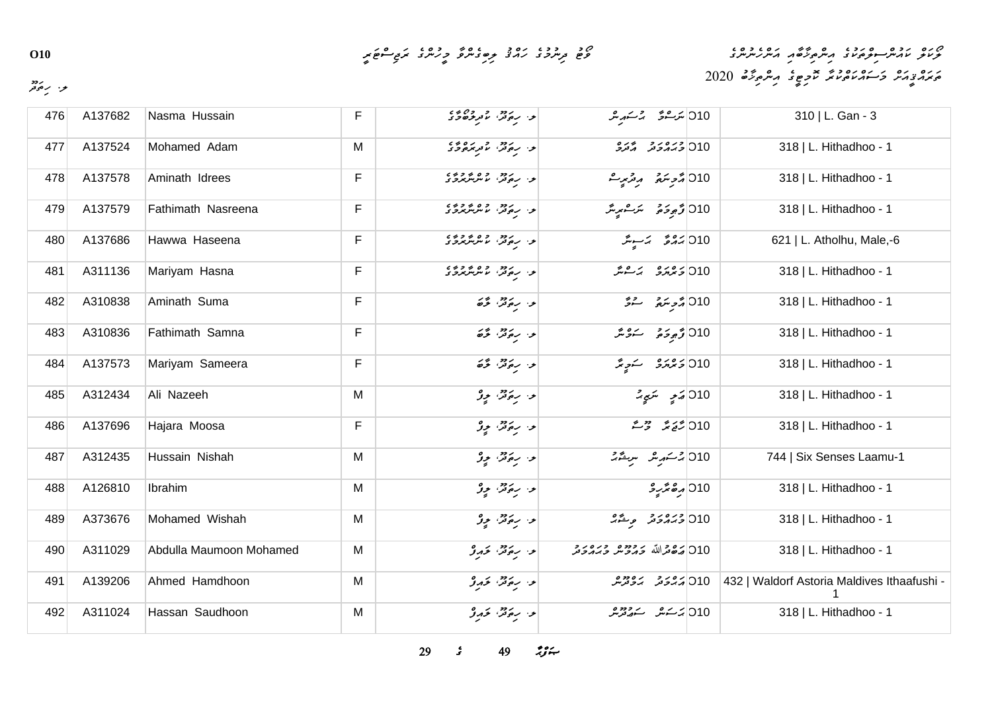*sCw7q7s5w7m< o<n9nOoAw7o< sCq;mAwBoEw7q<m; wBm;vB* م من المرة المرة المرة المرجع المراجع المراجع المراجع المراجع المراجع المراجع المراجع المراجع المراجع المراجع<br>مرين المراجع المراجع المرجع المراجع المراجع المراجع المراجع المراجع المراجع المراجع المراجع المراجع المراجع ال

| 476 | A137682 | Nasma Hussain           | F           | و رود وروه و     | 010 ىزىشۇ ھەشىرىش                          | 310   L. Gan - 3                            |
|-----|---------|-------------------------|-------------|------------------|--------------------------------------------|---------------------------------------------|
| 477 | A137524 | Mohamed Adam            | M           | و رود وروده      | 010 ج. پروتر گمگری                         | 318   L. Hithadhoo - 1                      |
| 478 | A137578 | Aminath Idrees          | F           | و. رەدو. 2019 دە | 010 مَّ مِ سَمَّدَ مِ مِنْ مِيْتَ          | 318   L. Hithadhoo - 1                      |
| 479 | A137579 | Fathimath Nasreena      | $\mathsf F$ | و. رود وه ووه    | 010 <i>ۋ<sub>ى</sub>و خۇ</i> سىرىشمىرىتىر  | 318   L. Hithadhoo - 1                      |
| 480 | A137686 | Hawwa Haseena           | F           | و. رەدو. 2019 دە | 010 رَدُوَّ - رَسِيمَّر                    | 621   L. Atholhu, Male,-6                   |
| 481 | A311136 | Mariyam Hasna           | F           | والمردود وه وواء | 010 كەنگەر ئەسىگە                          | 318   L. Hithadhoo - 1                      |
| 482 | A310838 | Aminath Suma            | F           | و رەپى ۋە        | 010 مٌ مِسَمَّد شَرَّ                      | 318   L. Hithadhoo - 1                      |
| 483 | A310836 | Fathimath Samna         | F           | وسيعوض تخصّ      | 010 ۇ <sub>ج</sub> وڭمۇ سىۋىگە             | 318   L. Hithadhoo - 1                      |
| 484 | A137573 | Mariyam Sameera         | F           | وسيعوش تخص       | 010 كەندىرى سەرىگە                         | 318   L. Hithadhoo - 1                      |
| 485 | A312434 | Ali Nazeeh              | M           | و روژه وِژ       | 010 کم په سمبې تر                          | 318   L. Hithadhoo - 1                      |
| 486 | A137696 | Hajara Moosa            | F           | و روژه وو        | 010 رَّيَ بَرْ مَسَّ                       | 318   L. Hithadhoo - 1                      |
| 487 | A312435 | Hussain Nishah          | M           | و روده وو        | 010 برڪريگر سرڪرم                          | 744   Six Senses Laamu-1                    |
| 488 | A126810 | Ibrahim                 | M           | و روژه وو        | 010 مەھمگەپىۋ                              | 318   L. Hithadhoo - 1                      |
| 489 | A373676 | Mohamed Wishah          | M           | د رېږوژ، بورو    | 010 <i>\$نەممىقى م</i> ېشى                 | 318   L. Hithadhoo - 1                      |
| 490 | A311029 | Abdulla Maumoon Mohamed | M           | والمرة والمحدوث  | 010 كەنھەتەاللە ئەق <i>رىقى ئەنگەدى</i> تە | 318   L. Hithadhoo - 1                      |
| 491 | A139206 | Ahmed Hamdhoon          | M           | و رِيَّ وَرِوْ   | ,010 كەبرى <i>بىر بىر ئەرى</i> ر           | 432   Waldorf Astoria Maldives Ithaafushi - |
| 492 | A311024 | Hassan Saudhoon         | M           | و رەۋى ئەرۋ      | 010 ئەسەھرىسى سەھەتىرىش                    | 318   L. Hithadhoo - 1                      |

*29 sC 49 nNw?mS*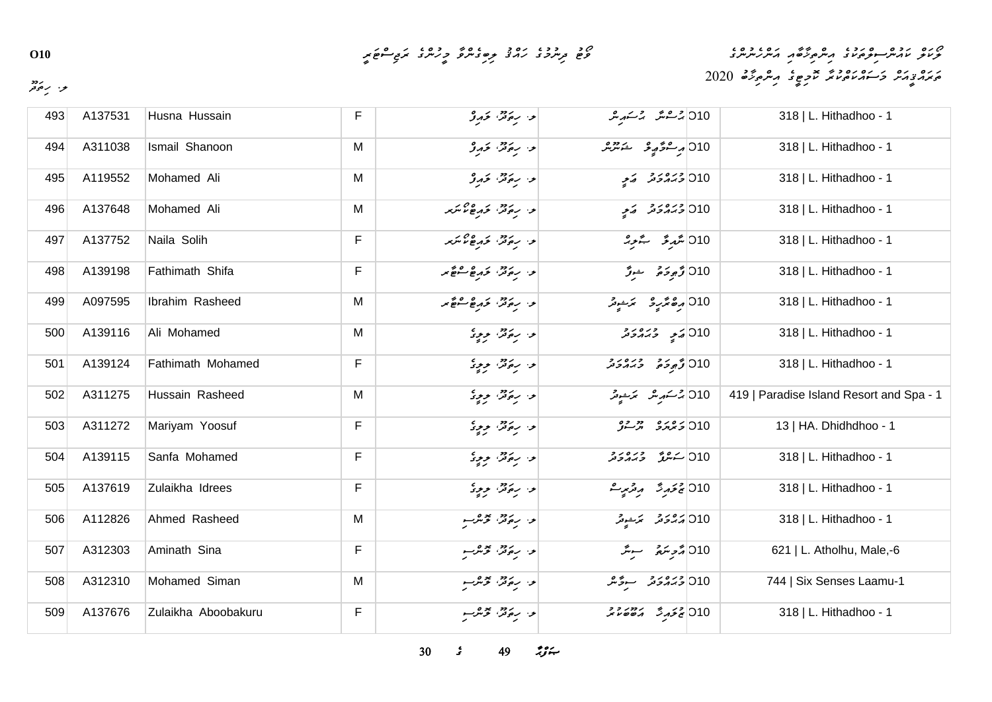*sCw7q7s5w7m< o<n9nOoAw7o< sCq;mAwBoEw7q<m; wBm;vB* م من المرة المرة المرة المرجع المراجع المراجع المراجع المراجع المراجع المراجع المراجع المراجع المراجع المراجع<br>مرين المراجع المراجع المرجع المراجع المراجع المراجع المراجع المراجع المراجع المراجع المراجع المراجع المراجع ال

| 493 | A137531 | Husna Hussain       | F           | و رِيَّ وَرِوْ                 | 010 يُرْسُعَدُ كَرْسَهِ عْرَ                    | 318   L. Hithadhoo - 1                   |
|-----|---------|---------------------|-------------|--------------------------------|-------------------------------------------------|------------------------------------------|
| 494 | A311038 | Ismail Shanoon      | M           | أوسي وتمريح وتمرقر             | 010 م <i>ې</i> شۇم <sub>ۇ</sub> بۇ شەھەر        | 318   L. Hithadhoo - 1                   |
| 495 | A119552 | Mohamed Ali         | M           | أوسيقحظ تحدق                   | 010 <i>ڈیز پڑتھ کی ج</i>                        | 318   L. Hithadhoo - 1                   |
| 496 | A137648 | Mohamed Ali         | M           | والمردون كرماه مالكريما        | 010 <i>  جُنگۇنىڭ م</i> َىچ                     | 318   L. Hithadhoo - 1                   |
| 497 | A137752 | Naila Solih         | F           | و رود وره وره مر               | 010 شەرىخە سەمرىر                               | 318   L. Hithadhoo - 1                   |
| 498 | A139198 | Fathimath Shifa     | $\mathsf F$ | والرود كهاء والمقامر           | 010 <i>وُّجِ حَمَّ</i> شِيوً                    | 318   L. Hithadhoo - 1                   |
| 499 | A097595 | Ibrahim Rasheed     | M           | و رەتر، ئورۇشى ئ               | 010 مەھ ئىر بۇ سىمىسى ئىر                       | 318   L. Hithadhoo - 1                   |
| 500 | A139116 | Ali Mohamed         | M           | و روده وود                     | 010 ك <sub>ى</sub> چە ئەتەر ئىككىنى بىر بىر كىل | 318   L. Hithadhoo - 1                   |
| 501 | A139124 | Fathimath Mohamed   | $\mathsf F$ | أوسية ولاثق وودة               | 010 <i>ۇ<sub>م</sub>ودۇ دېم</i> ۇمۇ             | 318   L. Hithadhoo - 1                   |
| 502 | A311275 | Hussain Rasheed     | M           | و روده وود                     | 010 پرستہر مگر میں مقبولاتی کی مقبولاتی ا       | 419   Paradise Island Resort and Spa - 1 |
| 503 | A311272 | Mariyam Yoosuf      | $\mathsf F$ | و روژه وود                     | 010 كەنگەر بۇرلىرۇ                              | 13   HA. Dhidhdhoo - 1                   |
| 504 | A139115 | Sanfa Mohamed       | $\mathsf F$ | و روده ووړ                     | 010 سىشدۇر قىيدۇر                               | 318   L. Hithadhoo - 1                   |
| 505 | A137619 | Zulaikha Idrees     | $\mathsf F$ | و روده وود                     | 010 ت <sub>ح</sub> تحدث مقبر مشروع              | 318   L. Hithadhoo - 1                   |
| 506 | A112826 | Ahmed Rasheed       | M           | د. ر <sub>ەۋ</sub> تى ئۇنىرىسى | 010 <i>كەندى كىل تىرىنى</i> دىگە                | 318   L. Hithadhoo - 1                   |
| 507 | A312303 | Aminath Sina        | $\mathsf F$ | و رەۋر بولەپ                   | 010 مَّرْمِتْهُ سِبْر                           | 621   L. Atholhu, Male,-6                |
| 508 | A312310 | Mohamed Siman       | M           | و. رەۋر، ئۇنگرىسو              | 010 <i>\$نەمى قىرى سىۋىتى</i>                   | 744   Six Senses Laamu-1                 |
| 509 | A137676 | Zulaikha Aboobakuru | F           | و ريږي بولمرب                  | 010 ىج ئەرب <sup>ى</sup> مەھەم ئىر              | 318   L. Hithadhoo - 1                   |

**30** *s* **49** *n***<sub>s</sub>***n*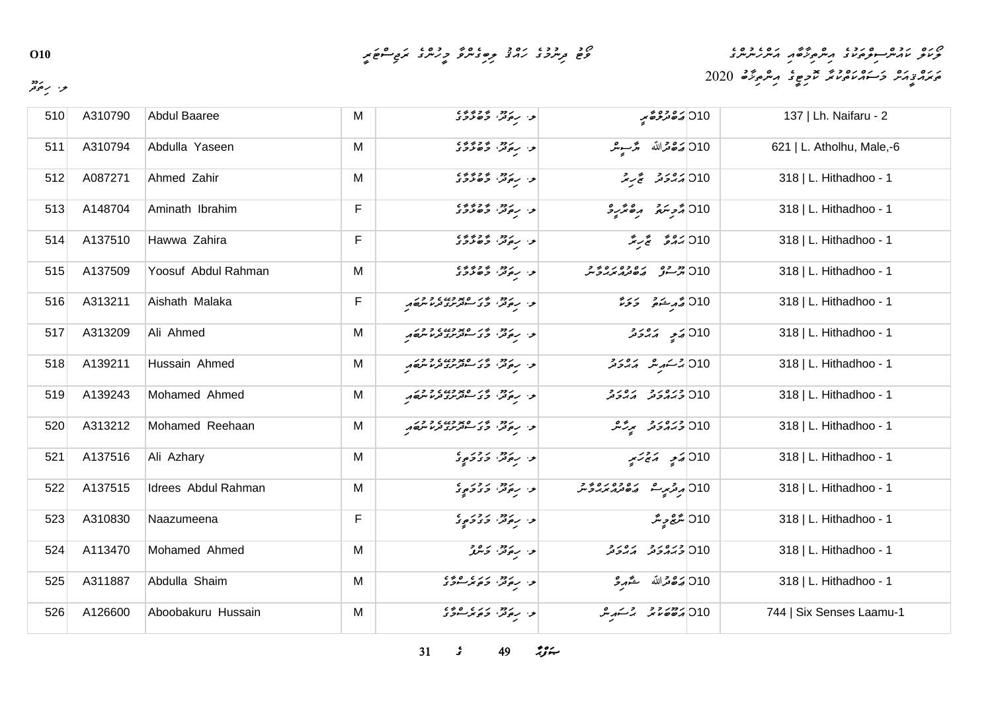*sCw7q7s5w7m< o<n9nOoAw7o< sCq;mAwBoEw7q<m; wBm;vB* م من المرة المرة المرة المرجع المراجع المراجع المراجع المراجع المراجع المراجع المراجع المراجع المراجع المراجع<br>مرين المراجع المراجع المرجع المراجع المراجع المراجع المراجع المراجع المراجع المراجع المراجع المراجع المراجع ال

| 510 | A310790 | Abdul Baaree        | M           | و. رود ووووی                                              | 010 كەھ قرى <i>ۋە ب</i> ر                            | 137   Lh. Naifaru - 2     |
|-----|---------|---------------------|-------------|-----------------------------------------------------------|------------------------------------------------------|---------------------------|
| 511 | A310794 | Abdulla Yaseen      | M           | والمردود الأوجاء والمحمدة                                 | 010 كەڭ قىراللە م <i>ەربى</i> گە                     | 621   L. Atholhu, Male,-6 |
| 512 | A087271 | Ahmed Zahir         | M           | و. رود ووووه                                              | 010 كەشەكە قىلى سىمبە                                | 318   L. Hithadhoo - 1    |
| 513 | A148704 | Aminath Ibrahim     | $\mathsf F$ | و. رود ووووه                                              | 010 مَّحِسَمَةَ مِنْ مِحْسَنِ مِنْ                   | 318   L. Hithadhoo - 1    |
| 514 | A137510 | Hawwa Zahira        | F           | و. رود ووووه                                              | 010 يَرْدُوَّ گَمَ رَبَّرُ                           | 318   L. Hithadhoo - 1    |
| 515 | A137509 | Yoosuf Abdul Rahman | M           | والمردود الأوجاء والمحمدة                                 |                                                      | 318   L. Hithadhoo - 1    |
| 516 | A313211 | Aishath Malaka      | F           |                                                           | 010 <i>مُ</i> مِي شَمَّة وَ وَعَ                     | 318   L. Hithadhoo - 1    |
| 517 | A313209 | Ali Ahmed           | M           | ر دو په ره دوه ده د د در<br>و ره تن و د سترمرد ترم مرده د | 010 <i>ھَجِ     مُكْ</i> حَ <sup>و</sup> َ           | 318   L. Hithadhoo - 1    |
| 518 | A139211 | Hussain Ahmed       | M           |                                                           | 010 يُرَسَمِهِ مَدْ دَمْهِ دَمْ                      | 318   L. Hithadhoo - 1    |
| 519 | A139243 | Mohamed Ahmed       | M           |                                                           | 010 دېم دېم د پروتر                                  | 318   L. Hithadhoo - 1    |
| 520 | A313212 | Mohamed Reehaan     | M           |                                                           | 010  <i>\$نە\$ى بەرد</i> ىر                          | 318   L. Hithadhoo - 1    |
| 521 | A137516 | Ali Azhary          | M           | و رود دور و                                               | 010 <i>ھَ جِه سَيِّ</i> رَ پرِ                       | 318   L. Hithadhoo - 1    |
| 522 | A137515 | Idrees Abdul Rahman | M           | و رکونز، وروس                                             | 010 موٽر پر مقدم مذهب شهر<br>010 موٽر پر مقدم مذہب ش | 318   L. Hithadhoo - 1    |
| 523 | A310830 | Naazumeena          | F           | و رکونل کردگر د                                           | 010 مَنْ چونْز                                       | 318   L. Hithadhoo - 1    |
| 524 | A113470 | Mohamed Ahmed       | M           | والمرود كالكرو                                            | 010 <i>ۋېزو دې پرونو</i>                             | 318   L. Hithadhoo - 1    |
| 525 | A311887 | Abdulla Shaim       | M           | و. رود در د و و و و                                       | 010 كەھەراللە مەمەر 2                                | 318   L. Hithadhoo - 1    |
| 526 | A126600 | Aboobakuru Hussain  | M           | وسردود ارداده ودا                                         | 010 كەھۋىر بەسكەر بىر                                | 744   Six Senses Laamu-1  |

**31** *s* **49** *nS*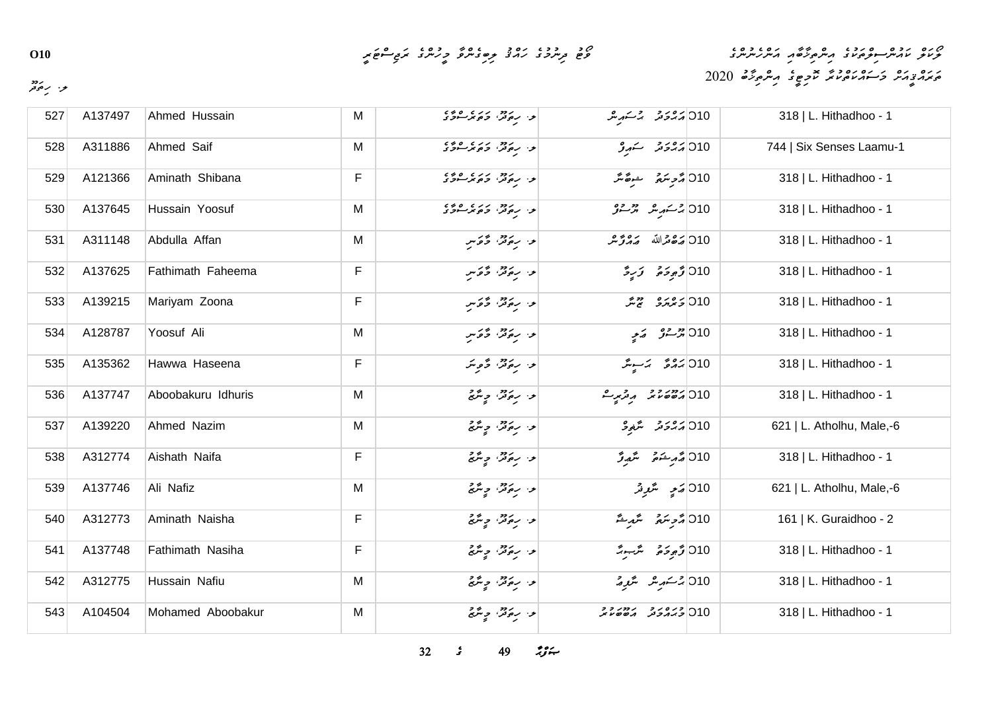*sCw7q7s5w7m< o<n9nOoAw7o< sCq;mAwBoEw7q<m; wBm;vB* م من المرة المرة المرة المرجع المراجع المراجع المراجع المراجع المراجع المراجع المراجع المراجع المراجع المراجع<br>مرين المراجع المراجع المرجع المراجع المراجع المراجع المراجع المراجع المراجع المراجع المراجع المراجع المراجع ال

| 527 | A137497 | Ahmed Hussain      | M            | و. رود در د و و د      | 010 كەبرى بىر بۇ سەر بىر                                                                                      | 318   L. Hithadhoo - 1    |
|-----|---------|--------------------|--------------|------------------------|---------------------------------------------------------------------------------------------------------------|---------------------------|
| 528 | A311886 | Ahmed Saif         | M            | وسردود درد د دوه       | 010 كەنزىق سەرى                                                                                               | 744   Six Senses Laamu-1  |
| 529 | A121366 | Aminath Shibana    | $\mathsf F$  | و. رود در د و و و و    | 010 مَّ حِبَّمَةٌ مُسَوَّمَّةٌ                                                                                | 318   L. Hithadhoo - 1    |
| 530 | A137645 | Hussain Yoosuf     | M            | والمردود الرادان والإن | 010 پرسٹمبر میں چینے تھی                                                                                      | 318   L. Hithadhoo - 1    |
| 531 | A311148 | Abdulla Affan      | M            | و رەپر ۋە بر           | 010 كەھىراللە كەرگە ئىر                                                                                       | 318   L. Hithadhoo - 1    |
| 532 | A137625 | Fathimath Faheema  | $\mathsf F$  | و رِيُوْرُ، وُيَ سِ    | 010 <i>وُّجِ حَمَّى وَرِحَ</i> ّ                                                                              | 318   L. Hithadhoo - 1    |
| 533 | A139215 | Mariyam Zoona      | $\mathsf{F}$ | و رِيُوتِرُ، وُيَ سِ   | 010 كەبىر بىر تەنگە                                                                                           | 318   L. Hithadhoo - 1    |
| 534 | A128787 | Yoosuf Ali         | M            | و روده دوسر            | 010 پڙھو پہ پہ                                                                                                | 318   L. Hithadhoo - 1    |
| 535 | A135362 | Hawwa Haseena      | $\mathsf F$  | و رِيَوْنَ وُوِسَ      | 010 يَرْدُوَّ - يَرْسِرْ بِلْ                                                                                 | 318   L. Hithadhoo - 1    |
| 536 | A137747 | Aboobakuru Idhuris | M            | و روده د پرو           | 010 كەن ئۇي ھەر بىر بىر يىلىن بىر ئىستىدىكە بىر ئىستان ئىستان ئىستان ئىستان ئىستان ئىستان ئىستان ئىستان ئىستا | 318   L. Hithadhoo - 1    |
| 537 | A139220 | Ahmed Nazim        | M            | و روَتْرُ، وِسَّنَّ    | 010 <i>كەندى كى</i> ر ئىگەنچە ئى                                                                              | 621   L. Atholhu, Male,-6 |
| 538 | A312774 | Aishath Naifa      | $\mathsf F$  | و روژه و شه            | 010 م <i>مَّدٍ شَرْقَ مَتَّمَدٍ رَ</i> ّ                                                                      | 318   L. Hithadhoo - 1    |
| 539 | A137746 | Ali Nafiz          | M            | و روَتْرُ، وِسَّنَّ    | 010 كەي شىرىتر                                                                                                | 621   L. Atholhu, Male,-6 |
| 540 | A312773 | Aminath Naisha     | $\mathsf{F}$ | و روده د پرو           | 010 مَّرْمِتَمَّدَ شَّدِيَّةَ                                                                                 | 161   K. Guraidhoo - 2    |
| 541 | A137748 | Fathimath Nasiha   | $\mathsf F$  | و رووش و سره           | 010 <i>ۋ<sub>ى</sub>وخۇ</i> مەسىبەتە                                                                          | 318   L. Hithadhoo - 1    |
| 542 | A312775 | Hussain Nafiu      | M            | و. رەۋر، دېگى          | 010 پرستمبر ش <i>ور</i> مج                                                                                    | 318   L. Hithadhoo - 1    |
| 543 | A104504 | Mohamed Aboobakur  | M            | و روده د شم            |                                                                                                               | 318   L. Hithadhoo - 1    |

**32** *s* **49** *n***<sub>s</sub>***n***<sub>s</sub>**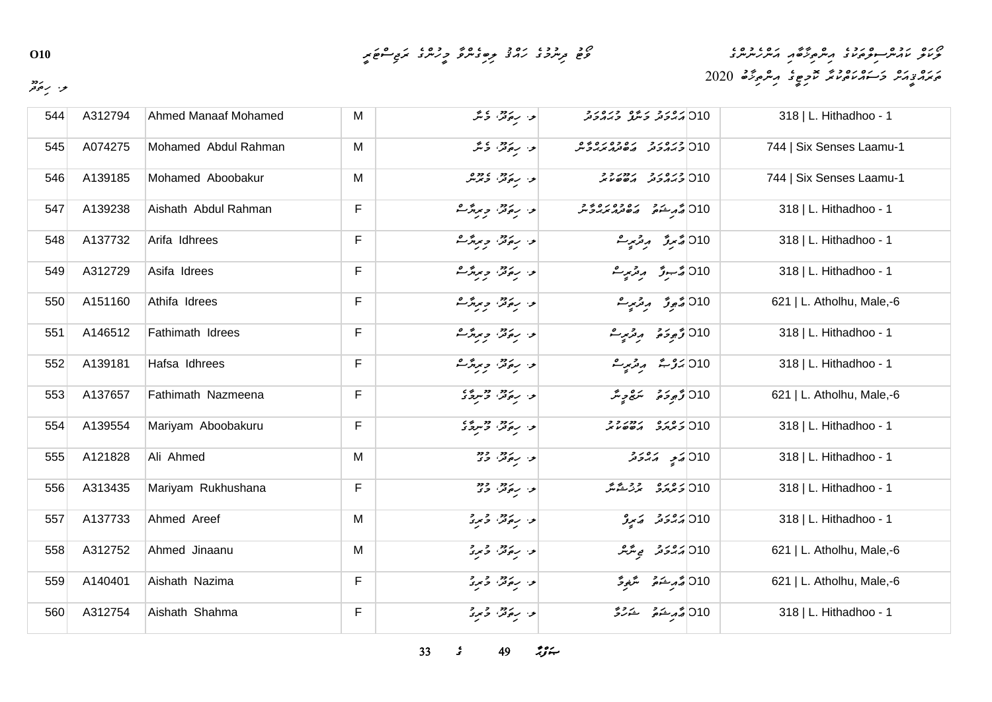*sCw7q7s5w7m< o<n9nOoAw7o< sCq;mAwBoEw7q<m; wBm;vB* م من المرة المرة المرة المرجع المراجع المراجع المراجع المراجع المراجع المراجع المراجع المراجع المراجع المراجع<br>مرين المراجع المراجع المرجع المراجع المراجع المراجع المراجع المراجع المراجع المراجع المراجع المراجع المراجع ال

| 544 | A312794 | <b>Ahmed Manaaf Mohamed</b> | M            | و رەتر، ۋىگ         | 010   كەشكە ئەشكە ئەشكە ئەشكە                   | 318   L. Hithadhoo - 1    |
|-----|---------|-----------------------------|--------------|---------------------|-------------------------------------------------|---------------------------|
| 545 | A074275 | Mohamed Abdul Rahman        | M            | ا د ریږده د تگ      | 010 <i>جەيگە ئەھمەر ئەھەتبەر ئە</i> گە          | 744   Six Senses Laamu-1  |
| 546 | A139185 | Mohamed Aboobakur           | M            | والمرموض وبوره      | 010 <i>לגהכת הססי</i> ת                         | 744   Six Senses Laamu-1  |
| 547 | A139238 | Aishath Abdul Rahman        | $\mathsf{F}$ | و. رەپر، دېرىگ      | 010 مەم شەق مەھ قىرە تىرىدى قىر                 | 318   L. Hithadhoo - 1    |
| 548 | A137732 | Arifa Idhrees               | F            | و ریږي و بروگ       | 010 ۾ سرڙ پر مرسمبر شه                          | 318   L. Hithadhoo - 1    |
| 549 | A312729 | Asifa Idrees                | $\mathsf F$  | و. رەتر، دېرىرگ     | 010 ۾ سوڙھ موٽرميڪ                              | 318   L. Hithadhoo - 1    |
| 550 | A151160 | Athifa Idrees               | F            | و ریون ویروگ        | 010 مَّ مِوَزَّ مِنْدَمِيْتْ                    | 621   L. Atholhu, Male,-6 |
| 551 | A146512 | Fathimath Idrees            | $\mathsf F$  | و. رەتر، دېروگ      | 010  وَّجوحَهُ فَسَرْمِيْتُ                     | 318   L. Hithadhoo - 1    |
| 552 | A139181 | Hafsa Idhrees               | F            | و. رەتر، دېرىر ھ    | 010 كەنۇبە ھەمپەسى                              | 318   L. Hithadhoo - 1    |
| 553 | A137657 | Fathimath Nazmeena          | $\mathsf{F}$ | و رکړونه وختره ده   | 010 <i>ۋې<sub>م</sub>وخىۋ</i> سى <i>غ د</i> ېتر | 621   L. Atholhu, Male,-6 |
| 554 | A139554 | Mariyam Aboobakuru          | $\mathsf F$  | و رود وسرور         | 010 كەبەر بەر يەر يەر                           | 318   L. Hithadhoo - 1    |
| 555 | A121828 | Ali Ahmed                   | M            | و رود ود            | 010 <i>ھَ جِه سَگر</i> مَّد                     | 318   L. Hithadhoo - 1    |
| 556 | A313435 | Mariyam Rukhushana          | $\mathsf F$  | ا د. رود دود.<br>ا  | 010 كەنگەنى بەر ئەشكە                           | 318   L. Hithadhoo - 1    |
| 557 | A137733 | Ahmed Areef                 | M            | و رووه ورو          | 010 <i>ټرچی ق</i> ری                            | 318   L. Hithadhoo - 1    |
| 558 | A312752 | Ahmed Jinaanu               | M            | و رِيَوْنُ وُمِرَدُ | 010   كەش <sup>ى</sup> ر قىمى ئەشرىكە           | 621   L. Atholhu, Male,-6 |
| 559 | A140401 | Aishath Nazima              | F            | و رکړي ورو          | 010 مەم ئىقىمە ئىتى <i>م</i> ىدۇ                | 621   L. Atholhu, Male,-6 |
| 560 | A312754 | Aishath Shahma              | F            | و ريځش و برو        | 010 <i>مُّەرِحْمَة حْدَرْدُ</i> ّ               | 318   L. Hithadhoo - 1    |

**33** *s* **49** *nS***<sub>i</sub>**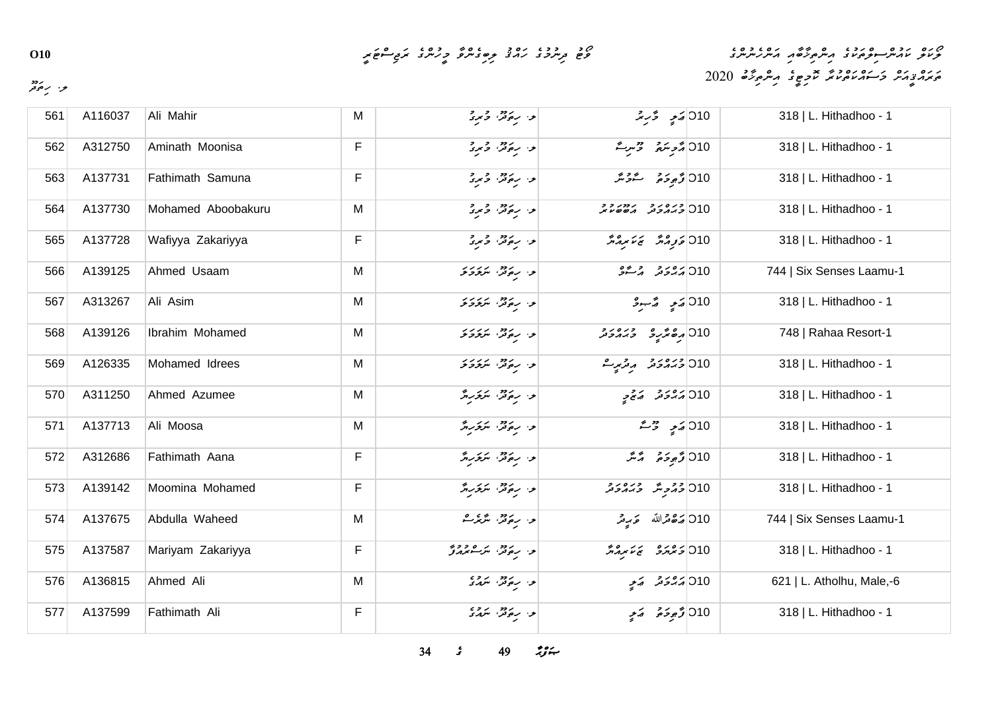*sCw7q7s5w7m< o<n9nOoAw7o< sCq;mAwBoEw7q<m; wBm;vB* م من المرة المرة المرة المرجع المراجع المراجع المراجع المراجع المراجع المراجع المراجع المراجع المراجع المراجع<br>مرين المراجع المراجع المرجع المراجع المراجع المراجع المراجع المراجع المراجع المراجع المراجع المراجع المراجع ال

| 561 | A116037 | Ali Mahir          | M           | و رِيَوْنُ وُمِرَدُ     | 010 كەي - دۇرىتر                              | 318   L. Hithadhoo - 1    |
|-----|---------|--------------------|-------------|-------------------------|-----------------------------------------------|---------------------------|
| 562 | A312750 | Aminath Moonisa    | $\mathsf F$ | والركوش ومرو            | 010 مَّ مِ سَمَّةٍ مَّ حَسِبٌ                 | 318   L. Hithadhoo - 1    |
| 563 | A137731 | Fathimath Samuna   | $\mathsf F$ | وا رِيَوْنُ وَمِرِيْ    | 010 <i>ؤ<sub>م</sub>ودَة</i> شۇن <i>ت</i> ر   | 318   L. Hithadhoo - 1    |
| 564 | A137730 | Mohamed Aboobakuru | M           | والرحاق وبرو            | 010 <i>לגתכת הסטית</i>                        | 318   L. Hithadhoo - 1    |
| 565 | A137728 | Wafiyya Zakariyya  | F           | وا رەۋش ۋىرو            | 010 <i>ھَ بِہ م</i> گھ پھو پھو گھ             | 318   L. Hithadhoo - 1    |
| 566 | A139125 | Ahmed Usaam        | M           | والمردوني الكرقرقر      | 010 كەندى قىر كەشكە                           | 744   Six Senses Laamu-1  |
| 567 | A313267 | Ali Asim           | M           | و رەپى شۆڭ ك            | 010 ھَءِ - ھُ-جو                              | 318   L. Hithadhoo - 1    |
| 568 | A139126 | Ibrahim Mohamed    | M           | ى رەق ئەدە              | 010 مەھەر بولى ئەمەدىر<br>010 مەھەربى         | 748   Rahaa Resort-1      |
| 569 | A126335 | Mohamed Idrees     | M           | ى رەق ئەدە              | 010  <i>\$ ئەۋۋىق مەنۇبىي</i> ش               | 318   L. Hithadhoo - 1    |
| 570 | A311250 | Ahmed Azumee       | M           | و رِيُوتُرُ مَرَكَزِيرُ | 010   كەش <sup>ى</sup> رىقى كەيئى <i>يى</i>   | 318   L. Hithadhoo - 1    |
| 571 | A137713 | Ali Moosa          | M           | و رەتى ئىۋرىژ           | 010 پر ژنگ                                    | 318   L. Hithadhoo - 1    |
| 572 | A312686 | Fathimath Aana     | F           | و رەۋش ئىرى بىر         | 010 <i>ؤُجِوحَةْ</i> مَمَّتَر                 | 318   L. Hithadhoo - 1    |
| 573 | A139142 | Moomina Mohamed    | $\mathsf F$ | و رەتۇ، ئىزىر           | 010 <i>ۇ<sub>م</sub>ۇم</i> ۇر ئ <i>ۇندۇند</i> | 318   L. Hithadhoo - 1    |
| 574 | A137675 | Abdulla Waheed     | M           | و رود رود کر            | 010 كەھ قراللە       كەبوقر                   | 744   Six Senses Laamu-1  |
| 575 | A137587 | Mariyam Zakariyya  | $\mathsf F$ | و. رەپى سەر دورە        | 010 كەنگەر ئەسىم ئەرەپ                        | 318   L. Hithadhoo - 1    |
| 576 | A136815 | Ahmed Ali          | M           | و رودو. روه             | 010 <i>ټرچي چې</i>                            | 621   L. Atholhu, Male,-6 |
| 577 | A137599 | Fathimath Ali      | $\mathsf F$ | و. رەتر، سرد ،          | 010 <i>وُجوحَۃ مَی</i> جِ                     | 318   L. Hithadhoo - 1    |

**34** *s* **49** *n***<sub>s</sub>***n***<sub>s</sub>**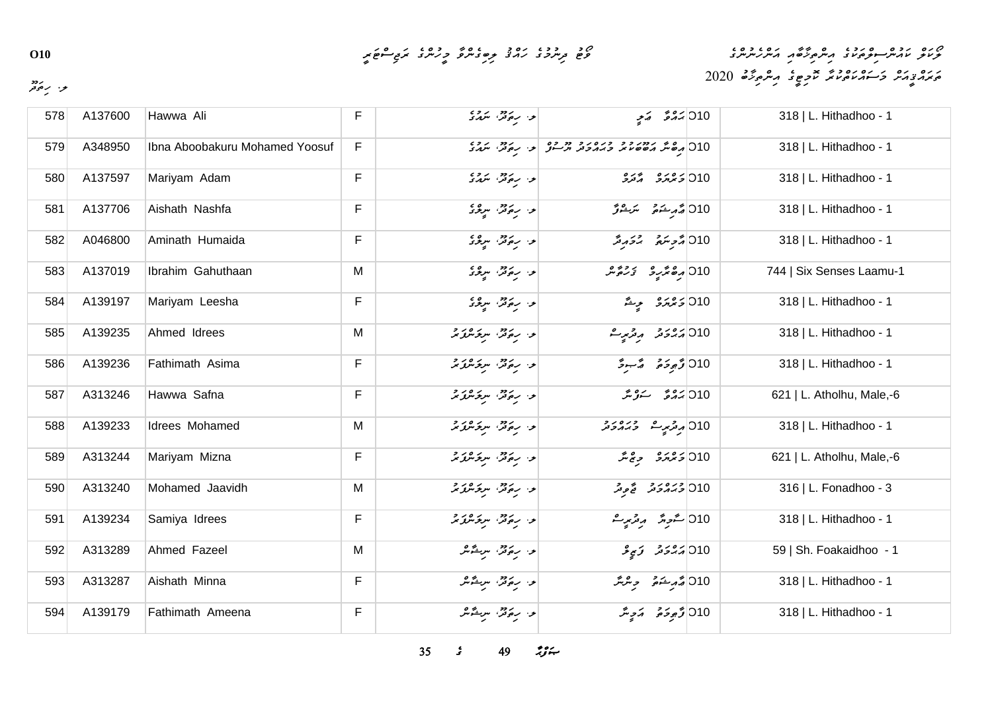*sCw7q7s5w7m< o<n9nOoAw7o< sCq;mAwBoEw7q<m; wBm;vB* م من المرة المرة المرة المرجع المراجع المراجع المراجع المراجع المراجع المراجع المراجع المراجع المراجع المراجع<br>مرين المراجع المراجع المرجع المراجع المراجع المراجع المراجع المراجع المراجع المراجع المراجع المراجع المراجع ال

| 578 | A137600 | Hawwa Ali                      | $\mathsf F$ | وسر رود روه     | 010 <i>ټرچ</i> کام                                 | 318   L. Hithadhoo - 1    |
|-----|---------|--------------------------------|-------------|-----------------|----------------------------------------------------|---------------------------|
| 579 | A348950 | Ibna Aboobakuru Mohamed Yoosuf | F           |                 |                                                    | 318   L. Hithadhoo - 1    |
| 580 | A137597 | Mariyam Adam                   | F           | و. رەۋش شرور    | 010 <i>5 پروژه پ</i> ېړ <i>و</i>                   | 318   L. Hithadhoo - 1    |
| 581 | A137706 | Aishath Nashfa                 | F           | د رېږدن سرور    | 010 <i>مُگهِ شکه تَ</i> سَرَسْتَرَگَ               | 318   L. Hithadhoo - 1    |
| 582 | A046800 | Aminath Humaida                | $\mathsf F$ | و. رەتر، سروي   | 010 مَّ حِسَمَ <sub>ّة م</sub> ُحَدِمَّد           | 318   L. Hithadhoo - 1    |
| 583 | A137019 | Ibrahim Gahuthaan              | M           | و روژه سروی     | 010 <i>م<sub>و</sub>ھ مگرچ</i> و تۆرگەنگر          | 744   Six Senses Laamu-1  |
| 584 | A139197 | Mariyam Leesha                 | F           | و رەپر سروپر    | 010  <i>5\$پرو چ</i> یڈ                            | 318   L. Hithadhoo - 1    |
| 585 | A139235 | Ahmed Idrees                   | M           | و رەپى سۆسىم    | 010  رَجْدَة مِعْ مِرْمِيْتْ                       | 318   L. Hithadhoo - 1    |
| 586 | A139236 | Fathimath Asima                | F           | و رەتر سرىرىد   | 010 <i>ؤُوِدَهْ پ</i> ُسِدُّ                       | 318   L. Hithadhoo - 1    |
| 587 | A313246 | Hawwa Safna                    | F           | و رەتر سركىرىگە | 010 ئەيۇ سۇرىگە                                    | 621   L. Atholhu, Male,-6 |
| 588 | A139233 | Idrees Mohamed                 | M           | و رەۋش سۆسىگە   | 010 م <i>ې</i> ترىپرىش ئ <i>ىز دى</i> رى           | 318   L. Hithadhoo - 1    |
| 589 | A313244 | Mariyam Mizna                  | F           | و رەتر سرگىرىم  | 010 ك <i>ىرىدۇ بەي ئ</i>                           | 621   L. Atholhu, Male,-6 |
| 590 | A313240 | Mohamed Jaavidh                | M           | و رەپى سۆسىدى   | 010 <i>\$نەچى قى قى</i> قى                         | 316   L. Fonadhoo - 3     |
| 591 | A139234 | Samiya Idrees                  | F           | و رەتر سركىرىگە | 010 ڪوپڙ پوشپيڪ                                    | 318   L. Hithadhoo - 1    |
| 592 | A313289 | Ahmed Fazeel                   | ${\sf M}$   | ىق بەردە سرىشىر | 010 كەندى قىمى تىلىمى ئىل                          | 59   Sh. Foakaidhoo - 1   |
| 593 | A313287 | Aishath Minna                  | F           | و. رەۋر، سرىشەر | 010 <i>۾ مرڪو جي مرينگ</i> ر                       | 318   L. Hithadhoo - 1    |
| 594 | A139179 | Fathimath Ameena               | F           | ى رەۋى سىشىر    | 010 <b>ز</b> َّمِوحَ <sup>مِ</sup> <i>مَ</i> حٍسَّ | 318   L. Hithadhoo - 1    |

**35** *s* **49** *n***<sub>s</sub>***n***<sub>s</sub>**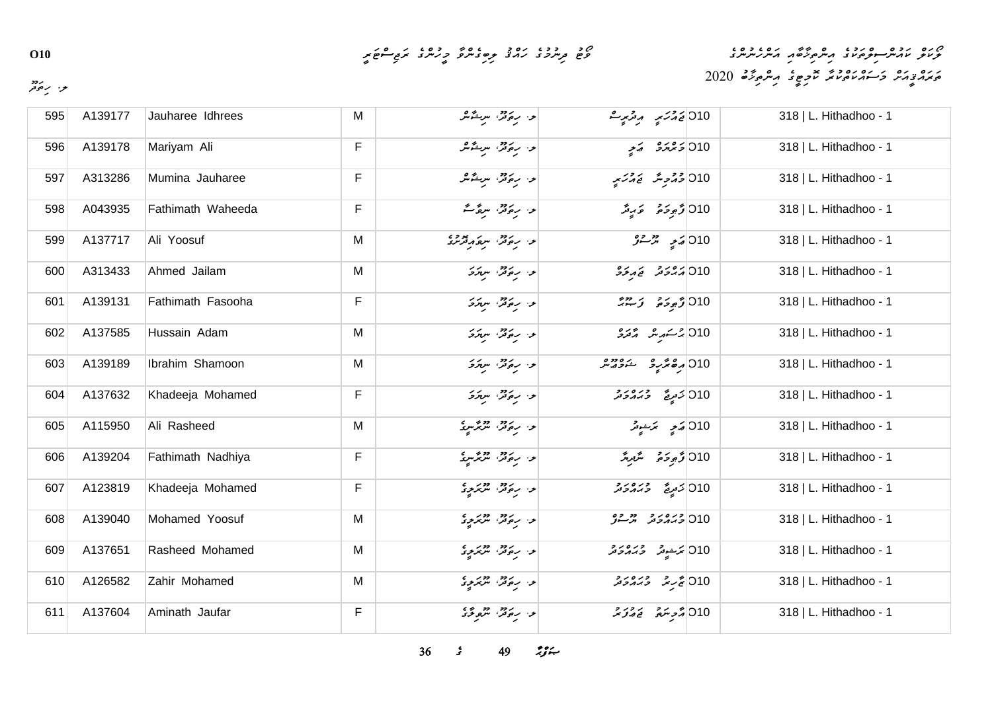*sCw7q7s5w7m< o<n9nOoAw7o< sCq;mAwBoEw7q<m; wBm;vB* م من المرة المرة المرة المرجع المراجع المراجع المراجع المراجع المراجع المراجع المراجع المراجع المراجع المراجع<br>مرين المراجع المراجع المرجع المراجع المراجع المراجع المراجع المراجع المراجع المراجع المراجع المراجع المراجع ال

| 595 | A139177 | Jauharee Idhrees  | M           | و. رەۋر، سرىشىر     | 010 <i>قەممىيەھىرىيى</i> شە                        | 318   L. Hithadhoo - 1 |
|-----|---------|-------------------|-------------|---------------------|----------------------------------------------------|------------------------|
| 596 | A139178 | Mariyam Ali       | F           | ى رەۋش سىشىگە       | 010 كىمىدۇ كەم                                     | 318   L. Hithadhoo - 1 |
| 597 | A313286 | Mumina Jauharee   | $\mathsf F$ | ى رەۋش سىشىگە       | 010 <i>ۇ<sub>م</sub>ۇم</i> ىر ق <sub>ە</sub> مەرىپ | 318   L. Hithadhoo - 1 |
| 598 | A043935 | Fathimath Waheeda | F           | ى رەۋش سرەڭ         | 010 <i>وُّجِ دَمَّة - وَب</i> ِيَّز                | 318   L. Hithadhoo - 1 |
| 599 | A137717 | Ali Yoosuf        | M           | و رکوش سرخ مرفر ده  | 010 کی پی چینے کی                                  | 318   L. Hithadhoo - 1 |
| 600 | A313433 | Ahmed Jailam      | M           | و روژه سرگ          | 010 <i>ټرېنځن</i> <sub>قم</sub> ر <i>ځ</i> و       | 318   L. Hithadhoo - 1 |
| 601 | A139131 | Fathimath Fasooha | F           | و روکر سرگر         | 010 رَّجِ دَمَ قَرَ بِيْنَهُ ۖ                     | 318   L. Hithadhoo - 1 |
| 602 | A137585 | Hussain Adam      | M           | و روکر سرگر         | 010 بڑے ہر شہ محمد محمد اللہ کا ا                  | 318   L. Hithadhoo - 1 |
| 603 | A139189 | Ibrahim Shamoon   | M           | و روژه سرگ          | 010 ب <i>رھ مگرچ</i> و ش <i>وده</i> ش              | 318   L. Hithadhoo - 1 |
| 604 | A137632 | Khadeeja Mohamed  | $\mathsf F$ | و روژه سرگ          | 010 كرس <sub>ي</sub> ق تحك <i>مركز م</i> ر         | 318   L. Hithadhoo - 1 |
| 605 | A115950 | Ali Rasheed       | M           | و. رەۋر، ئۇنگەنزى   | 010 کھ پر سرگھر                                    | 318   L. Hithadhoo - 1 |
| 606 | A139204 | Fathimath Nadhiya | F           | و. رەۋر، شرىگىبرىگە | 010 <i>وُّجِ دَمُ</i> مُّسْرِمٌ                    | 318   L. Hithadhoo - 1 |
| 607 | A123819 | Khadeeja Mohamed  | $\mathsf F$ | و رود شرور          | 010 كَتَعِيقٌ - <i>وْشُهُوَ</i> مُرْ               | 318   L. Hithadhoo - 1 |
| 608 | A139040 | Mohamed Yoosuf    | M           | و رود شرور          | 010 ج برج برج برجو                                 | 318   L. Hithadhoo - 1 |
| 609 | A137651 | Rasheed Mohamed   | M           | و ربوده میگروی      | 010 ىرىس <sub>ى</sub> تر <i>ئ5%ق</i> ر             | 318   L. Hithadhoo - 1 |
| 610 | A126582 | Zahir Mohamed     | M           | و ربوده مرتزوی      | 010 تج بەبمە ئەم ئەرەكتە                           | 318   L. Hithadhoo - 1 |
| 611 | A137604 | Aminath Jaufar    | F           | و رود. تروی         | 010 مَّ حِسَمَ مَعَ <i>مَدْنَ مَ</i>               | 318   L. Hithadhoo - 1 |

**36** *s* **49** *n***<sub>s</sub>***n***<sub>s</sub>**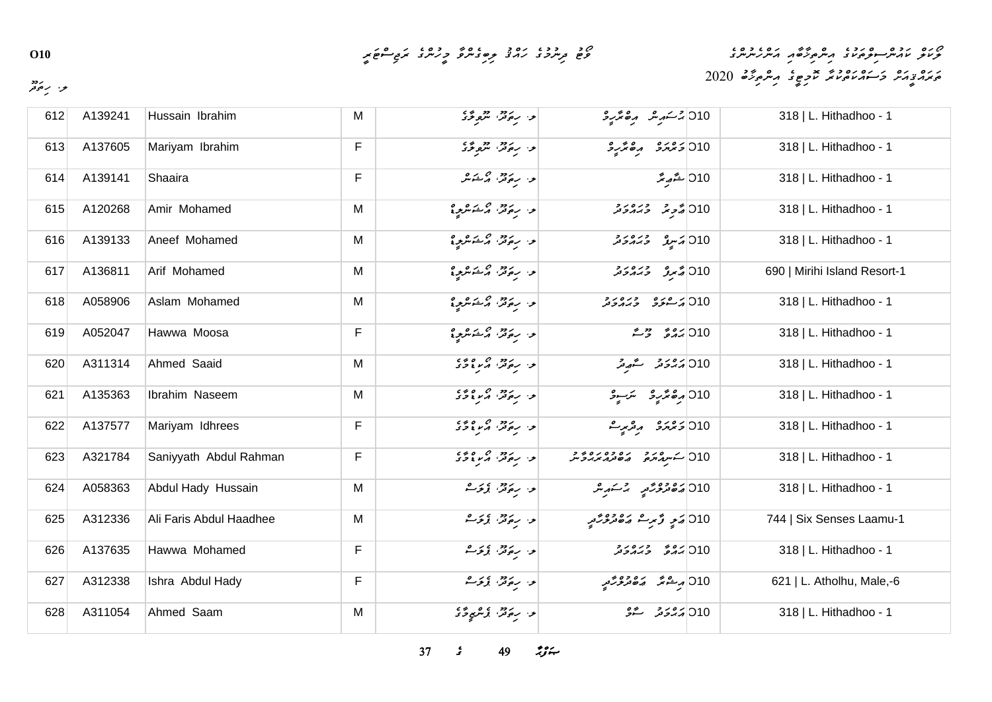*sCw7q7s5w7m< o<n9nOoAw7o< sCq;mAwBoEw7q<m; wBm;vB* م من المرة المرة المرة المرجع المراجع المراجع المراجع المراجع المراجع المراجع المراجع المراجع المراجع المراجع<br>مرين المراجع المراجع المرجع المراجع المراجع المراجع المراجع المراجع المراجع المراجع المراجع المراجع المراجع ال

| 612 | A139241 | Hussain Ibrahim         | M            | و رود. تروی                     |                                            | 318   L. Hithadhoo - 1       |
|-----|---------|-------------------------|--------------|---------------------------------|--------------------------------------------|------------------------------|
| 613 | A137605 | Mariyam Ibrahim         | F            | و رود برود و                    | 010 <i>كاندىكى بەھەتگى</i> ر ئا            | 318   L. Hithadhoo - 1       |
| 614 | A139141 | Shaaira                 | $\mathsf{F}$ | ا دا سرور می شد می شد.          | 010 شقەپتىر                                | 318   L. Hithadhoo - 1       |
| 615 | A120268 | Amir Mohamed            | M            | و. رِيوس م شكر مرور             | 010 م <i>مَّحِيمٌ حُمَدُوْمُرٌ</i>         | 318   L. Hithadhoo - 1       |
| 616 | A139133 | Aneef Mohamed           | M            | و. روده م شکره ده و             | 010 كەس <sub>ى</sub> ر ئەرگە ئەرگىتى       | 318   L. Hithadhoo - 1       |
| 617 | A136811 | Arif Mohamed            | M            | و. رەۋر، كەشكىرو ئ              | 010 مەيرى ئەيرە ئەرى                       | 690   Mirihi Island Resort-1 |
| 618 | A058906 | Aslam Mohamed           | M            | و. رەۋر، كەشكىرو ق              | 010 كەشكە ئەر ئەر ئەر                      | 318   L. Hithadhoo - 1       |
| 619 | A052047 | Hawwa Moosa             | $\mathsf F$  | و. رِهُ تِنْ مُرْ شَرْ شَرْوِ ؟ | $23$ $22$ $010$                            | 318   L. Hithadhoo - 1       |
| 620 | A311314 | Ahmed Saaid             | M            | وا روده کارونوی                 | 010 <i>مَدْدَمْدِ</i> مُسْمَ <i>دِ</i> مْر | 318   L. Hithadhoo - 1       |
| 621 | A135363 | Ibrahim Naseem          | M            | و رکړي کړو وي                   | 010 مەھمىر ئىس ئىسرى                       | 318   L. Hithadhoo - 1       |
| 622 | A137577 | Mariyam Idhrees         | $\mathsf F$  | و. رەتر، كەرەم                  | 010 5 يُرْيَرُوْ - بِرِيْرِيْتِ            | 318   L. Hithadhoo - 1       |
| 623 | A321784 | Saniyyath Abdul Rahman  | $\mathsf F$  |                                 | 010 كەسپەر مەھ ئەھ مەر مەر كە              | 318   L. Hithadhoo - 1       |
| 624 | A058363 | Abdul Hady Hussain      | M            | ى رەۋش تۇتۇپ                    | 010 كەھەترى <i>ۋىتى بى</i> شەر بىر         | 318   L. Hithadhoo - 1       |
| 625 | A312336 | Ali Faris Abdul Haadhee | M            | أوسرة فروع وتراه                | 010 كەي گەرىشە كەھەترى <i>گەرى</i>         | 744   Six Senses Laamu-1     |
| 626 | A137635 | Hawwa Mohamed           | $\mathsf F$  | د. رەۋش ك <sub>ە</sub> كەنت     | 010 <i>بَرْدُوَّ دُبَرْدُد</i> َرْ         | 318   L. Hithadhoo - 1       |
| 627 | A312338 | Ishra Abdul Hady        | $\mathsf F$  | ا د رېږمن کوټر ش                | 010 م ش <i>مگر م ھوگر گرگور</i><br>010 م   | 621   L. Atholhu, Male,-6    |
| 628 | A311054 | Ahmed Saam              | M            | و. رەۋر، ئۇشپەۋك                | 010 كەندى ئىس ئىسى                         | 318   L. Hithadhoo - 1       |

**37** *s* **49** *n***<sub>s</sub>***n***<sub>s</sub>**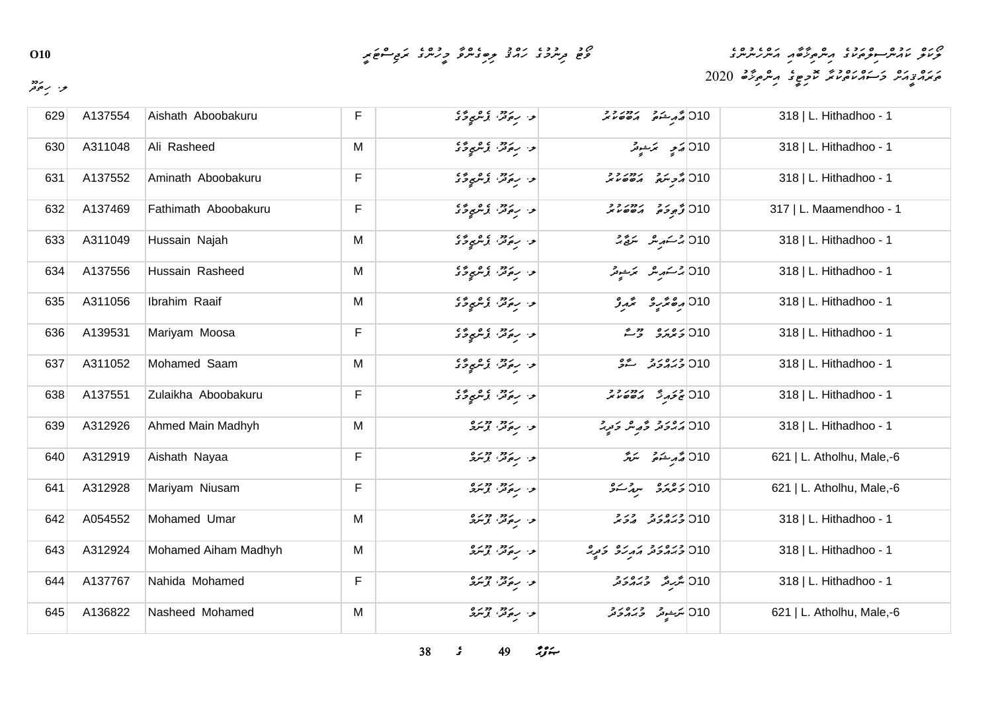*sCw7q7s5w7m< o<n9nOoAw7o< sCq;mAwBoEw7q<m; wBm;vB* م من المرة المرة المرة المرجع المراجع المراجع المراجع المراجع المراجع المراجع المراجع المراجع المراجع المراجع<br>مرين المراجع المراجع المرجع المراجع المراجع المراجع المراجع المراجع المراجع المراجع المراجع المراجع المراجع ال

| 629 | A137554 | Aishath Aboobakuru   | $\mathsf F$ | و رِيَوْنَ کِرْسُوِدُ کَ  | 010 مەم شەھ مەھەمدىن                        | 318   L. Hithadhoo - 1    |
|-----|---------|----------------------|-------------|---------------------------|---------------------------------------------|---------------------------|
| 630 | A311048 | Ali Rasheed          | M           | و روده، وگروگو            | 010 کھ پر مخرشومگر                          | 318   L. Hithadhoo - 1    |
| 631 | A137552 | Aminath Aboobakuru   | F           | و. رەۋر، زىرى ئ           | 010 أُمُّحِ سَمَّعَ مُقْصَّلَةٌ             | 318   L. Hithadhoo - 1    |
| 632 | A137469 | Fathimath Aboobakuru | F           | و. رەۋر، ئۇشجەد د         | $2222$ $25.20$                              | 317   L. Maamendhoo - 1   |
| 633 | A311049 | Hussain Najah        | M           | و رِيَوْنَ کَرِسْمِ وَ دَ | 010 پرستمبر مگر مگر تکری                    | 318   L. Hithadhoo - 1    |
| 634 | A137556 | Hussain Rasheed      | M           | و رِيَوْنَ کِرْسُوِدُ کَ  | 010 پرڪيريش پرَجونٽر                        | 318   L. Hithadhoo - 1    |
| 635 | A311056 | Ibrahim Raaif        | M           | و رِيَوْنَ کِرْسُوِدُ و   | 010 <sub>مو</sub> ڻ <i>مگهر ٿيو ٿا</i>      | 318   L. Hithadhoo - 1    |
| 636 | A139531 | Mariyam Moosa        | $\mathsf F$ | و. رەۋر، زېرې ۋې          | 010 كەنگەر تۇرىم                            | 318   L. Hithadhoo - 1    |
| 637 | A311052 | Mohamed Saam         | M           | و رِيَوْنَ کِرْسُوِدُ و   | 010 دېم دېمر کې شو                          | 318   L. Hithadhoo - 1    |
| 638 | A137551 | Zulaikha Aboobakuru  | F           | و روده، وعروف             | 010 يحوّر شهر مصنعة حميد                    | 318   L. Hithadhoo - 1    |
| 639 | A312926 | Ahmed Main Madhyh    | M           | والمرجوح وحراه            | 010 كەردى دۇر بىر كەيدۇ.                    | 318   L. Hithadhoo - 1    |
| 640 | A312919 | Aishath Nayaa        | $\mathsf F$ |                           | 010 <i>ھُ مِ</i> شَعْرِ مَسَمَّر            | 621   L. Atholhu, Male,-6 |
| 641 | A312928 | Mariyam Niusam       | $\mathsf F$ | و. رەپر، دورە             | 010 كەبرىز ئىرگە ئىر                        | 621   L. Atholhu, Male,-6 |
| 642 | A054552 | Mohamed Umar         | M           | والمرجع وجمره             | 010 كەبروگە ئەكەنگە                         | 318   L. Hithadhoo - 1    |
| 643 | A312924 | Mohamed Aiham Madhyh | M           | والمرجع ودره              | 010 <i>\$نەۋەقە مەبەن</i> \$ ك <i>ەب</i> ەر | 318   L. Hithadhoo - 1    |
| 644 | A137767 | Nahida Mohamed       | F           | والمرجوش بوسرو            | 010 مَّر <i>ْبِ</i> مَّر   دَيَرَ دَوَمَر   | 318   L. Hithadhoo - 1    |
| 645 | A136822 | Nasheed Mohamed      | M           | و ، رەۋر ، بۇ ئىرو        | 010 <i>سَرْجِيعْر - 3 مُكوكرة</i>           | 621   L. Atholhu, Male,-6 |

**38** *s* **49** *n***<sub>s</sub>***n***<sub>s</sub>**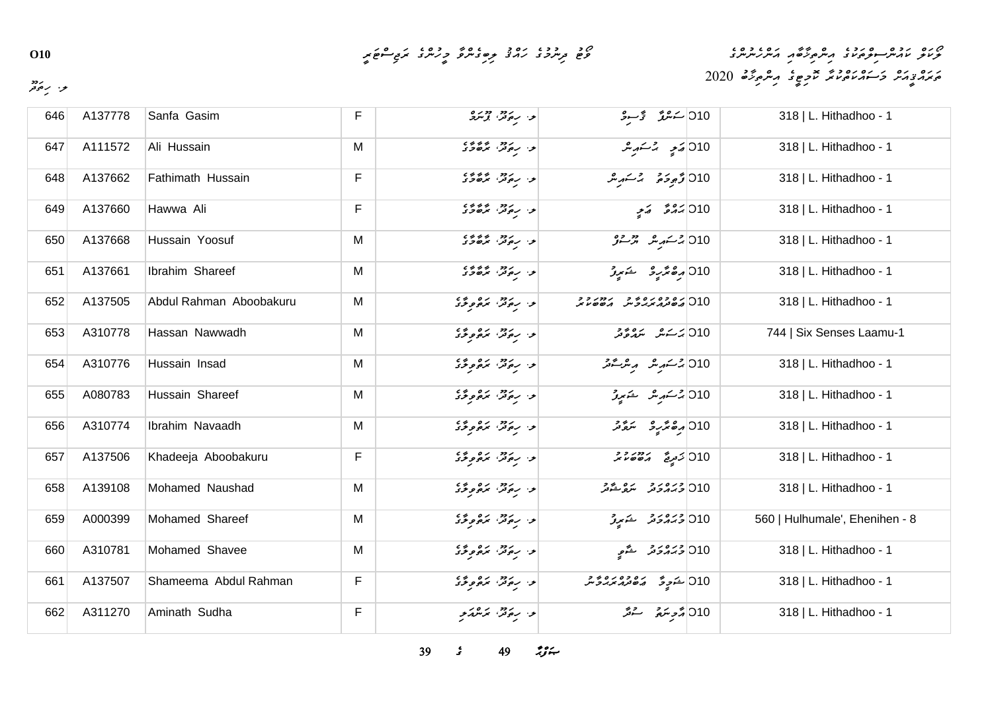*sCw7q7s5w7m< o<n9nOoAw7o< sCq;mAwBoEw7q<m; wBm;vB* م من المرة المرة المرة المرجع المراجع المراجع المراجع المراجع المراجع المراجع المراجع المراجع المراجع المراجع<br>مرين المراجع المراجع المرجع المراجع المراجع المراجع المراجع المراجع المراجع المراجع المراجع المراجع المراجع ال

| 646 | A137778 | Sanfa Gasim             | $\mathsf F$ | والمرجع وجمره    | 010 كەشق قۇسىۋ                         | 318   L. Hithadhoo - 1         |
|-----|---------|-------------------------|-------------|------------------|----------------------------------------|--------------------------------|
| 647 | A111572 | Ali Hussain             | M           | و رود ووو        | 010 کھ پر جر شہر شر                    | 318   L. Hithadhoo - 1         |
| 648 | A137662 | Fathimath Hussain       | $\mathsf F$ | و. رود ووه و     | 010 گەچ ئەھر بر شەر بىر                | 318   L. Hithadhoo - 1         |
| 649 | A137660 | Hawwa Ali               | F           | و رود ووه        | 010 <i>ټرنى خ</i> و                    | 318   L. Hithadhoo - 1         |
| 650 | A137668 | Hussain Yoosuf          | M           | والمردور بمرکوری | 010 ير شهر شر هز شور و                 | 318   L. Hithadhoo - 1         |
| 651 | A137661 | Ibrahim Shareef         | M           | و رود ووه        | 010 مەھ ئىر ئىسىمى ئىسىمى ئىستىدى كىل  | 318   L. Hithadhoo - 1         |
| 652 | A137505 | Abdul Rahman Aboobakuru | M           | و رود نه ده وی   | 010 - 22222 23222 2322                 | 318   L. Hithadhoo - 1         |
| 653 | A310778 | Hassan Nawwadh          | M           | و رکړو تره وگړي  | 010 ئەسەبىر بىر <i>ۇۋ</i> ر            | 744   Six Senses Laamu-1       |
| 654 | A310776 | Hussain Insad           | M           | و رکړو نره وگړي  | 010 پرستمبر مریٹر میں م                | 318   L. Hithadhoo - 1         |
| 655 | A080783 | Hussain Shareef         | M           | و رکړي تره وگړي  | 010 پرڪيريش ڪيور                       | 318   L. Hithadhoo - 1         |
| 656 | A310774 | Ibrahim Navaadh         | M           | و رکړو تره وگړي  | 010 م <i>وڭ ئۇچ</i> ئىرگە ئىر          | 318   L. Hithadhoo - 1         |
| 657 | A137506 | Khadeeja Aboobakuru     | F           | و رکړو تره وگړي  | 010 كَتَعِيقَ مَ <i>مُرَة مُدَ</i> مَر | 318   L. Hithadhoo - 1         |
| 658 | A139108 | Mohamed Naushad         | M           | و رکړي تره وگړي  | 010 <i>ۇنەم دۇرىتى ئىرى ئى</i> قىر     | 318   L. Hithadhoo - 1         |
| 659 | A000399 | Mohamed Shareef         | M           | و رکړو تره وگړي  | 010 <i>\$ ئەۋى قى</i> خىمب <i>وق</i>   | 560   Hulhumale', Ehenihen - 8 |
| 660 | A310781 | Mohamed Shavee          | M           | و رکړي تره وگړي  | 010 <i>\$ ئەممى قىلى ئى</i> گىمى       | 318   L. Hithadhoo - 1         |
| 661 | A137507 | Shameema Abdul Rahman   | F           | و رود نه ده وی   | 010 خوچ مەھەر <i>مەمەت</i>             | 318   L. Hithadhoo - 1         |
| 662 | A311270 | Aminath Sudha           | $\mathsf F$ | و روده نرشد      | 010 مُتَّحِسَمُ مَسْتَمَّ              | 318   L. Hithadhoo - 1         |

**39** *s* **49** *n***<sub>s</sub>***n***<sub>s</sub>**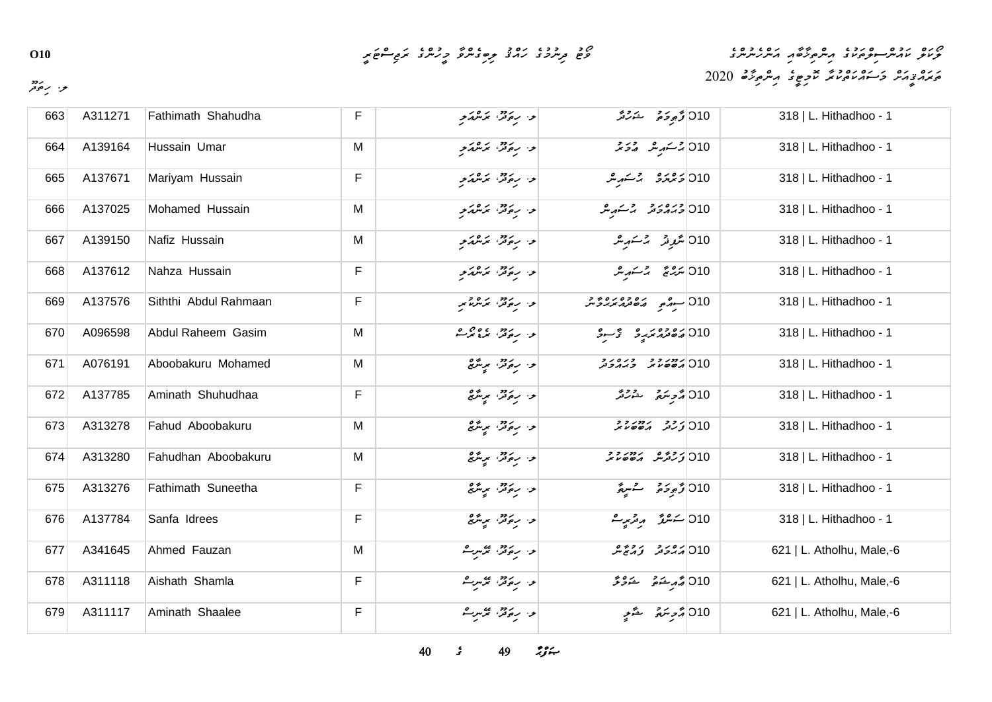*sCw7q7s5w7m< o<n9nOoAw7o< sCq;mAwBoEw7q<m; wBm;vB* م من المرة المرة المرة المرجع المراجع المراجع المراجع المراجع المراجع المراجع المراجع المراجع المراجع المراجع<br>مرين المراجع المراجع المرجع المراجع المراجع المراجع المراجع المراجع المراجع المراجع المراجع المراجع المراجع ال

| 663 | A311271 | Fathimath Shahudha    | $\mathsf F$ | و روژه تر شد و                 | 010 <i>ؤُ<sub>م</sub>ودَهْ</i> شَرْتَرٌ              | 318   L. Hithadhoo - 1    |
|-----|---------|-----------------------|-------------|--------------------------------|------------------------------------------------------|---------------------------|
| 664 | A139164 | Hussain Umar          | M           | وسرەقرى ئەشمەر                 | 010 يرىئەرىكە كەبچەتر                                | 318   L. Hithadhoo - 1    |
| 665 | A137671 | Mariyam Hussain       | $\mathsf F$ | و ريدون ټر شمخ                 | 010 كى ئەرىخ بىر شەر ش                               | 318   L. Hithadhoo - 1    |
| 666 | A137025 | Mohamed Hussain       | M           | و رەتر، ئەسلەر                 | 010 ۇ <i>تەۋى قىلىمى</i> ھ                           | 318   L. Hithadhoo - 1    |
| 667 | A139150 | Nafiz Hussain         | M           | وسر بروفر، تر شریر و           | 010 سُمَعِيش سُمْسَتِهِ شَرْ                         | 318   L. Hithadhoo - 1    |
| 668 | A137612 | Nahza Hussain         | $\mathsf F$ | و رِيَّ بَرْهُ بِرَهْرُمْ بِهِ | 010 ىترلىقى كەستەپەنلە                               | 318   L. Hithadhoo - 1    |
| 669 | A137576 | Siththi Abdul Rahmaan | F           | والمرجع تراوح                  | 010 مرمو مەھەرە بولۇم                                | 318   L. Hithadhoo - 1    |
| 670 | A096598 | Abdul Raheem Gasim    | M           | و. رەتر، برومام                | 010 <i>مَـُـھُمْدُمُّدَي</i> رِ مُنْ تَحْسِرُ مُ     | 318   L. Hithadhoo - 1    |
| 671 | A076191 | Aboobakuru Mohamed    | M           | و- رەۋش مرىترى                 | 010 كەن ئەن ئەيدە ئەرگىز                             | 318   L. Hithadhoo - 1    |
| 672 | A137785 | Aminath Shuhudhaa     | $\mathsf F$ | وسرەقرا برېترى                 | 010 <mark>م</mark> ُّر <i>ج مَنْع</i> ْرِ مُشْرَحْدٌ | 318   L. Hithadhoo - 1    |
| 673 | A313278 | Fahud Aboobakuru      | M           | و- رەۋر مرشى                   | $2222$ $225$ $010$                                   | 318   L. Hithadhoo - 1    |
| 674 | A313280 | Fahudhan Aboobakuru   | M           | و- بەۋتر، بېرىترچ              | 010 ئۇرتى <i>گەر مەھەمدى</i> ر                       | 318   L. Hithadhoo - 1    |
| 675 | A313276 | Fathimath Suneetha    | $\mathsf F$ | و- رەۋر مرشى                   | 010 رَّجِوحَة مَسْبِعَّ                              | 318   L. Hithadhoo - 1    |
| 676 | A137784 | Sanfa Idrees          | $\mathsf F$ | و- رەۋر مرشى                   | 010 سەنئەتق مەيترىپەيشە                              | 318   L. Hithadhoo - 1    |
| 677 | A341645 | Ahmed Fauzan          | M           | و. رەۋر، ئۇمرىش                | 010 كەبروتى ئە <i>مەنى بى</i> ر                      | 621   L. Atholhu, Male,-6 |
| 678 | A311118 | Aishath Shamla        | F           | د. سروژه، ترسرت                | 010 <i>جەم ھەم ئىمۇ</i> مۇ                           | 621   L. Atholhu, Male,-6 |
| 679 | A311117 | Aminath Shaalee       | F           | و ريږوژ، ټرمېرگ                | 010 مَّرِسَمَّ شَّى                                  | 621   L. Atholhu, Male,-6 |

*40 sC 49 nNw?mS*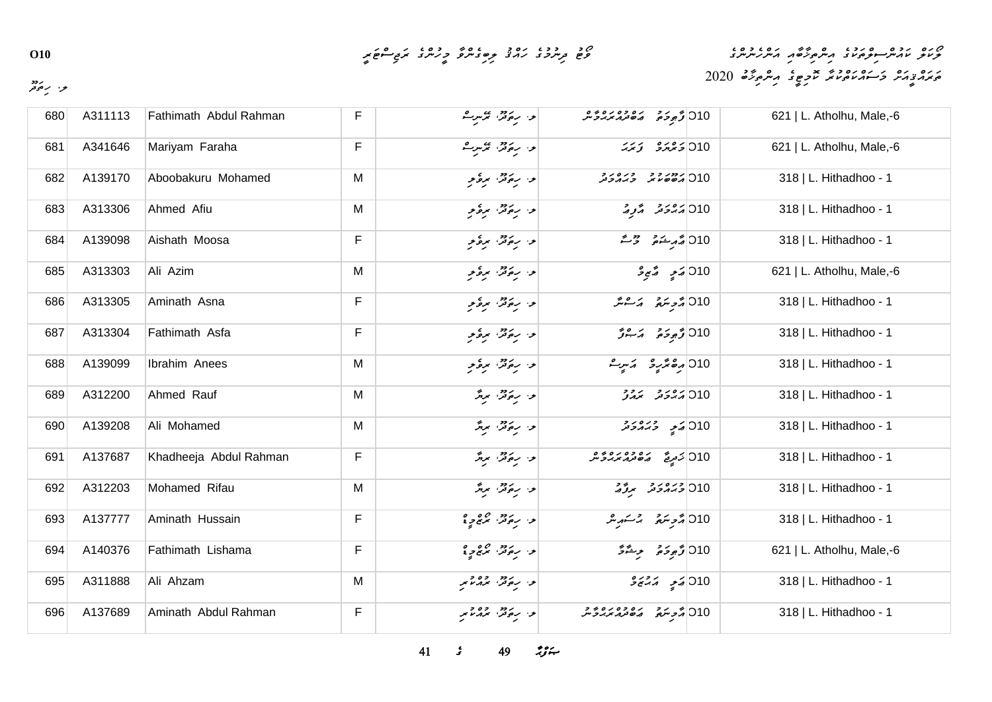*sCw7q7s5w7m< o<n9nOoAw7o< sCq;mAwBoEw7q<m; wBm;vB* م من المرة المرة المرة المرجع المراجع المراجع المراجع المراجع المراجع المراجع المراجع المراجع المراجع المراجع<br>مرين المراجع المراجع المرجع المراجع المراجع المراجع المراجع المراجع المراجع المراجع المراجع المراجع المراجع ال

| 680 | A311113 | Fathimath Abdul Rahman | F           | و ريږونه ټرمېرگ | 010 ژُمُوحَمْ مُصْرَمْ مُرْمَرْ مُرَ           | 621   L. Atholhu, Male,-6 |
|-----|---------|------------------------|-------------|-----------------|------------------------------------------------|---------------------------|
| 681 | A341646 | Mariyam Faraha         | F           | و. رەۋر، ئۇسرى  | 010 كەندىزى قەتىر                              | 621   L. Atholhu, Male,-6 |
| 682 | A139170 | Aboobakuru Mohamed     | M           | و ره تره بره و  | 010 كەن ئەن ئەيدە ئەر                          | 318   L. Hithadhoo - 1    |
| 683 | A313306 | Ahmed Afiu             | M           | و رەتر، برەتر   | 010   كەش <sup>ى</sup> رىقى ئ <sup>ە</sup> توپ | 318   L. Hithadhoo - 1    |
| 684 | A139098 | Aishath Moosa          | F           | و رەپر برۇم     | 010 مۇم شەقر قرمىگە                            | 318   L. Hithadhoo - 1    |
| 685 | A313303 | Ali Azim               | M           | و رەۋش برە بو   | 010 ھَءِ گَءِوُ                                | 621   L. Atholhu, Male,-6 |
| 686 | A313305 | Aminath Asna           | F           | و رەتر، برۇم    | 010 م <i>ۇجەتىھ مەشەم</i> گە                   | 318   L. Hithadhoo - 1    |
| 687 | A313304 | Fathimath Asfa         | F           | و رەپر برەپر    | 010 <i>وَّجِ حَقَّ مَ</i> شَرَّوَّ             | 318   L. Hithadhoo - 1    |
| 688 | A139099 | Ibrahim Anees          | M           | و ره تره بره و  | 010 <sub>مر</sub> ھ پڑر و سی پر سی             | 318   L. Hithadhoo - 1    |
| 689 | A312200 | Ahmed Rauf             | M           | و. رەۋر، بورگ   | 010 كەبۇر <i>قىرىقى</i> ئىس                    | 318   L. Hithadhoo - 1    |
| 690 | A139208 | Ali Mohamed            | M           | و. رەۋر، بورگ   | 010 <i>ھَ۔ جِنگون</i> گر                       | 318   L. Hithadhoo - 1    |
| 691 | A137687 | Khadheeja Abdul Rahman | $\mathsf F$ | و. رەۋر، بورگ   | 010 كرى <i>رى ھەمەمەرۋى</i> ر                  | 318   L. Hithadhoo - 1    |
| 692 | A312203 | Mohamed Rifau          | M           | و رودو برو      | 010 <i>\$ ئەممى كى</i> رگە                     | 318   L. Hithadhoo - 1    |
| 693 | A137777 | Aminath Hussain        | F           | و روده موجود    | 010  مەھرىتىھ - جەسكىرىش                       | 318   L. Hithadhoo - 1    |
| 694 | A140376 | Fathimath Lishama      | F           | و رکړو هو و     | 010 <i>وُّجِ دَءُ</i> مِشَرَّ                  | 621   L. Atholhu, Male,-6 |
| 695 | A311888 | Ali Ahzam              | M           | و رکړو وه د ل   | 010 <i>ھَ۔ ج</i> گھو                           | 318   L. Hithadhoo - 1    |
| 696 | A137689 | Aminath Abdul Rahman   | F           | و ريږده چوه پر  | 010 گەجەنىگە كەھەمدە بولىرىگە                  | 318   L. Hithadhoo - 1    |

*41 s* 49 *i*<sub>s</sub> $\approx$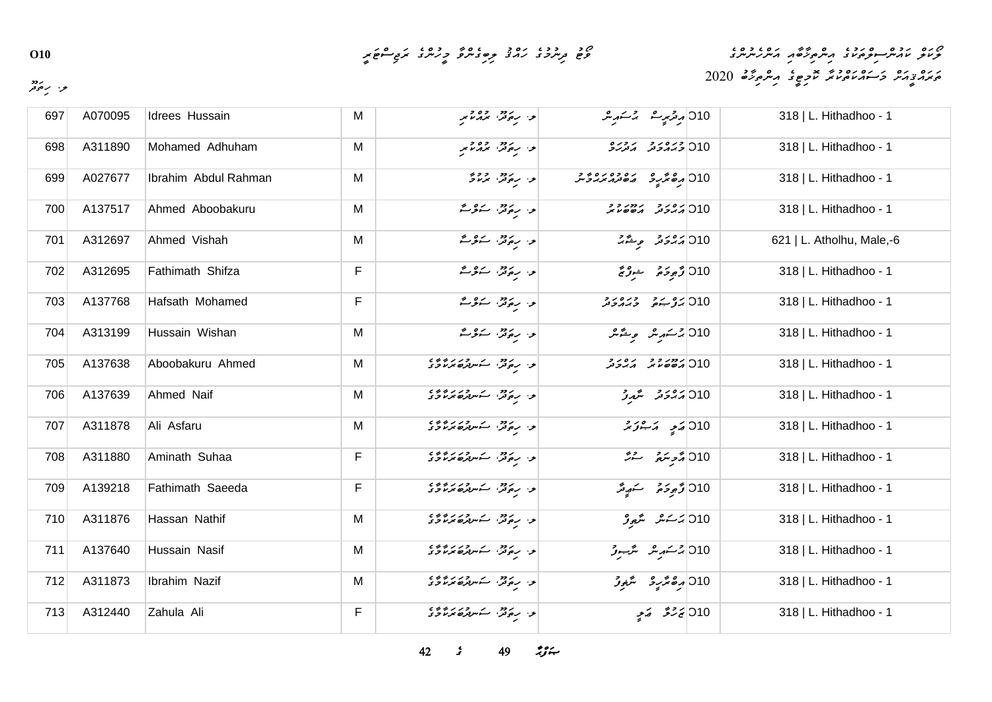*sCw7q7s5w7m< o<n9nOoAw7o< sCq;mAwBoEw7q<m; wBm;vB* م من المرة المرة المرة المرجع المراجع المراجع المراجع المراجع المراجع المراجع المراجع المراجع المراجع المراجع<br>مرين المراجع المراجع المرجع المراجع المراجع المراجع المراجع المراجع المراجع المراجع المراجع المراجع المراجع ال

| 697 | A070095 | Idrees Hussain       | M | و ریږو ده در                      | 010 م <i>ينٽرميڪ جيڪمپ</i> نگر                | 318   L. Hithadhoo - 1    |
|-----|---------|----------------------|---|-----------------------------------|-----------------------------------------------|---------------------------|
| 698 | A311890 | Mohamed Adhuham      | M | و ريږو ده د په                    | 010 <i>ڈیزون میں ت</i>                        | 318   L. Hithadhoo - 1    |
| 699 | A027677 | Ibrahim Abdul Rahman | M | كموسر ووالمحمد ووالمحمد المتحر    | 010 مەھەربىرى مەھ <i>ەرمەر ئە</i> ھ           | 318   L. Hithadhoo - 1    |
| 700 | A137517 | Ahmed Aboobakuru     | M | و. رەۋر، سەۋىشە                   |                                               | 318   L. Hithadhoo - 1    |
| 701 | A312697 | Ahmed Vishah         | M | ى رەۋش سەۋىتە                     | 010 <i>كەندى قى</i> ر مەش <i>ە</i> ر          | 621   L. Atholhu, Male,-6 |
| 702 | A312695 | Fathimath Shifza     | F | در ريږين سکو شک                   | 010 <i>وُّجِ حَقَّ</i> سُورُجَّ               | 318   L. Hithadhoo - 1    |
| 703 | A137768 | Hafsath Mohamed      | F | ى رەۋش سەۋىتە                     | 010 كۇبىق <i>دېرەدى</i> ر                     | 318   L. Hithadhoo - 1    |
| 704 | A313199 | Hussain Wishan       | M | و. رِيْنْ سَوْسُ                  | 010 پرڪريش <sub>عر</sub> ڪيش                  | 318   L. Hithadhoo - 1    |
| 705 | A137638 | Aboobakuru Ahmed     | M | والمرود كالمرور وداده             | $5.201$ $2.202$ $010$                         | 318   L. Hithadhoo - 1    |
| 706 | A137639 | Ahmed Naif           | M | و رود درون                        | 010 <i>ټرېزې ش</i> رتر                        | 318   L. Hithadhoo - 1    |
| 707 | A311878 | Ali Asfaru           | M | و روده کمسکوه در دوه              | 010 <i>ھ بو مشتر پر</i>                       | 318   L. Hithadhoo - 1    |
| 708 | A311880 | Aminath Suhaa        | F | و رود .<br>د روتر، کسیرتره برناوی | 010 مَّ مِسَعَمٍ مَسْتَرَ                     | 318   L. Hithadhoo - 1    |
| 709 | A139218 | Fathimath Saeeda     | F | و روده کمسکوه در دوه              | 010 <i>ؤج</i> وحَمْ سَم <i>وٍمَّدْ</i>        | 318   L. Hithadhoo - 1    |
| 710 | A311876 | Hassan Nathif        | M | و روده کمستره درووه               | 010 ئەسىھ ش <sub>ە</sub> ۋ                    | 318   L. Hithadhoo - 1    |
| 711 | A137640 | Hussain Nasif        | M | والمردون سكسرور رووا              | 010 پرستمبر عمد مگرسوژ                        | 318   L. Hithadhoo - 1    |
| 712 | A311873 | Ibrahim Nazif        | M | والمردون سكسرور رووا              | 010 مەھەمەر ئىسىمى ئىلغان بىر ئىسىمى <i>1</i> | 318   L. Hithadhoo - 1    |
| 713 | A312440 | Zahula Ali           | F | و رود درود.                       | 010 كى <i>3ىڭ ھې</i>                          | 318   L. Hithadhoo - 1    |

*42 s* 49 *i*<sub>S</sub> $\approx$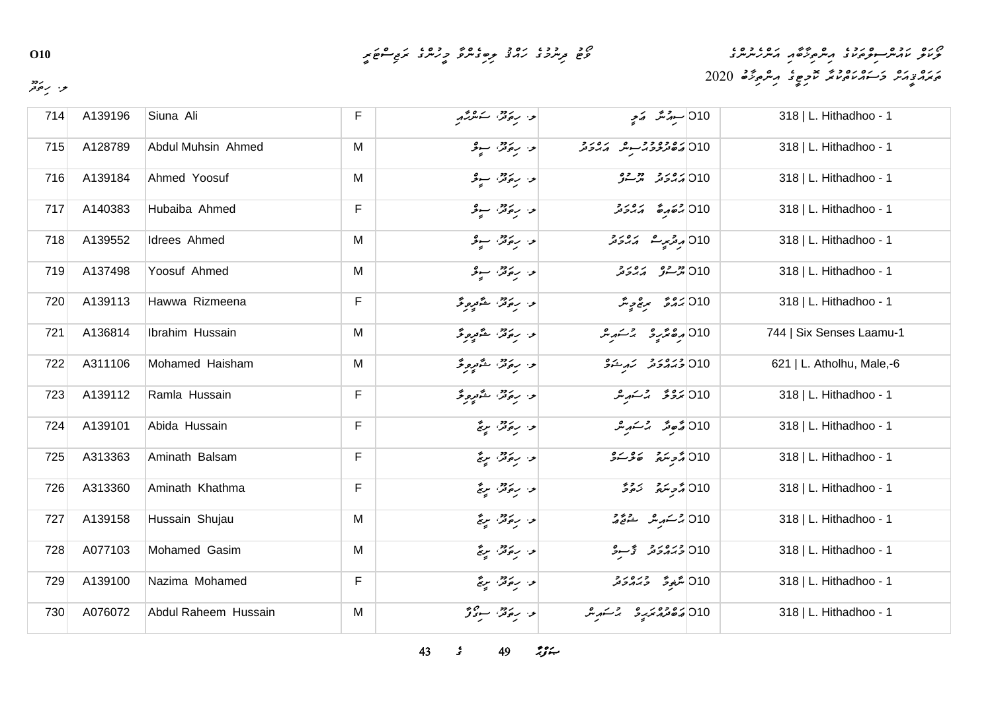*sCw7q7s5w7m< o<n9nOoAw7o< sCq;mAwBoEw7q<m; wBm;vB* م من المرة المرة المرة المرجع المراجع المراجع المراجع المراجع المراجع المراجع المراجع المراجع المراجع المراجع<br>مرين المراجع المراجع المرجع المراجع المراجع المراجع المراجع المراجع المراجع المراجع المراجع المراجع المراجع ال

| 714 | A139196 | Siuna Ali            | $\mathsf{F}$ | و. ر <sub>ەۋ</sub> تر، سەم <i>رىت</i> ەر | 010 سوټرننگر پر توپه                                                                                | 318   L. Hithadhoo - 1    |
|-----|---------|----------------------|--------------|------------------------------------------|-----------------------------------------------------------------------------------------------------|---------------------------|
| 715 | A128789 | Abdul Muhsin Ahmed   | M            | در رەۋش سوۋ                              | 010 كەھەر بۇ يەر كەردىر                                                                             | 318   L. Hithadhoo - 1    |
| 716 | A139184 | Ahmed Yoosuf         | M            | كوسي مركز والمحمد المحمد                 | 010 كەبرى قىر تەرجى                                                                                 | 318   L. Hithadhoo - 1    |
| 717 | A140383 | Hubaiba Ahmed        | $\mathsf F$  | كور رەۋى سوۋ                             | 010 ب <i>ڭغوڭ مەددىر</i>                                                                            | 318   L. Hithadhoo - 1    |
| 718 | A139552 | Idrees Ahmed         | M            | در روده سود                              | 010 موقد پرچم کا کار کارونکر                                                                        | 318   L. Hithadhoo - 1    |
| 719 | A137498 | Yoosuf Ahmed         | M            | ى رەۋش سوق                               | 010 ټر <i>پې</i> ړي ته کړې شر                                                                       | 318   L. Hithadhoo - 1    |
| 720 | A139113 | Hawwa Rizmeena       | F            | و رەتر، شەرەق                            | 010 <i>يَهُمُّ مِي جِي</i> مُّ                                                                      | 318   L. Hithadhoo - 1    |
| 721 | A136814 | Ibrahim Hussain      | M            | و رِيُوتر، ڪُٽروِتَر                     | 010 م <i>ەھتىپ</i> ۇ ج <i>ىسىمبى</i> ر                                                              | 744   Six Senses Laamu-1  |
| 722 | A311106 | Mohamed Haisham      | M            | أوس برود المستموج مح                     | 010 <i>ۇنزۇ<sub>م</sub>ۇ تەبىئى</i> ۋ                                                               | 621   L. Atholhu, Male,-6 |
| 723 | A139112 | Ramla Hussain        | $\mathsf{F}$ | و رِيُوتر، ڪُٽروِتَر                     | 010 تروٌو پر بر بر بر                                                                               | 318   L. Hithadhoo - 1    |
| 724 | A139101 | Abida Hussain        | $\mathsf F$  | و. رەۋر، برچ                             | 010 مٌ صِعَر كَمْ سَنَهْرِ مِيْر                                                                    | 318   L. Hithadhoo - 1    |
| 725 | A313363 | Aminath Balsam       | F            | د رمونژ، برخ                             | 010 مَّ حِسَمَ مَحْسَنَ مِ                                                                          | 318   L. Hithadhoo - 1    |
| 726 | A313360 | Aminath Khathma      | $\mathsf F$  | و. رەۋر، برچ                             | 010 مَّ حِسَمَّةَ حَمَّدَّ                                                                          | 318   L. Hithadhoo - 1    |
| 727 | A139158 | Hussain Shujau       | M            | د ره ده برج                              | 010 يُرْسَمَ مِيْنَ مِيْنَ مِيْنَ مِيْنَ مِيْنَ مِيْنَ مِيْنَ مِيْنَ مِيْنَ مِيْنَ مِيْنَ مِيْنَ مِ | 318   L. Hithadhoo - 1    |
| 728 | A077103 | Mohamed Gasim        | M            | و روده برځ                               | 010  <i>\$ئەممى قىسبى</i>                                                                           | 318   L. Hithadhoo - 1    |
| 729 | A139100 | Nazima Mohamed       | F            | لو. رەۋىر، بېرىقى                        | 010 مَّنْجِرَّ - دَيَرْدُدَتْر                                                                      | 318   L. Hithadhoo - 1    |
| 730 | A076072 | Abdul Raheem Hussain | M            | الوسيدة فرائض السوري                     | 010 كەھە <i>تەمكەب</i> و جەسكەبەر                                                                   | 318   L. Hithadhoo - 1    |

*43 s* 49 *i*<sub>s</sub> $\approx$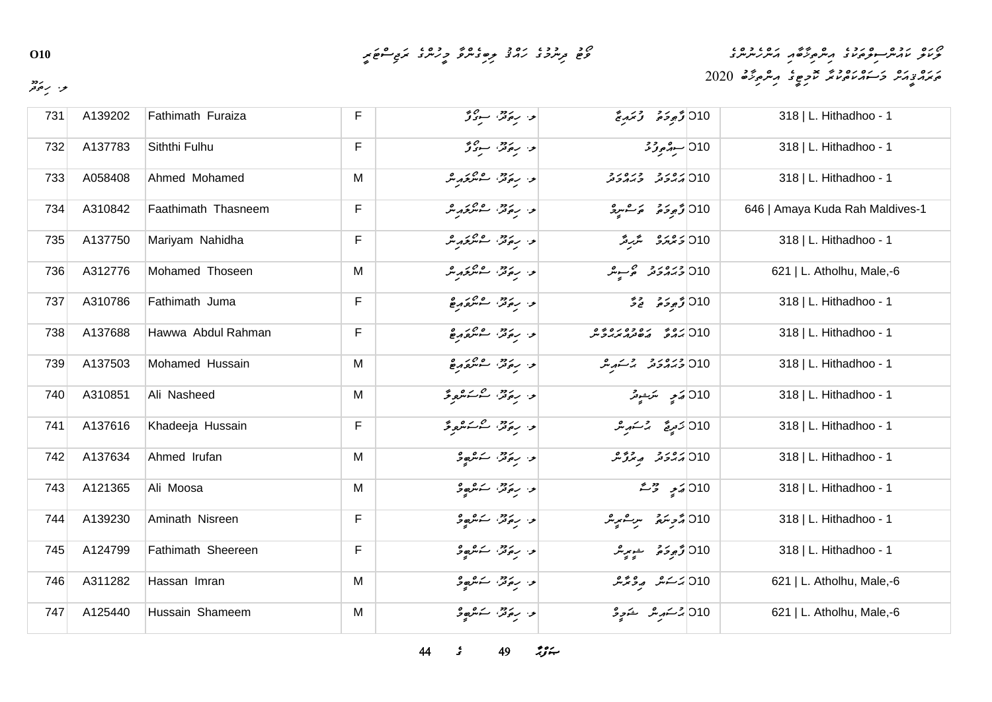*sCw7q7s5w7m< o<n9nOoAw7o< sCq;mAwBoEw7q<m; wBm;vB* م من المرة المرة المرة المرجع المراجع المراجع المراجع المراجع المراجع المراجع المراجع المراجع المراجع المراجع<br>مرين المراجع المراجع المرجع المراجع المراجع المراجع المراجع المراجع المراجع المراجع المراجع المراجع المراجع ال

| 731 | A139202 | Fathimath Furaiza   | F           | ا د روژه سود ژ       | 010 ۇمومۇم قۇتترىدىتى                       | 318   L. Hithadhoo - 1          |
|-----|---------|---------------------|-------------|----------------------|---------------------------------------------|---------------------------------|
| 732 | A137783 | Siththi Fulhu       | F           | ى رەۋش سىزۇ          | 010 سوچرىرى                                 | 318   L. Hithadhoo - 1          |
| 733 | A058408 | Ahmed Mohamed       | M           | و رەۋر، سائىردە بىر  | 010 كەبروتر بەيدە ئەر                       | 318   L. Hithadhoo - 1          |
| 734 | A310842 | Faathimath Thasneem | F           | و رەۋر، ئەشرىر مە    | 010 <i>وُّڄِ حَمَّى - مَ</i> حَسِيعُ        | 646   Amaya Kuda Rah Maldives-1 |
| 735 | A137750 | Mariyam Nahidha     | $\mathsf F$ | و رىردو ئەشكەر       | 010 كەندىرى ئىرىگە                          | 318   L. Hithadhoo - 1          |
| 736 | A312776 | Mohamed Thoseen     | M           | و رەۋر، شەھۇر ھ      | 010 <i>5،25 مى مەيدىل</i>                   | 621   L. Atholhu, Male,-6       |
| 737 | A310786 | Fathimath Juma      | F           | و رود عمره           | 010 <i>وُّجِ حَمَّ</i> گُمَحَّ              | 318   L. Hithadhoo - 1          |
| 738 | A137688 | Hawwa Abdul Rahman  | $\mathsf F$ | و. رود مشهوره        | 010 كەم مەمدىر بولۇش                        | 318   L. Hithadhoo - 1          |
| 739 | A137503 | Mohamed Hussain     | M           | و رود مشهده          | 010 <i>\$ئەۋەقى بى-مەيىل</i>                | 318   L. Hithadhoo - 1          |
| 740 | A310851 | Ali Nasheed         | M           | و. رەۋر، سەسەھرەتە   | ً010   رَمٍ سَرَش <sub>و</sub> رٌ           | 318   L. Hithadhoo - 1          |
| 741 | A137616 | Khadeeja Hussain    | $\mathsf F$ | ىن رەۋر، سىرسكىرى ئى | 010 كرس <sub>ي</sub> ق - جر <i>شهر بن</i> ر | 318   L. Hithadhoo - 1          |
| 742 | A137634 | Ahmed Irufan        | M           | و. رەتر، سەھەر       | 010 <i>ټرېنځن په پرو</i> گر                 | 318   L. Hithadhoo - 1          |
| 743 | A121365 | Ali Moosa           | M           | والردوا كالمهوفر     | 010 کی تخ جگ                                | 318   L. Hithadhoo - 1          |
| 744 | A139230 | Aminath Nisreen     | F           | و. رەتر، سەھەد       | 010 مٌوِسَمَة مِسِشْهِدٍ مَنْ               | 318   L. Hithadhoo - 1          |
| 745 | A124799 | Fathimath Sheereen  | F           | و. رەتر، سەھرەر      | 010 <i>وگ<sub>ي</sub>وخي شوم</i> پشر        | 318   L. Hithadhoo - 1          |
| 746 | A311282 | Hassan Imran        | M           | و رود عمله و         | 010 يَرْسَعْرُ - مِرْحَمْعْرُ               | 621   L. Atholhu, Male,-6       |
| 747 | A125440 | Hussain Shameem     | M           | و. رەتر، سەھەر       | 010 بڑے پر شہور کے مقام                     | 621   L. Atholhu, Male,-6       |

*44 sC 49 nNw?mS*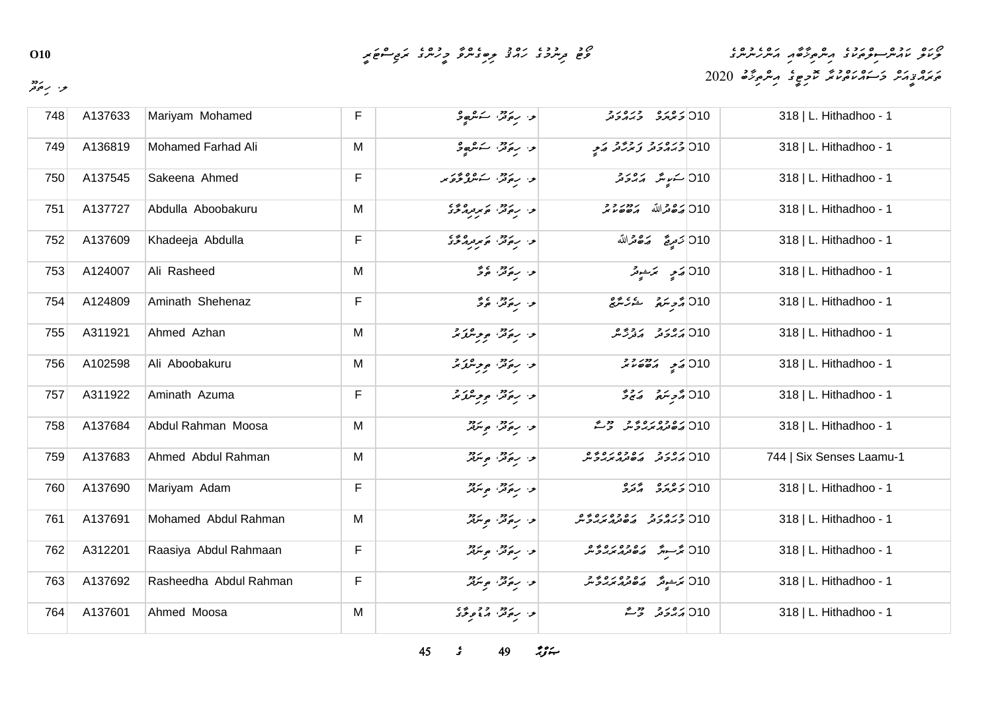*sCw7q7s5w7m< o<n9nOoAw7o< sCq;mAwBoEw7q<m; wBm;vB* م من المرة المرة المرة المرجع المراجع المراجع المراجع المراجع المراجع المراجع المراجع المراجع المراجع المراجع<br>مرين المراجع المراجع المرجع المراجع المراجع المراجع المراجع المراجع المراجع المراجع المراجع المراجع المراجع ال

| 748 | A137633 | Mariyam Mohamed        | $\mathsf F$  | و رود. سکروو         | 010 كەبەر بەر بەر بەر بەر بەر بەر بەر 19     | 318   L. Hithadhoo - 1   |
|-----|---------|------------------------|--------------|----------------------|----------------------------------------------|--------------------------|
| 749 | A136819 | Mohamed Farhad Ali     | M            | و. رەس سەھەد         | 010 دُبَرُهِ دَبَرَ وَبَرْرَتَهُ کَهُ یِهِ ۱ | 318   L. Hithadhoo - 1   |
| 750 | A137545 | Sakeena Ahmed          | $\mathsf{F}$ | و رەپى سەرەەبىر      | 010 سىرىتىر برىرى تىر                        | 318   L. Hithadhoo - 1   |
| 751 | A137727 | Abdulla Aboobakuru     | M            | و. رەتر، ئەرىروگە    | 010 مَ <b>ءْمَ</b> للَّهُ مَصْحَمَّعَمْ      | 318   L. Hithadhoo - 1   |
| 752 | A137609 | Khadeeja Abdulla       | F            | و. رە دە كە برىر مەد | 010 كتو <i>يعً ض</i> ۇقراللە                 | 318   L. Hithadhoo - 1   |
| 753 | A124007 | Ali Rasheed            | M            | و. روو. ء و          | 010 کی پر خونٹر                              | 318   L. Hithadhoo - 1   |
| 754 | A124809 | Aminath Shehenaz       | $\mathsf{F}$ | و. رەتر، ەۋ          | 010 م <i>ۇجەنىھ</i> شە <i>رىش</i> ى          | 318   L. Hithadhoo - 1   |
| 755 | A311921 | Ahmed Azhan            | M            | و رەپى موسىر         | 010 <i>ټرې تو</i> ټو <i>گن</i> ر             | 318   L. Hithadhoo - 1   |
| 756 | A102598 | Ali Aboobakuru         | M            | و رەتۇ، موسۇم        | 010 كەم بەر كەن ئە                           | 318   L. Hithadhoo - 1   |
| 757 | A311922 | Aminath Azuma          | $\mathsf F$  | و رەتۇ، موسۇم        | 010 مَّرِسَمَّۃ مَہَ جَ                      | 318   L. Hithadhoo - 1   |
| 758 | A137684 | Abdul Rahman Moosa     | M            | و رووز و بردد        | 010 <i>ړ ه ورو پرو څر</i> تخ مخه             | 318   L. Hithadhoo - 1   |
| 759 | A137683 | Ahmed Abdul Rahman     | M            | و روده و برد         | 010 كەبرى <i>كى ئەمۋە بەرە ۋى</i> ر          | 744   Six Senses Laamu-1 |
| 760 | A137690 | Mariyam Adam           | $\mathsf F$  | و رودو وردد          | 010 <i>5 پروژ گ<sup>ې</sup> دو</i>           | 318   L. Hithadhoo - 1   |
| 761 | A137691 | Mohamed Abdul Rahman   | M            | أوسي وترام وتنزله    | 010 <i>כנסיכת הסינה ביפת</i>                 | 318   L. Hithadhoo - 1   |
| 762 | A312201 | Raasiya Abdul Rahmaan  | $\mathsf F$  | و رووز و بردد        | 010 ترجيز مقصد مدومي                         | 318   L. Hithadhoo - 1   |
| 763 | A137692 | Rasheedha Abdul Rahman | $\mathsf{F}$ | ا دا ره ده موسر در   | 010 ترجوتر مەھ <i>ەممەۋى</i> ر               | 318   L. Hithadhoo - 1   |
| 764 | A137601 | Ahmed Moosa            | M            | و رود دورو           | 010 كەندى قۇرىتى بىر                         | 318   L. Hithadhoo - 1   |

*45 s* 49 *i*<sub>S</sub> $\approx$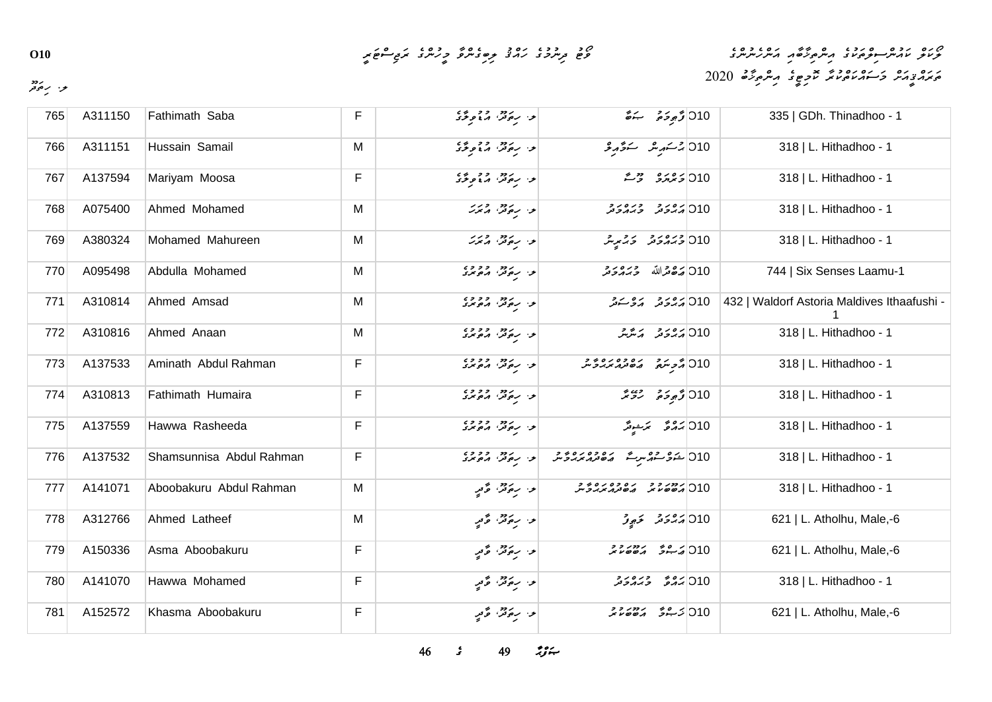*sCw7q7s5w7m< o<n9nOoAw7o< sCq;mAwBoEw7q<m; wBm;vB* م من المرة المرة المرة المرجع المراجع المراجع المراجع المراجع المراجع المراجع المراجع المراجع المراجع المراجع<br>مرين المراجع المراجع المرجع المراجع المراجع المراجع المراجع المراجع المراجع المراجع المراجع المراجع المراجع ال

| 765 | A311150 | Fathimath Saba           | $\mathsf F$  | و رود دوره                 | 010 <i>ؤ<sub>جو</sub>ح</i> ق جنھ                                                                                         | 335   GDh. Thinadhoo - 1                    |
|-----|---------|--------------------------|--------------|----------------------------|--------------------------------------------------------------------------------------------------------------------------|---------------------------------------------|
| 766 | A311151 | Hussain Samail           | M            | و رپوتر وو وي              | 010  پرستمبر بھ سندھ برقہ                                                                                                | 318   L. Hithadhoo - 1                      |
| 767 | A137594 | Mariyam Moosa            | F            | و رپوتر وو وي              | 010 كەنگەر تۇرىم                                                                                                         | 318   L. Hithadhoo - 1                      |
| 768 | A075400 | Ahmed Mohamed            | M            | وسيحقز المغرش              | 010 كەبرى قايدە ئەرەبىر                                                                                                  | 318   L. Hithadhoo - 1                      |
| 769 | A380324 | Mohamed Mahureen         | M            | والمنقوش المعرك            | 010  <i>3223\$رقى ئىمبارىتى</i>                                                                                          | 318   L. Hithadhoo - 1                      |
| 770 | A095498 | Abdulla Mohamed          | M            | و رکړه ده ده               | 010 مَەھْمَراللە ئەمەدىر                                                                                                 | 744   Six Senses Laamu-1                    |
| 771 | A310814 | Ahmed Amsad              | M            | و. رود دووه                | 010 كەبرى قىر كەن ئىكەنتىر                                                                                               | 432   Waldorf Astoria Maldives Ithaafushi - |
| 772 | A310816 | Ahmed Anaan              | M            | د رود دود.<br>د روتر، مومر | 010 كەبرى قىر كەشكىتى                                                                                                    | 318   L. Hithadhoo - 1                      |
| 773 | A137533 | Aminath Abdul Rahman     | F            | و رود دود                  | 010 مُر <sub>ح</sub> معرض معدم معرض محمد السير من المحمد المحمد المحمد السير من المحمد السير من المحمد المحمد المحمد الم | 318   L. Hithadhoo - 1                      |
| 774 | A310813 | Fathimath Humaira        | $\mathsf F$  | و رود دود                  | 010 <i>وُّجِ دَءُ ۾ رُ</i> بُوتُرُ                                                                                       | 318   L. Hithadhoo - 1                      |
| 775 | A137559 | Hawwa Rasheeda           | $\mathsf F$  | و رود دود                  | 010 كەۋى - تەخبەتر                                                                                                       | 318   L. Hithadhoo - 1                      |
| 776 | A137532 | Shamsunnisa Abdul Rahman | F            |                            |                                                                                                                          | 318   L. Hithadhoo - 1                      |
| 777 | A141071 | Aboobakuru Abdul Rahman  | M            | و رِيُوتر، وَّتِرِ         | 010 كەن ئەترىر كەن ئەمەر ئەترىسى بىر                                                                                     | 318   L. Hithadhoo - 1                      |
| 778 | A312766 | Ahmed Latheef            | M            | و روده وگړ                 | 010 <i>ټرې ترې توپو</i> ژ                                                                                                | 621   L. Atholhu, Male,-6                   |
| 779 | A150336 | Asma Aboobakuru          | $\mathsf{F}$ | و روده و پر                | $22222$ $227$                                                                                                            | 621   L. Atholhu, Male,-6                   |
| 780 | A141070 | Hawwa Mohamed            | $\mathsf F$  | و رِيُوتر، وَّتِرِ         | 010 ئەمۇس جەممەدىر                                                                                                       | 318   L. Hithadhoo - 1                      |
| 781 | A152572 | Khasma Aboobakuru        | F            | و رەۋش ۇىر                 | 2222 / 10                                                                                                                | 621   L. Atholhu, Male,-6                   |

**46** *s* **49** *n***<sub>3</sub>** *n*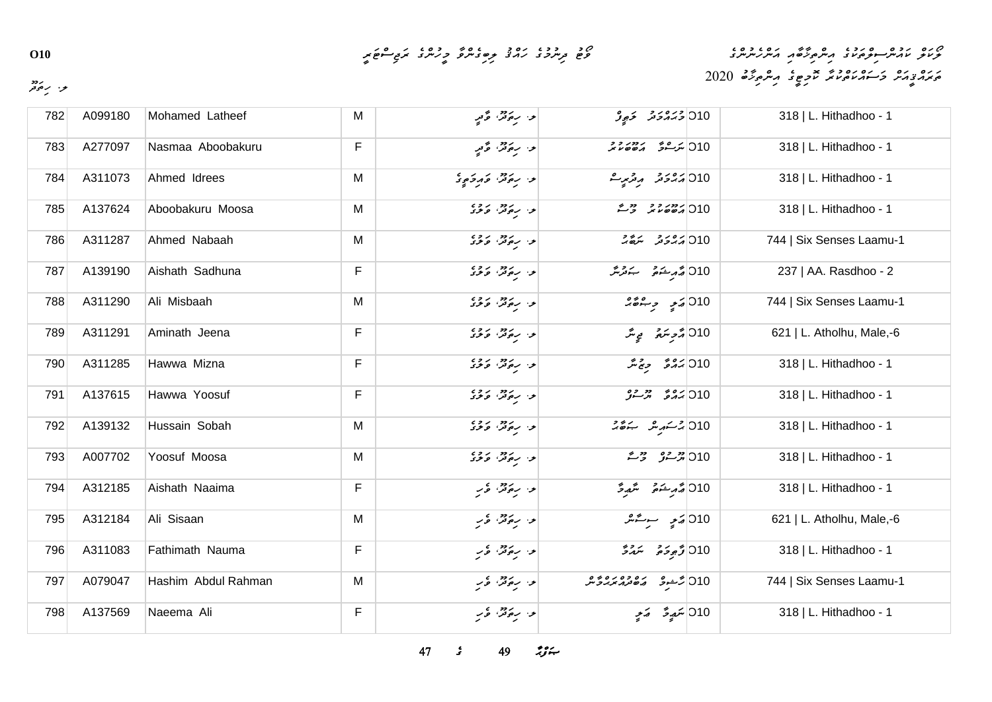*sCw7q7s5w7m< o<n9nOoAw7o< sCq;mAwBoEw7q<m; wBm;vB* م من المرة المرة المرة المرجع المراجع المراجع المراجع المراجع المراجع المراجع المراجع المراجع المراجع المراجع<br>مرين المراجع المراجع المرجع المراجع المراجع المراجع المراجع المراجع المراجع المراجع المراجع المراجع المراجع ال

| 782 | A099180 | Mohamed Latheef     | M            | و روده و و                           | 010 <i>\$نەمى قىرۇ</i>                | 318   L. Hithadhoo - 1    |
|-----|---------|---------------------|--------------|--------------------------------------|---------------------------------------|---------------------------|
| 783 | A277097 | Nasmaa Aboobakuru   | F            | و روده و د                           | 010 <del>م</del> تر شوتر مقصوم محمد   | 318   L. Hithadhoo - 1    |
| 784 | A311073 | Ahmed Idrees        | M            | و رود ورکور                          | 010 كەندى كەر مەرىپە شەرىپە بىر       | 318   L. Hithadhoo - 1    |
| 785 | A137624 | Aboobakuru Moosa    | M            | وسيخض ووه                            | 23.222/010                            | 318   L. Hithadhoo - 1    |
| 786 | A311287 | Ahmed Nabaah        | M            | و . رەپى . رو،<br>  و . رەپى . لاترى | 010 كەبرى ئەرگە ئىر                   | 744   Six Senses Laamu-1  |
| 787 | A139190 | Aishath Sadhuna     | $\mathsf F$  | وسيخض ووه                            | 010 مۇم ئىقمۇ سىمقىتىگە               | 237   AA. Rasdhoo - 2     |
| 788 | A311290 | Ali Misbaah         | M            | وسيخض تروي                           | 010 أرامي وبدعه.                      | 744   Six Senses Laamu-1  |
| 789 | A311291 | Aminath Jeena       | $\mathsf{F}$ | و روه روه                            | 010 <i>مُّ حِ سَع</i> ْرِ مِعِ مُّرَ  | 621   L. Atholhu, Male,-6 |
| 790 | A311285 | Hawwa Mizna         | $\mathsf F$  | وسيخض ووه                            | 010 ئەم <sup>م</sup> ۇ مەممىگە        | 318   L. Hithadhoo - 1    |
| 791 | A137615 | Hawwa Yoosuf        | $\mathsf{F}$ | ا د. روه د د د د                     | 010 بَرْدَةَ بِرْسَوْ                 | 318   L. Hithadhoo - 1    |
| 792 | A139132 | Hussain Sobah       | M            | وسيخض تروي                           | 010 يرڪبريش ڪوچيز                     | 318   L. Hithadhoo - 1    |
| 793 | A007702 | Yoosuf Moosa        | M            | وسمج وده دوه                         | $23$ $32$ $2010$                      | 318   L. Hithadhoo - 1    |
| 794 | A312185 | Aishath Naaima      | $\mathsf{F}$ | و روده ور                            | 010 م <i>ۇم شۇمۇ</i> س <i>ىگە</i> بىر | 318   L. Hithadhoo - 1    |
| 795 | A312184 | Ali Sisaan          | M            | و روده و پ                           | 010 کھیے سوشک                         | 621   L. Atholhu, Male,-6 |
| 796 | A311083 | Fathimath Nauma     | $\mathsf F$  | و روده ور                            | 010 <i>ؤُجِوَءُ - سَمُرُدُّ</i>       | 318   L. Hithadhoo - 1    |
| 797 | A079047 | Hashim Abdul Rahman | M            | وسيخ وهي الحامية                     | 010 ترجى ھە <i>مەمەترە تو</i> م       | 744   Six Senses Laamu-1  |
| 798 | A137569 | Naeema Ali          | F            | و رەۋر ئ                             | 010 <i>سَمِي حَ" مَ</i> حٍ            | 318   L. Hithadhoo - 1    |

*47 s* 49 *i*<sub>s</sub> $\approx$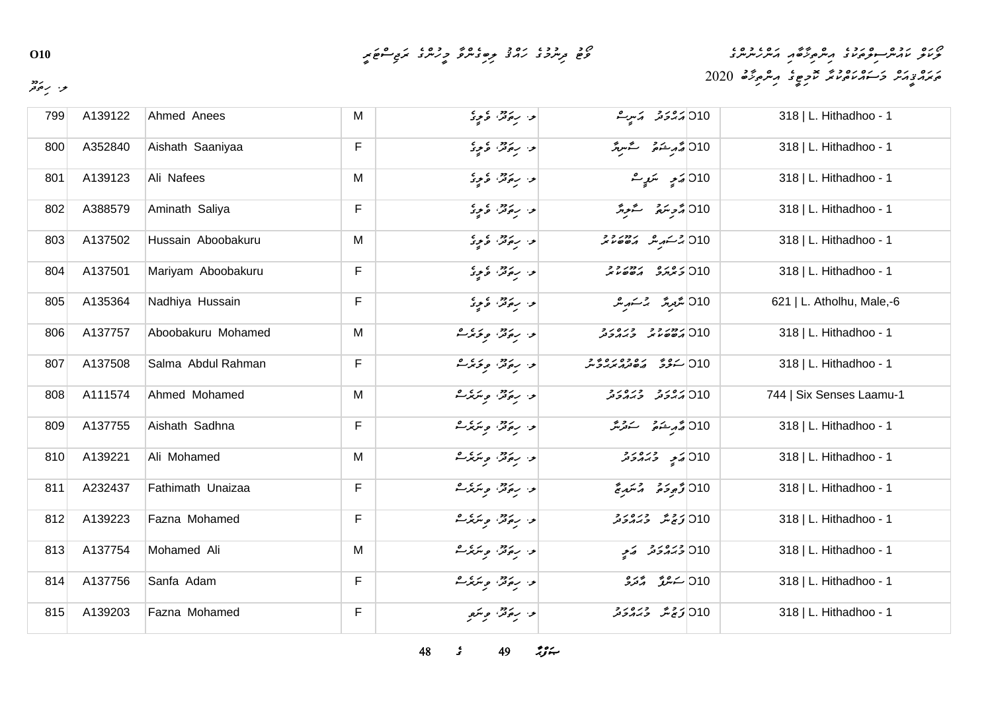*sCw7q7s5w7m< o<n9nOoAw7o< sCq;mAwBoEw7q<m; wBm;vB* م من المرة المرة المرة المرجع المراجع المراجع المراجع المراجع المراجع المراجع المراجع المراجع المراجع المراجع<br>مرين المراجع المراجع المرجع المراجع المراجع المراجع المراجع المراجع المراجع المراجع المراجع المراجع المراجع ال

| 799 | A139122 | Ahmed Anees        | M            | وا رەۋش ئۈمچە           | 010   كەشكە قىلى كەسپەتتىر             | 318   L. Hithadhoo - 1    |
|-----|---------|--------------------|--------------|-------------------------|----------------------------------------|---------------------------|
| 800 | A352840 | Aishath Saaniyaa   | F            | و رەۋە ئەدى             | 010 مۇمەيشقۇ سىسىتىگىر                 | 318   L. Hithadhoo - 1    |
| 801 | A139123 | Ali Nafees         | M            | و رِيَوَتْرُ، وَمِرِيَّ | 010 کی تر تریٹ                         | 318   L. Hithadhoo - 1    |
| 802 | A388579 | Aminath Saliya     | $\mathsf{F}$ | و رەۋش ئويى             | 010 مَّ حِبَّرَةٌ مُسَّعِيدٌ           | 318   L. Hithadhoo - 1    |
| 803 | A137502 | Hussain Aboobakuru | M            | و روژه وود              | 010 يُرسَمهِ مَدْ مَقْصَلَة مِرْ       | 318   L. Hithadhoo - 1    |
| 804 | A137501 | Mariyam Aboobakuru | $\mathsf F$  | وا رەۋش ئۈمچە           | $22222$ $2722$                         | 318   L. Hithadhoo - 1    |
| 805 | A135364 | Nadhiya Hussain    | F            | و رِيَوْنُ وَمِرِيْ     | 010 مگرمرنگ کے کشمیر مگر               | 621   L. Atholhu, Male,-6 |
| 806 | A137757 | Aboobakuru Mohamed | M            | والردوس وتختره          | $5,000$ $2,000$                        | 318   L. Hithadhoo - 1    |
| 807 | A137508 | Salma Abdul Rahman | F            | وسيطفئ وتخفره           | 010 كىۋۇ كەھ <i>ەر كەردى</i> گە        | 318   L. Hithadhoo - 1    |
| 808 | A111574 | Ahmed Mohamed      | M            | و رپۇش ھەترىرى          | 010 كەبرى قەرەر دىكەن                  | 744   Six Senses Laamu-1  |
| 809 | A137755 | Aishath Sadhna     | $\mathsf F$  | و رەۋى وىترىرگ          | 010 قەم يىشقى سىقتىگە                  | 318   L. Hithadhoo - 1    |
| 810 | A139221 | Ali Mohamed        | M            | و رەپر مەسكە            | 010 ك <sub>ەمچە</sub> ئ <i>ەندۇن</i> ر | 318   L. Hithadhoo - 1    |
| 811 | A232437 | Fathimath Unaizaa  | $\mathsf F$  | والرجع ويتربره          | 010 ز <sub>ىمبو</sub> رى ئەسىرىتى      | 318   L. Hithadhoo - 1    |
| 812 | A139223 | Fazna Mohamed      | $\mathsf F$  | والرجع ويتربره          | 010 كۇيجىتى ئەتەر ئەر                  | 318   L. Hithadhoo - 1    |
| 813 | A137754 | Mohamed Ali        | M            | والرجع ويتربره          | 010 <i>\$نەپمى قى</i> ر                | 318   L. Hithadhoo - 1    |
| 814 | A137756 | Sanfa Adam         | $\mathsf F$  | و رکوتر، ویتربر م       | 010 سەمىرسى ئەترى                      | 318   L. Hithadhoo - 1    |
| 815 | A139203 | Fazna Mohamed      | F            | والرحوش ويترو           | 010 كۇيجىتىر ئ <i>ۇنى</i> م <i>كەن</i> | 318   L. Hithadhoo - 1    |

**48** *s* **49** *n***<sub>s</sub>**: